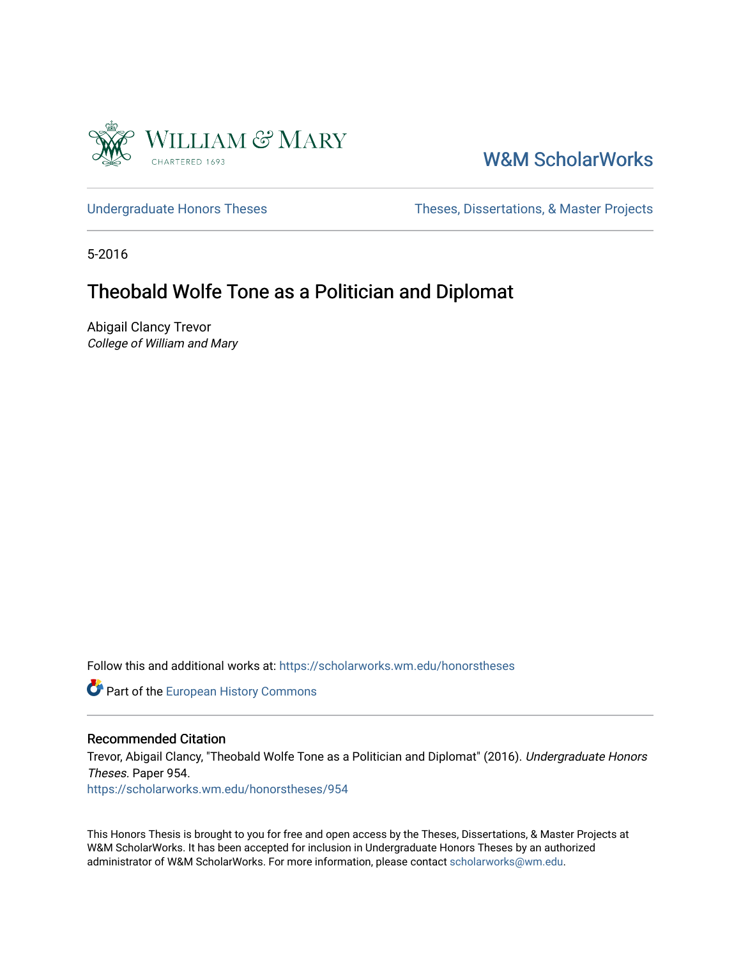

# [W&M ScholarWorks](https://scholarworks.wm.edu/)

[Undergraduate Honors Theses](https://scholarworks.wm.edu/honorstheses) Theses Theses, Dissertations, & Master Projects

5-2016

# Theobald Wolfe Tone as a Politician and Diplomat

Abigail Clancy Trevor College of William and Mary

Follow this and additional works at: [https://scholarworks.wm.edu/honorstheses](https://scholarworks.wm.edu/honorstheses?utm_source=scholarworks.wm.edu%2Fhonorstheses%2F954&utm_medium=PDF&utm_campaign=PDFCoverPages) 

Part of the [European History Commons](http://network.bepress.com/hgg/discipline/492?utm_source=scholarworks.wm.edu%2Fhonorstheses%2F954&utm_medium=PDF&utm_campaign=PDFCoverPages)

#### Recommended Citation

Trevor, Abigail Clancy, "Theobald Wolfe Tone as a Politician and Diplomat" (2016). Undergraduate Honors Theses. Paper 954.

[https://scholarworks.wm.edu/honorstheses/954](https://scholarworks.wm.edu/honorstheses/954?utm_source=scholarworks.wm.edu%2Fhonorstheses%2F954&utm_medium=PDF&utm_campaign=PDFCoverPages) 

This Honors Thesis is brought to you for free and open access by the Theses, Dissertations, & Master Projects at W&M ScholarWorks. It has been accepted for inclusion in Undergraduate Honors Theses by an authorized administrator of W&M ScholarWorks. For more information, please contact [scholarworks@wm.edu.](mailto:scholarworks@wm.edu)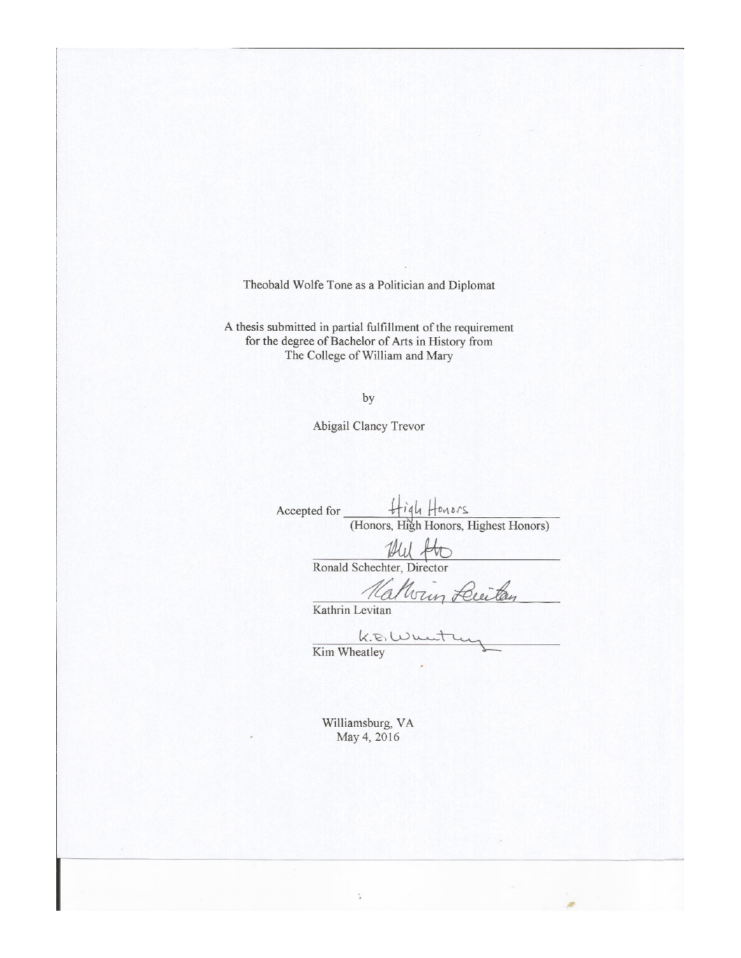Theobald Wolfe Tone as a Politician and Diplomat

A thesis submitted in partial fulfillment of the requirement for the degree of Bachelor of Arts in History from The College of William and Mary

by

Abigail Clancy Trevor

High Honors Accepted for (Honors, High Honors, Highest Honors)

> This Ronald Schechter, Director

van Luita

Kathrin Levitan

 $k.8$ Wu Kim Wheatley

Williamsburg, VA May 4, 2016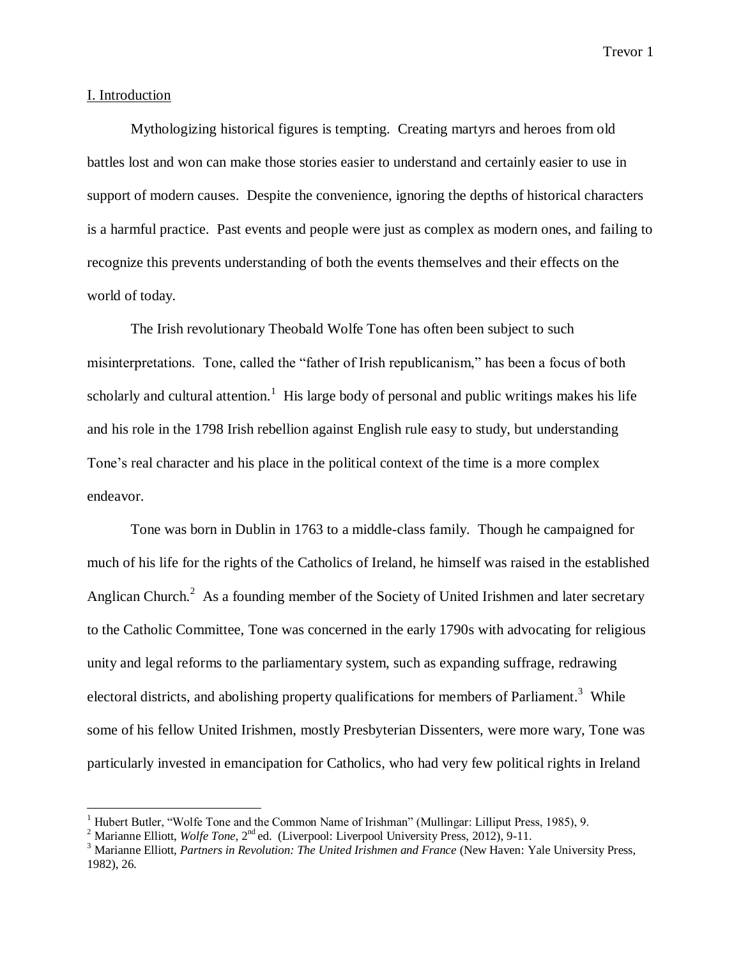#### I. Introduction

 $\overline{a}$ 

Mythologizing historical figures is tempting. Creating martyrs and heroes from old battles lost and won can make those stories easier to understand and certainly easier to use in support of modern causes. Despite the convenience, ignoring the depths of historical characters is a harmful practice. Past events and people were just as complex as modern ones, and failing to recognize this prevents understanding of both the events themselves and their effects on the world of today.

The Irish revolutionary Theobald Wolfe Tone has often been subject to such misinterpretations. Tone, called the "father of Irish republicanism," has been a focus of both scholarly and cultural attention.<sup>1</sup> His large body of personal and public writings makes his life and his role in the 1798 Irish rebellion against English rule easy to study, but understanding Tone's real character and his place in the political context of the time is a more complex endeavor.

Tone was born in Dublin in 1763 to a middle-class family. Though he campaigned for much of his life for the rights of the Catholics of Ireland, he himself was raised in the established Anglican Church.<sup>2</sup> As a founding member of the Society of United Irishmen and later secretary to the Catholic Committee, Tone was concerned in the early 1790s with advocating for religious unity and legal reforms to the parliamentary system, such as expanding suffrage, redrawing electoral districts, and abolishing property qualifications for members of Parliament.<sup>3</sup> While some of his fellow United Irishmen, mostly Presbyterian Dissenters, were more wary, Tone was particularly invested in emancipation for Catholics, who had very few political rights in Ireland

<sup>&</sup>lt;sup>1</sup> Hubert Butler, "Wolfe Tone and the Common Name of Irishman" (Mullingar: Lilliput Press, 1985), 9.

<sup>&</sup>lt;sup>2</sup> Marianne Elliott, *Wolfe Tone*, 2<sup>nd</sup> ed. (Liverpool: Liverpool University Press, 2012), 9-11.

<sup>&</sup>lt;sup>3</sup> Marianne Elliott, *Partners in Revolution: The United Irishmen and France* (New Haven: Yale University Press, 1982), 26.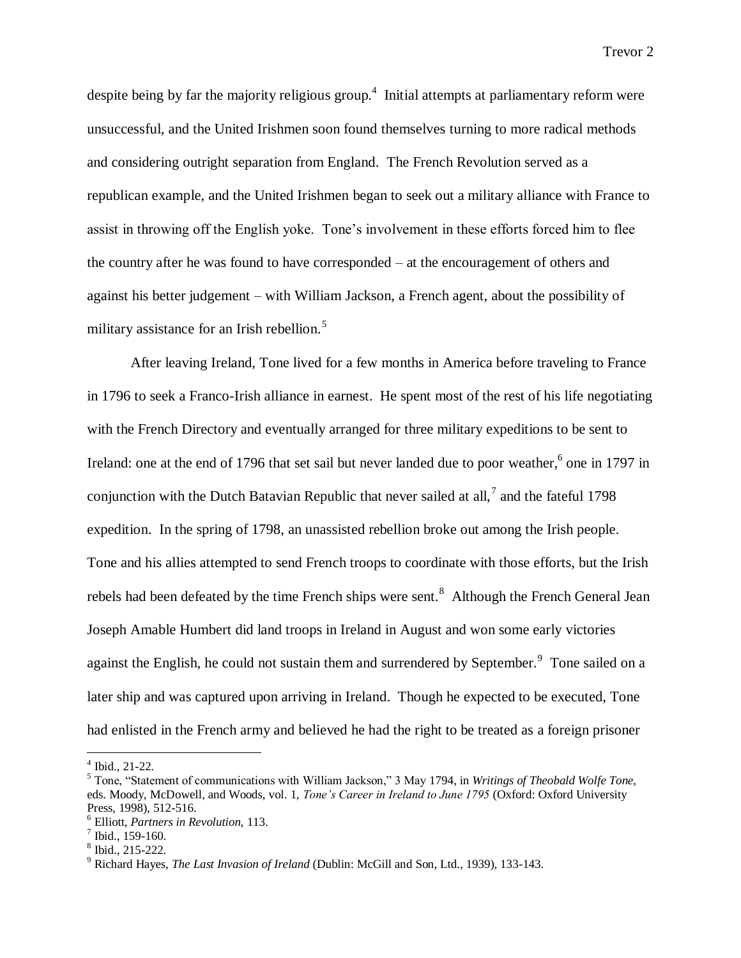despite being by far the majority religious group.<sup>4</sup> Initial attempts at parliamentary reform were unsuccessful, and the United Irishmen soon found themselves turning to more radical methods and considering outright separation from England. The French Revolution served as a republican example, and the United Irishmen began to seek out a military alliance with France to assist in throwing off the English yoke. Tone's involvement in these efforts forced him to flee the country after he was found to have corresponded – at the encouragement of others and against his better judgement – with William Jackson, a French agent, about the possibility of military assistance for an Irish rebellion.<sup>5</sup>

After leaving Ireland, Tone lived for a few months in America before traveling to France in 1796 to seek a Franco-Irish alliance in earnest. He spent most of the rest of his life negotiating with the French Directory and eventually arranged for three military expeditions to be sent to Ireland: one at the end of 1796 that set sail but never landed due to poor weather,  $6$  one in 1797 in conjunction with the Dutch Batavian Republic that never sailed at all,<sup>7</sup> and the fateful 1798 expedition. In the spring of 1798, an unassisted rebellion broke out among the Irish people. Tone and his allies attempted to send French troops to coordinate with those efforts, but the Irish rebels had been defeated by the time French ships were sent.<sup>8</sup> Although the French General Jean Joseph Amable Humbert did land troops in Ireland in August and won some early victories against the English, he could not sustain them and surrendered by September.<sup>9</sup> Tone sailed on a later ship and was captured upon arriving in Ireland. Though he expected to be executed, Tone had enlisted in the French army and believed he had the right to be treated as a foreign prisoner

 4 Ibid., 21-22.

<sup>5</sup> Tone, "Statement of communications with William Jackson," 3 May 1794, in *Writings of Theobald Wolfe Tone,*  eds. Moody, McDowell, and Woods, vol. 1, *Tone's Career in Ireland to June 1795* (Oxford: Oxford University Press, 1998), 512-516.

<sup>6</sup> Elliott, *Partners in Revolution,* 113.

 $7$  Ibid., 159-160.

<sup>8</sup> Ibid., 215-222.

<sup>9</sup> Richard Hayes, *The Last Invasion of Ireland* (Dublin: McGill and Son, Ltd., 1939), 133-143.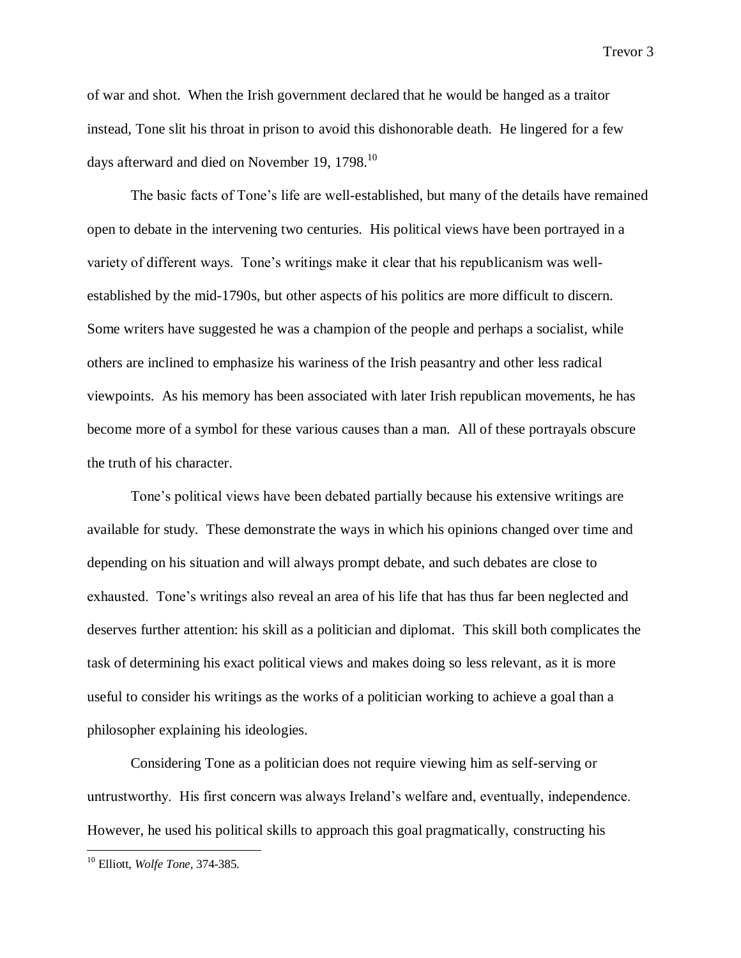of war and shot. When the Irish government declared that he would be hanged as a traitor instead, Tone slit his throat in prison to avoid this dishonorable death. He lingered for a few days afterward and died on November 19, 1798. $^{10}$ 

The basic facts of Tone's life are well-established, but many of the details have remained open to debate in the intervening two centuries. His political views have been portrayed in a variety of different ways. Tone's writings make it clear that his republicanism was wellestablished by the mid-1790s, but other aspects of his politics are more difficult to discern. Some writers have suggested he was a champion of the people and perhaps a socialist, while others are inclined to emphasize his wariness of the Irish peasantry and other less radical viewpoints. As his memory has been associated with later Irish republican movements, he has become more of a symbol for these various causes than a man. All of these portrayals obscure the truth of his character.

Tone's political views have been debated partially because his extensive writings are available for study. These demonstrate the ways in which his opinions changed over time and depending on his situation and will always prompt debate, and such debates are close to exhausted. Tone's writings also reveal an area of his life that has thus far been neglected and deserves further attention: his skill as a politician and diplomat. This skill both complicates the task of determining his exact political views and makes doing so less relevant, as it is more useful to consider his writings as the works of a politician working to achieve a goal than a philosopher explaining his ideologies.

Considering Tone as a politician does not require viewing him as self-serving or untrustworthy. His first concern was always Ireland's welfare and, eventually, independence. However, he used his political skills to approach this goal pragmatically, constructing his

<sup>10</sup> Elliott, *Wolfe Tone,* 374-385.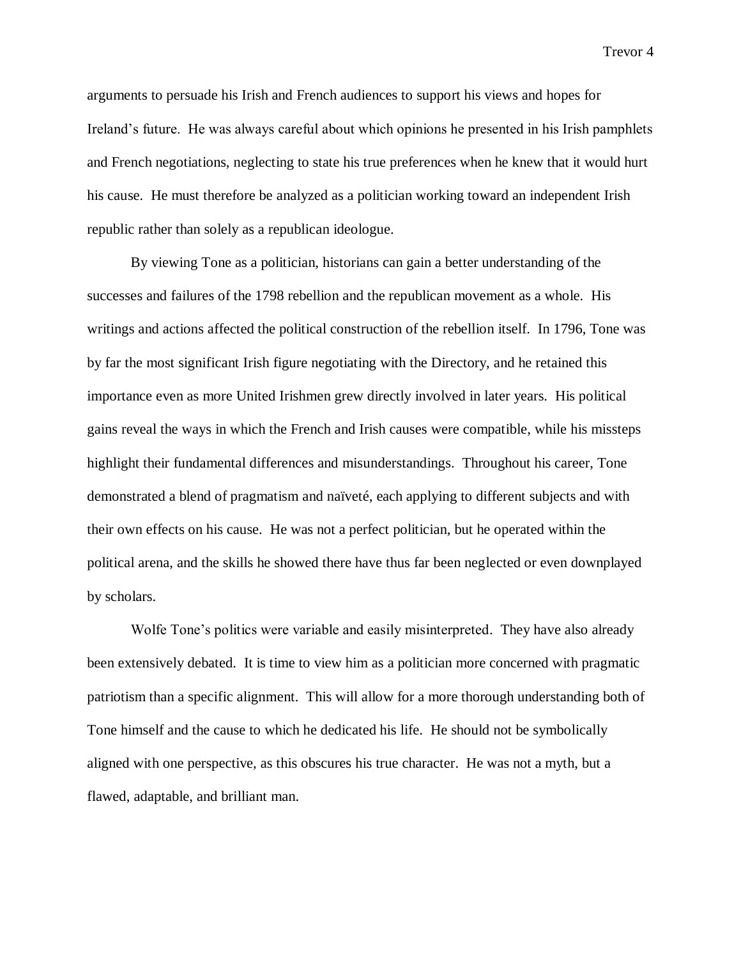arguments to persuade his Irish and French audiences to support his views and hopes for Ireland's future. He was always careful about which opinions he presented in his Irish pamphlets and French negotiations, neglecting to state his true preferences when he knew that it would hurt his cause. He must therefore be analyzed as a politician working toward an independent Irish republic rather than solely as a republican ideologue.

By viewing Tone as a politician, historians can gain a better understanding of the successes and failures of the 1798 rebellion and the republican movement as a whole. His writings and actions affected the political construction of the rebellion itself. In 1796, Tone was by far the most significant Irish figure negotiating with the Directory, and he retained this importance even as more United Irishmen grew directly involved in later years. His political gains reveal the ways in which the French and Irish causes were compatible, while his missteps highlight their fundamental differences and misunderstandings. Throughout his career, Tone demonstrated a blend of pragmatism and naïveté, each applying to different subjects and with their own effects on his cause. He was not a perfect politician, but he operated within the political arena, and the skills he showed there have thus far been neglected or even downplayed by scholars.

Wolfe Tone's politics were variable and easily misinterpreted. They have also already been extensively debated. It is time to view him as a politician more concerned with pragmatic patriotism than a specific alignment. This will allow for a more thorough understanding both of Tone himself and the cause to which he dedicated his life. He should not be symbolically aligned with one perspective, as this obscures his true character. He was not a myth, but a flawed, adaptable, and brilliant man.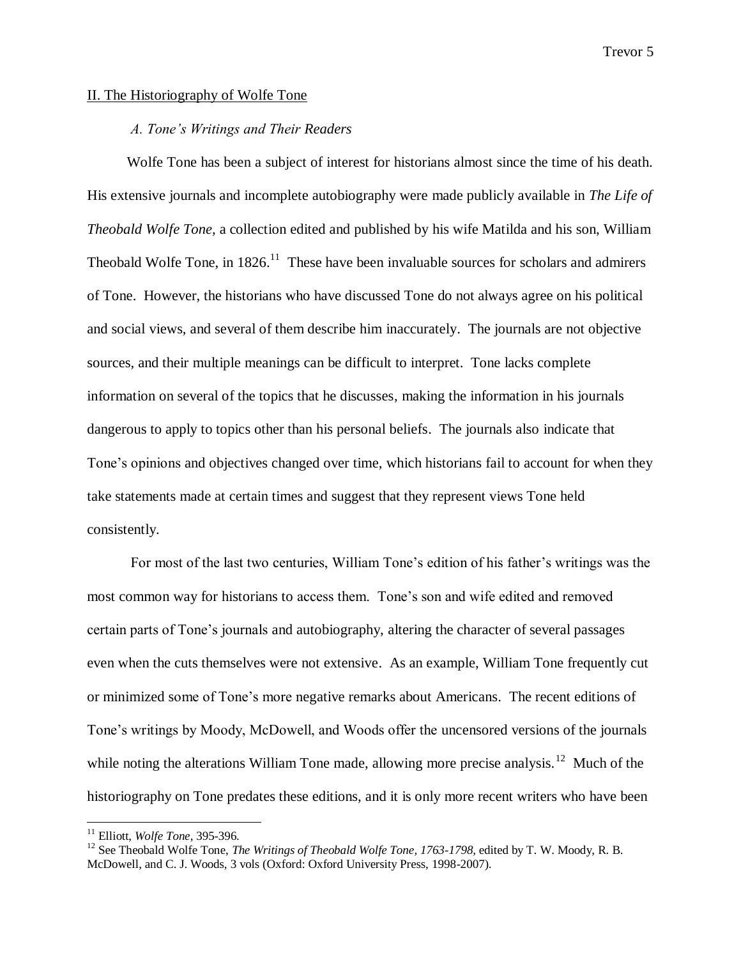#### II. The Historiography of Wolfe Tone

# *A. Tone's Writings and Their Readers*

Wolfe Tone has been a subject of interest for historians almost since the time of his death. His extensive journals and incomplete autobiography were made publicly available in *The Life of Theobald Wolfe Tone,* a collection edited and published by his wife Matilda and his son, William Theobald Wolfe Tone, in  $1826$ <sup>11</sup> These have been invaluable sources for scholars and admirers of Tone. However, the historians who have discussed Tone do not always agree on his political and social views, and several of them describe him inaccurately. The journals are not objective sources, and their multiple meanings can be difficult to interpret. Tone lacks complete information on several of the topics that he discusses, making the information in his journals dangerous to apply to topics other than his personal beliefs. The journals also indicate that Tone's opinions and objectives changed over time, which historians fail to account for when they take statements made at certain times and suggest that they represent views Tone held consistently.

For most of the last two centuries, William Tone's edition of his father's writings was the most common way for historians to access them. Tone's son and wife edited and removed certain parts of Tone's journals and autobiography, altering the character of several passages even when the cuts themselves were not extensive. As an example, William Tone frequently cut or minimized some of Tone's more negative remarks about Americans. The recent editions of Tone's writings by Moody, McDowell, and Woods offer the uncensored versions of the journals while noting the alterations William Tone made, allowing more precise analysis.<sup>12</sup> Much of the historiography on Tone predates these editions, and it is only more recent writers who have been

<sup>11</sup> Elliott, *Wolfe Tone,* 395-396.

<sup>&</sup>lt;sup>12</sup> See Theobald Wolfe Tone, *The Writings of Theobald Wolfe Tone, 1763-1798*, edited by T. W. Moody, R. B. McDowell, and C. J. Woods, 3 vols (Oxford: Oxford University Press, 1998-2007).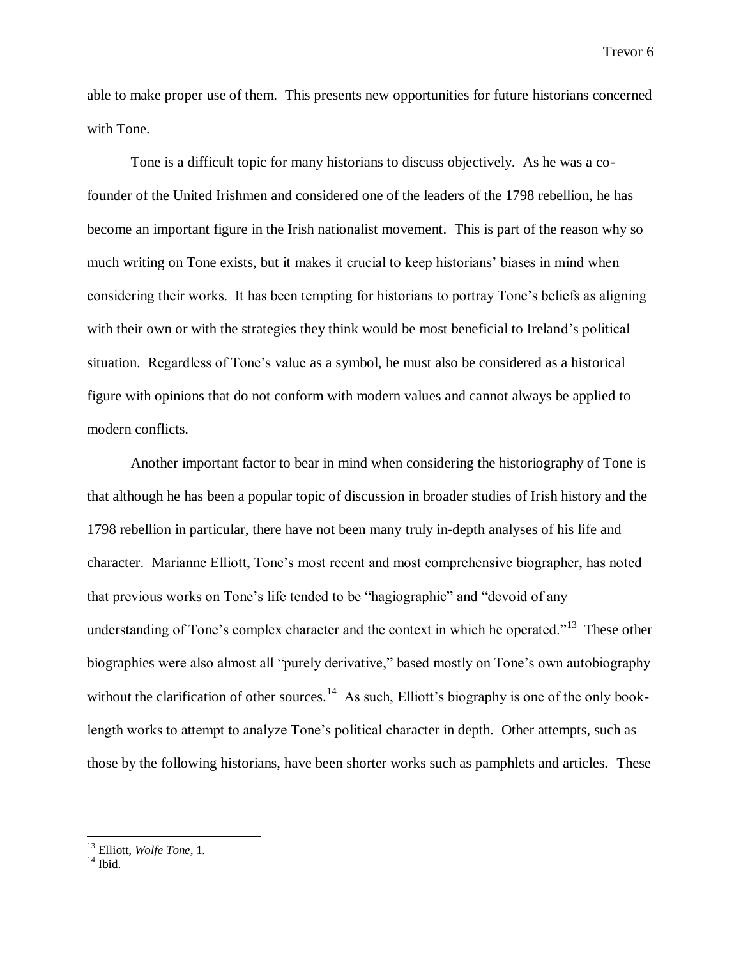able to make proper use of them. This presents new opportunities for future historians concerned with Tone.

Tone is a difficult topic for many historians to discuss objectively. As he was a cofounder of the United Irishmen and considered one of the leaders of the 1798 rebellion, he has become an important figure in the Irish nationalist movement. This is part of the reason why so much writing on Tone exists, but it makes it crucial to keep historians' biases in mind when considering their works. It has been tempting for historians to portray Tone's beliefs as aligning with their own or with the strategies they think would be most beneficial to Ireland's political situation. Regardless of Tone's value as a symbol, he must also be considered as a historical figure with opinions that do not conform with modern values and cannot always be applied to modern conflicts.

Another important factor to bear in mind when considering the historiography of Tone is that although he has been a popular topic of discussion in broader studies of Irish history and the 1798 rebellion in particular, there have not been many truly in-depth analyses of his life and character. Marianne Elliott, Tone's most recent and most comprehensive biographer, has noted that previous works on Tone's life tended to be "hagiographic" and "devoid of any understanding of Tone's complex character and the context in which he operated."<sup>13</sup> These other biographies were also almost all "purely derivative," based mostly on Tone's own autobiography without the clarification of other sources.<sup>14</sup> As such, Elliott's biography is one of the only booklength works to attempt to analyze Tone's political character in depth. Other attempts, such as those by the following historians, have been shorter works such as pamphlets and articles. These

<sup>13</sup> Elliott, *Wolfe Tone,* 1.

 $14$  Ibid.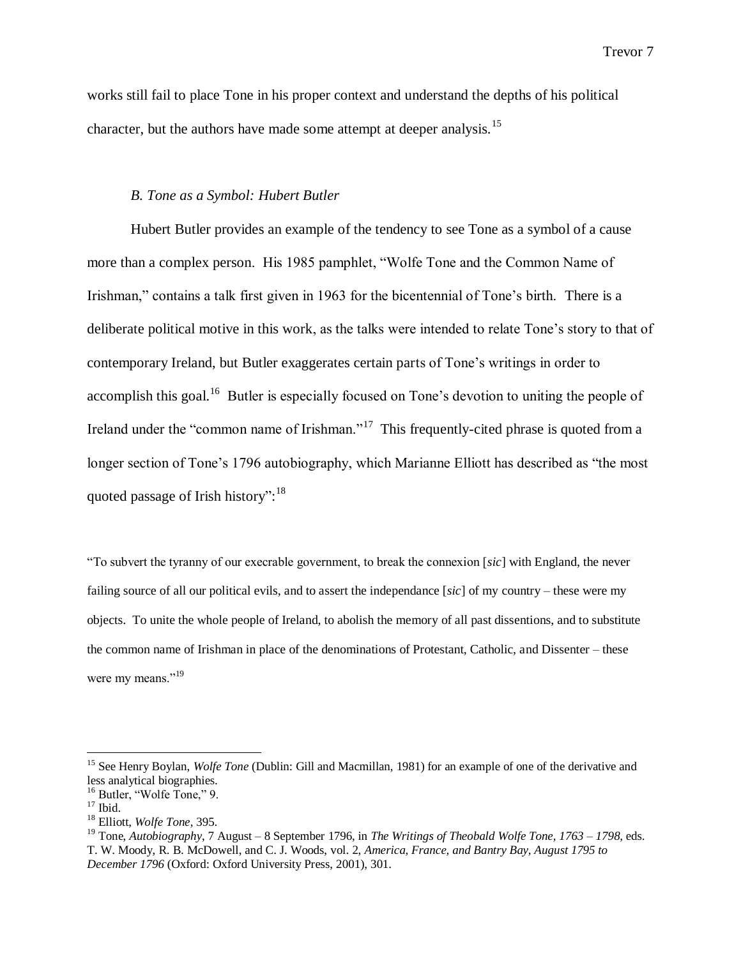works still fail to place Tone in his proper context and understand the depths of his political character, but the authors have made some attempt at deeper analysis.<sup>15</sup>

#### *B. Tone as a Symbol: Hubert Butler*

Hubert Butler provides an example of the tendency to see Tone as a symbol of a cause more than a complex person. His 1985 pamphlet, "Wolfe Tone and the Common Name of Irishman," contains a talk first given in 1963 for the bicentennial of Tone's birth. There is a deliberate political motive in this work, as the talks were intended to relate Tone's story to that of contemporary Ireland, but Butler exaggerates certain parts of Tone's writings in order to accomplish this goal.<sup>16</sup> Butler is especially focused on Tone's devotion to uniting the people of Ireland under the "common name of Irishman."<sup>17</sup> This frequently-cited phrase is quoted from a longer section of Tone's 1796 autobiography, which Marianne Elliott has described as "the most quoted passage of Irish history":<sup>18</sup>

"To subvert the tyranny of our execrable government, to break the connexion [*sic*] with England, the never failing source of all our political evils, and to assert the independance [*sic*] of my country – these were my objects. To unite the whole people of Ireland, to abolish the memory of all past dissentions, and to substitute the common name of Irishman in place of the denominations of Protestant, Catholic, and Dissenter – these were my means."<sup>19</sup>

<sup>&</sup>lt;sup>15</sup> See Henry Boylan, *Wolfe Tone* (Dublin: Gill and Macmillan, 1981) for an example of one of the derivative and less analytical biographies.

<sup>&</sup>lt;sup>16</sup> Butler, "Wolfe Tone," 9.

 $17$  Ibid.

<sup>18</sup> Elliott, *Wolfe Tone,* 395.

<sup>19</sup> Tone, *Autobiography*, 7 August – 8 September 1796, in *The Writings of Theobald Wolfe Tone, 1763 – 1798,* eds. T. W. Moody, R. B. McDowell, and C. J. Woods, vol. 2, *America, France, and Bantry Bay, August 1795 to December 1796* (Oxford: Oxford University Press, 2001), 301.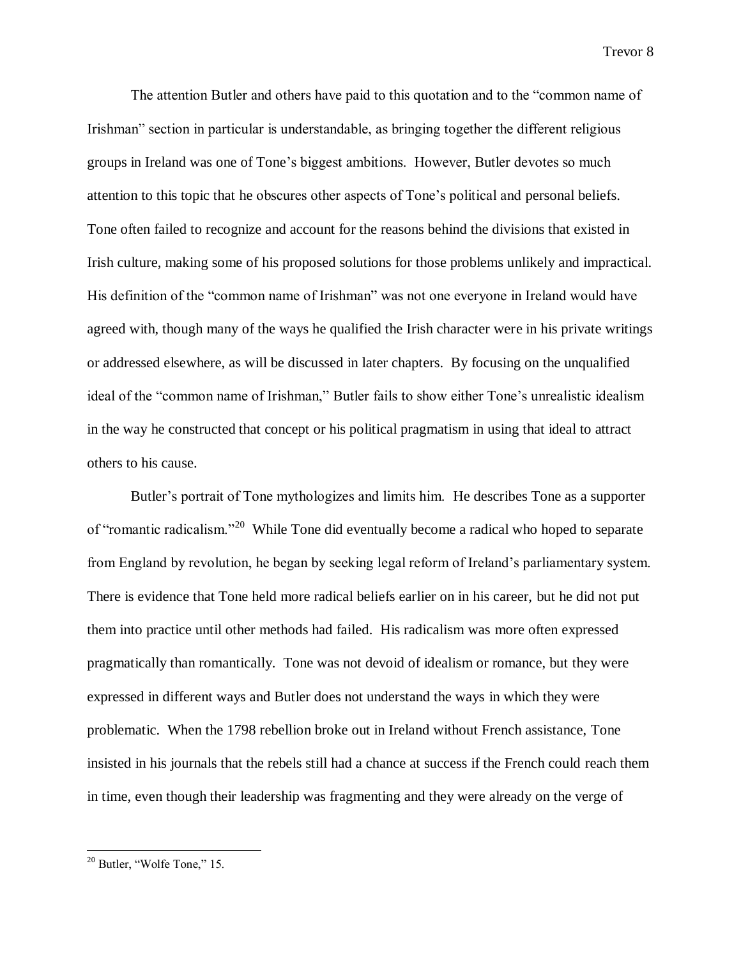The attention Butler and others have paid to this quotation and to the "common name of Irishman" section in particular is understandable, as bringing together the different religious groups in Ireland was one of Tone's biggest ambitions. However, Butler devotes so much attention to this topic that he obscures other aspects of Tone's political and personal beliefs. Tone often failed to recognize and account for the reasons behind the divisions that existed in Irish culture, making some of his proposed solutions for those problems unlikely and impractical. His definition of the "common name of Irishman" was not one everyone in Ireland would have agreed with, though many of the ways he qualified the Irish character were in his private writings or addressed elsewhere, as will be discussed in later chapters. By focusing on the unqualified ideal of the "common name of Irishman," Butler fails to show either Tone's unrealistic idealism in the way he constructed that concept or his political pragmatism in using that ideal to attract others to his cause.

Butler's portrait of Tone mythologizes and limits him. He describes Tone as a supporter of "romantic radicalism."<sup>20</sup> While Tone did eventually become a radical who hoped to separate from England by revolution, he began by seeking legal reform of Ireland's parliamentary system. There is evidence that Tone held more radical beliefs earlier on in his career, but he did not put them into practice until other methods had failed. His radicalism was more often expressed pragmatically than romantically. Tone was not devoid of idealism or romance, but they were expressed in different ways and Butler does not understand the ways in which they were problematic. When the 1798 rebellion broke out in Ireland without French assistance, Tone insisted in his journals that the rebels still had a chance at success if the French could reach them in time, even though their leadership was fragmenting and they were already on the verge of

<sup>20</sup> Butler, "Wolfe Tone," 15.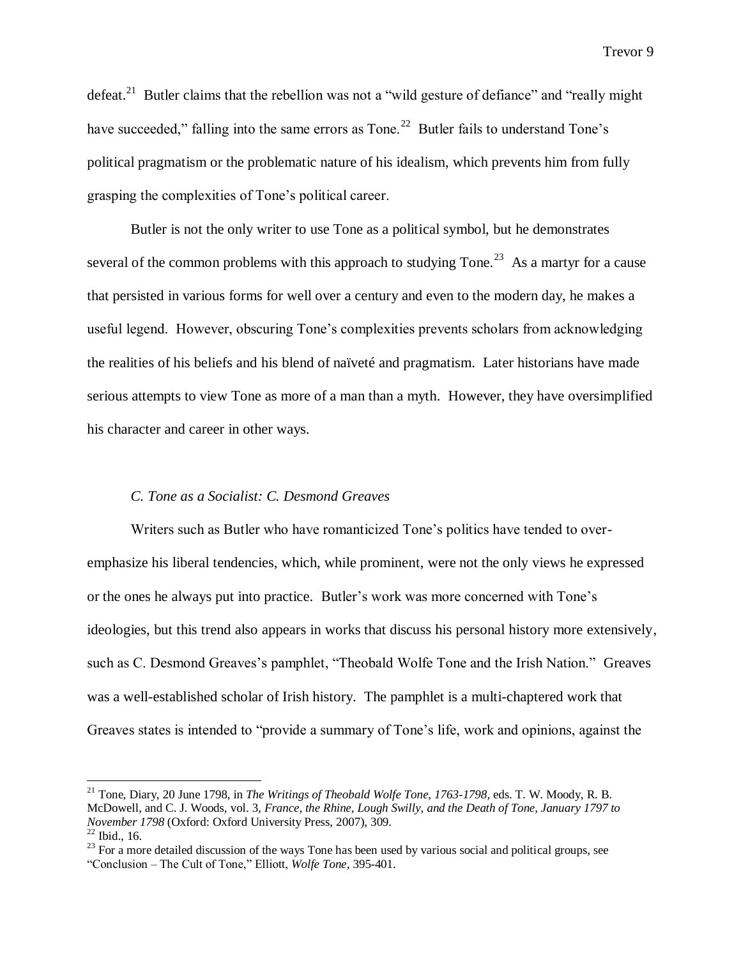defeat.<sup>21</sup> Butler claims that the rebellion was not a "wild gesture of defiance" and "really might have succeeded," falling into the same errors as Tone.<sup>22</sup> Butler fails to understand Tone's political pragmatism or the problematic nature of his idealism, which prevents him from fully grasping the complexities of Tone's political career.

Butler is not the only writer to use Tone as a political symbol, but he demonstrates several of the common problems with this approach to studying Tone.<sup>23</sup> As a martyr for a cause that persisted in various forms for well over a century and even to the modern day, he makes a useful legend. However, obscuring Tone's complexities prevents scholars from acknowledging the realities of his beliefs and his blend of naïveté and pragmatism. Later historians have made serious attempts to view Tone as more of a man than a myth. However, they have oversimplified his character and career in other ways.

# *C. Tone as a Socialist: C. Desmond Greaves*

 $\overline{a}$ 

Writers such as Butler who have romanticized Tone's politics have tended to overemphasize his liberal tendencies, which, while prominent, were not the only views he expressed or the ones he always put into practice. Butler's work was more concerned with Tone's ideologies, but this trend also appears in works that discuss his personal history more extensively, such as C. Desmond Greaves's pamphlet, "Theobald Wolfe Tone and the Irish Nation." Greaves was a well-established scholar of Irish history. The pamphlet is a multi-chaptered work that Greaves states is intended to "provide a summary of Tone's life, work and opinions, against the

<sup>&</sup>lt;sup>21</sup> Tone, Diary, 20 June 1798, in *The Writings of Theobald Wolfe Tone, 1763-1798*, eds. T. W. Moody, R. B. McDowell, and C. J. Woods, vol. 3*, France, the Rhine, Lough Swilly, and the Death of Tone, January 1797 to November 1798* (Oxford: Oxford University Press, 2007), 309.  $22$  Ibid., 16.

<sup>&</sup>lt;sup>23</sup> For a more detailed discussion of the ways Tone has been used by various social and political groups, see "Conclusion – The Cult of Tone," Elliott, *Wolfe Tone,* 395-401.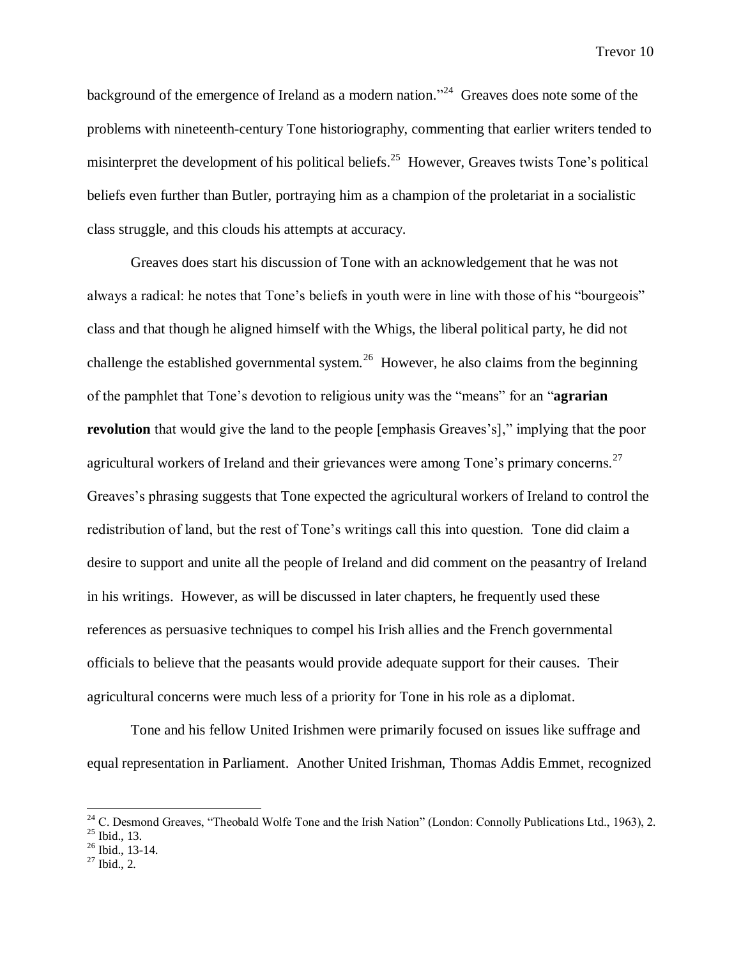background of the emergence of Ireland as a modern nation."<sup>24</sup> Greaves does note some of the problems with nineteenth-century Tone historiography, commenting that earlier writers tended to misinterpret the development of his political beliefs.<sup>25</sup> However, Greaves twists Tone's political beliefs even further than Butler, portraying him as a champion of the proletariat in a socialistic class struggle, and this clouds his attempts at accuracy.

Greaves does start his discussion of Tone with an acknowledgement that he was not always a radical: he notes that Tone's beliefs in youth were in line with those of his "bourgeois" class and that though he aligned himself with the Whigs, the liberal political party, he did not challenge the established governmental system.<sup>26</sup> However, he also claims from the beginning of the pamphlet that Tone's devotion to religious unity was the "means" for an "**agrarian revolution** that would give the land to the people [emphasis Greaves's]," implying that the poor agricultural workers of Ireland and their grievances were among Tone's primary concerns.<sup>27</sup> Greaves's phrasing suggests that Tone expected the agricultural workers of Ireland to control the redistribution of land, but the rest of Tone's writings call this into question. Tone did claim a desire to support and unite all the people of Ireland and did comment on the peasantry of Ireland in his writings. However, as will be discussed in later chapters, he frequently used these references as persuasive techniques to compel his Irish allies and the French governmental officials to believe that the peasants would provide adequate support for their causes. Their agricultural concerns were much less of a priority for Tone in his role as a diplomat.

Tone and his fellow United Irishmen were primarily focused on issues like suffrage and equal representation in Parliament. Another United Irishman, Thomas Addis Emmet, recognized

 $\overline{a}$ 

 $26$  Ibid., 13-14.

 $2<sup>24</sup>$  C. Desmond Greaves, "Theobald Wolfe Tone and the Irish Nation" (London: Connolly Publications Ltd., 1963), 2.

 $25$  Ibid., 13.

 $27$  Ibid., 2.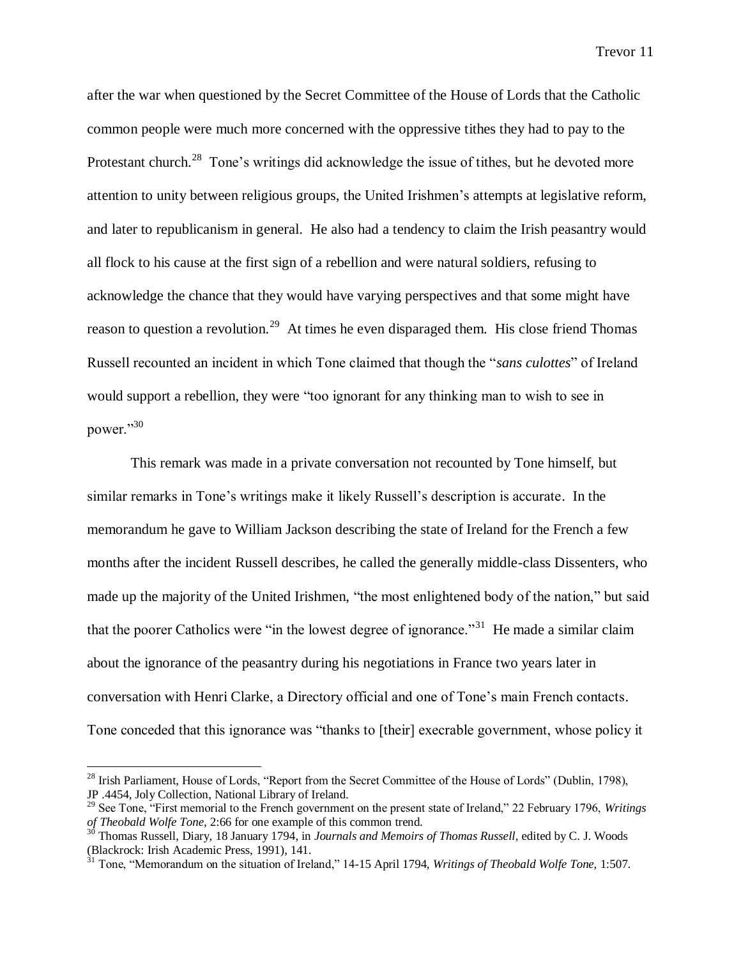after the war when questioned by the Secret Committee of the House of Lords that the Catholic common people were much more concerned with the oppressive tithes they had to pay to the Protestant church.<sup>28</sup> Tone's writings did acknowledge the issue of tithes, but he devoted more attention to unity between religious groups, the United Irishmen's attempts at legislative reform, and later to republicanism in general. He also had a tendency to claim the Irish peasantry would all flock to his cause at the first sign of a rebellion and were natural soldiers, refusing to acknowledge the chance that they would have varying perspectives and that some might have reason to question a revolution.<sup>29</sup> At times he even disparaged them. His close friend Thomas Russell recounted an incident in which Tone claimed that though the "*sans culottes*" of Ireland would support a rebellion, they were "too ignorant for any thinking man to wish to see in power."30

This remark was made in a private conversation not recounted by Tone himself, but similar remarks in Tone's writings make it likely Russell's description is accurate. In the memorandum he gave to William Jackson describing the state of Ireland for the French a few months after the incident Russell describes, he called the generally middle-class Dissenters, who made up the majority of the United Irishmen, "the most enlightened body of the nation," but said that the poorer Catholics were "in the lowest degree of ignorance."<sup>31</sup> He made a similar claim about the ignorance of the peasantry during his negotiations in France two years later in conversation with Henri Clarke, a Directory official and one of Tone's main French contacts. Tone conceded that this ignorance was "thanks to [their] execrable government, whose policy it

<sup>&</sup>lt;sup>28</sup> Irish Parliament, House of Lords, "Report from the Secret Committee of the House of Lords" (Dublin, 1798), JP .4454, Joly Collection, National Library of Ireland.

<sup>29</sup> See Tone, "First memorial to the French government on the present state of Ireland," 22 February 1796, *Writings of Theobald Wolfe Tone,* 2:66 for one example of this common trend.

<sup>&</sup>lt;sup>30</sup> Thomas Russell, Diary, 18 January 1794, in *Journals and Memoirs of Thomas Russell*, edited by C. J. Woods (Blackrock: Irish Academic Press, 1991), 141.

<sup>31</sup> Tone, "Memorandum on the situation of Ireland," 14-15 April 1794, *Writings of Theobald Wolfe Tone,* 1:507.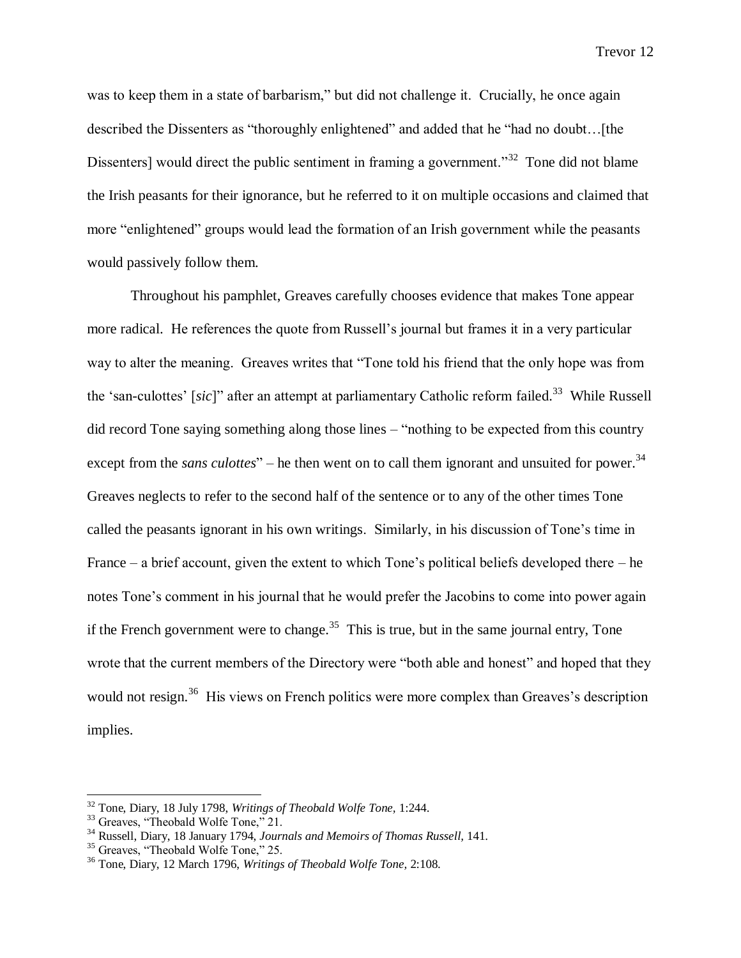was to keep them in a state of barbarism," but did not challenge it. Crucially, he once again described the Dissenters as "thoroughly enlightened" and added that he "had no doubt…[the Dissenters] would direct the public sentiment in framing a government."<sup>32</sup> Tone did not blame the Irish peasants for their ignorance, but he referred to it on multiple occasions and claimed that more "enlightened" groups would lead the formation of an Irish government while the peasants would passively follow them.

Throughout his pamphlet, Greaves carefully chooses evidence that makes Tone appear more radical. He references the quote from Russell's journal but frames it in a very particular way to alter the meaning. Greaves writes that "Tone told his friend that the only hope was from the 'san-culottes' [sic]" after an attempt at parliamentary Catholic reform failed.<sup>33</sup> While Russell did record Tone saying something along those lines – "nothing to be expected from this country except from the *sans culottes*" – he then went on to call them ignorant and unsuited for power.<sup>34</sup> Greaves neglects to refer to the second half of the sentence or to any of the other times Tone called the peasants ignorant in his own writings. Similarly, in his discussion of Tone's time in France – a brief account, given the extent to which Tone's political beliefs developed there – he notes Tone's comment in his journal that he would prefer the Jacobins to come into power again if the French government were to change.<sup>35</sup> This is true, but in the same journal entry, Tone wrote that the current members of the Directory were "both able and honest" and hoped that they would not resign.<sup>36</sup> His views on French politics were more complex than Greaves's description implies.

<sup>32</sup> Tone, Diary, 18 July 1798, *Writings of Theobald Wolfe Tone,* 1:244.

<sup>&</sup>lt;sup>33</sup> Greaves, "Theobald Wolfe Tone," 21.

<sup>34</sup> Russell, Diary, 18 January 1794, *Journals and Memoirs of Thomas Russell,* 141.

<sup>&</sup>lt;sup>35</sup> Greaves, "Theobald Wolfe Tone," 25.

<sup>36</sup> Tone, Diary, 12 March 1796, *Writings of Theobald Wolfe Tone,* 2:108.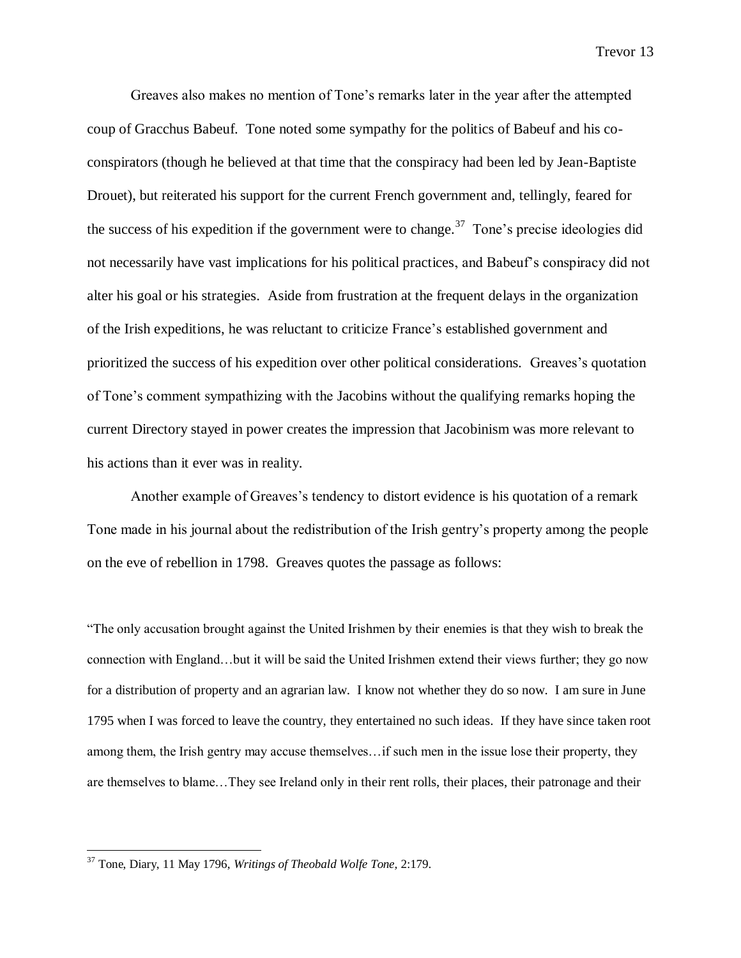Greaves also makes no mention of Tone's remarks later in the year after the attempted coup of Gracchus Babeuf. Tone noted some sympathy for the politics of Babeuf and his coconspirators (though he believed at that time that the conspiracy had been led by Jean-Baptiste Drouet), but reiterated his support for the current French government and, tellingly, feared for the success of his expedition if the government were to change.<sup>37</sup> Tone's precise ideologies did not necessarily have vast implications for his political practices, and Babeuf's conspiracy did not alter his goal or his strategies. Aside from frustration at the frequent delays in the organization of the Irish expeditions, he was reluctant to criticize France's established government and prioritized the success of his expedition over other political considerations. Greaves's quotation of Tone's comment sympathizing with the Jacobins without the qualifying remarks hoping the current Directory stayed in power creates the impression that Jacobinism was more relevant to his actions than it ever was in reality.

Another example of Greaves's tendency to distort evidence is his quotation of a remark Tone made in his journal about the redistribution of the Irish gentry's property among the people on the eve of rebellion in 1798. Greaves quotes the passage as follows:

"The only accusation brought against the United Irishmen by their enemies is that they wish to break the connection with England…but it will be said the United Irishmen extend their views further; they go now for a distribution of property and an agrarian law. I know not whether they do so now. I am sure in June 1795 when I was forced to leave the country, they entertained no such ideas. If they have since taken root among them, the Irish gentry may accuse themselves…if such men in the issue lose their property, they are themselves to blame…They see Ireland only in their rent rolls, their places, their patronage and their

<sup>37</sup> Tone, Diary, 11 May 1796, *Writings of Theobald Wolfe Tone,* 2:179.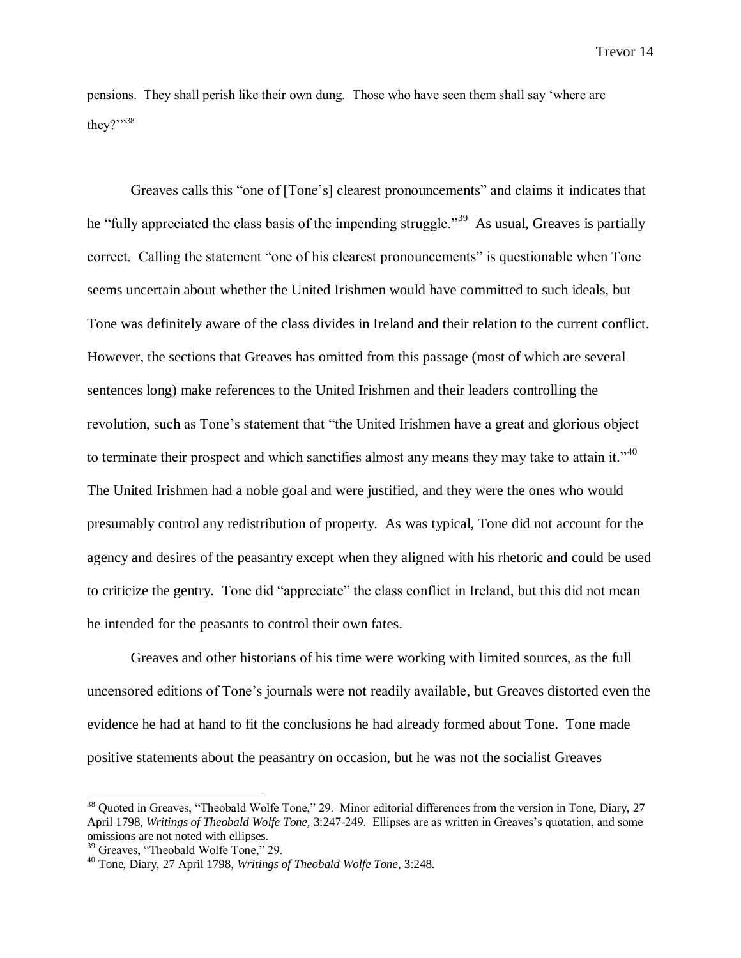pensions. They shall perish like their own dung. Those who have seen them shall say 'where are they?"<sup>38</sup>

Greaves calls this "one of [Tone's] clearest pronouncements" and claims it indicates that he "fully appreciated the class basis of the impending struggle."<sup>39</sup> As usual, Greaves is partially correct. Calling the statement "one of his clearest pronouncements" is questionable when Tone seems uncertain about whether the United Irishmen would have committed to such ideals, but Tone was definitely aware of the class divides in Ireland and their relation to the current conflict. However, the sections that Greaves has omitted from this passage (most of which are several sentences long) make references to the United Irishmen and their leaders controlling the revolution, such as Tone's statement that "the United Irishmen have a great and glorious object to terminate their prospect and which sanctifies almost any means they may take to attain it.<sup> $11$ </sup> The United Irishmen had a noble goal and were justified, and they were the ones who would presumably control any redistribution of property. As was typical, Tone did not account for the agency and desires of the peasantry except when they aligned with his rhetoric and could be used to criticize the gentry. Tone did "appreciate" the class conflict in Ireland, but this did not mean he intended for the peasants to control their own fates.

Greaves and other historians of his time were working with limited sources, as the full uncensored editions of Tone's journals were not readily available, but Greaves distorted even the evidence he had at hand to fit the conclusions he had already formed about Tone. Tone made positive statements about the peasantry on occasion, but he was not the socialist Greaves

<sup>&</sup>lt;sup>38</sup> Quoted in Greaves, "Theobald Wolfe Tone," 29. Minor editorial differences from the version in Tone, Diary, 27 April 1798, *Writings of Theobald Wolfe Tone,* 3:247-249. Ellipses are as written in Greaves's quotation, and some omissions are not noted with ellipses.

<sup>&</sup>lt;sup>39</sup> Greaves, "Theobald Wolfe Tone," 29.

<sup>40</sup> Tone, Diary, 27 April 1798, *Writings of Theobald Wolfe Tone,* 3:248.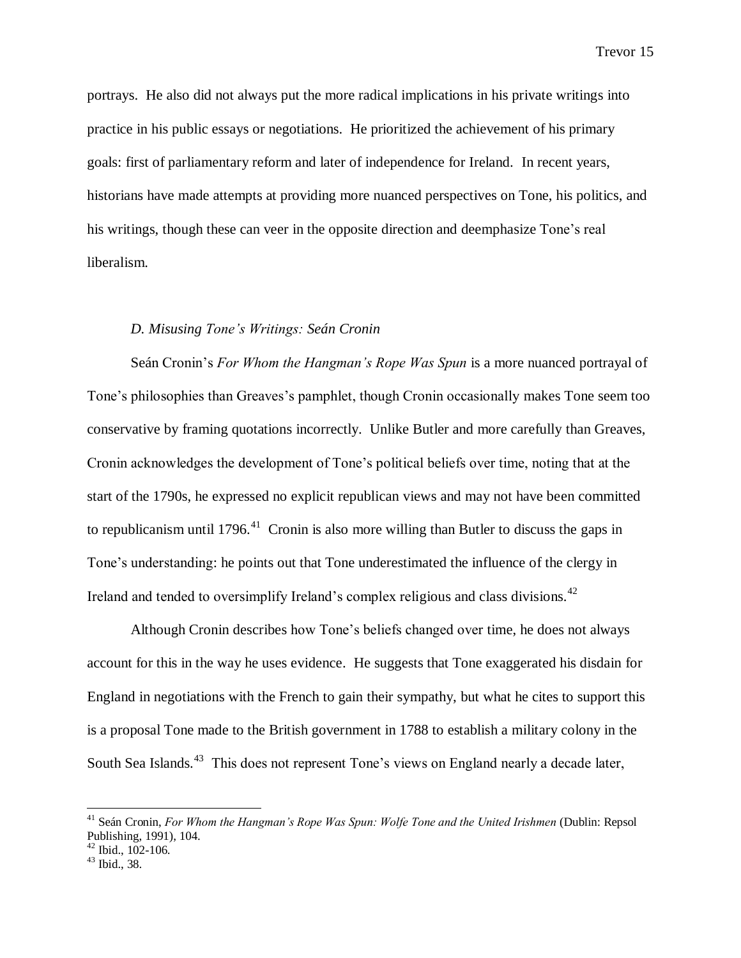portrays. He also did not always put the more radical implications in his private writings into practice in his public essays or negotiations. He prioritized the achievement of his primary goals: first of parliamentary reform and later of independence for Ireland. In recent years, historians have made attempts at providing more nuanced perspectives on Tone, his politics, and his writings, though these can veer in the opposite direction and deemphasize Tone's real liberalism.

# *D. Misusing Tone's Writings: Seán Cronin*

Seán Cronin's *For Whom the Hangman's Rope Was Spun* is a more nuanced portrayal of Tone's philosophies than Greaves's pamphlet, though Cronin occasionally makes Tone seem too conservative by framing quotations incorrectly. Unlike Butler and more carefully than Greaves, Cronin acknowledges the development of Tone's political beliefs over time, noting that at the start of the 1790s, he expressed no explicit republican views and may not have been committed to republicanism until 1796.<sup>41</sup> Cronin is also more willing than Butler to discuss the gaps in Tone's understanding: he points out that Tone underestimated the influence of the clergy in Ireland and tended to oversimplify Ireland's complex religious and class divisions.<sup>42</sup>

Although Cronin describes how Tone's beliefs changed over time, he does not always account for this in the way he uses evidence. He suggests that Tone exaggerated his disdain for England in negotiations with the French to gain their sympathy, but what he cites to support this is a proposal Tone made to the British government in 1788 to establish a military colony in the South Sea Islands.<sup>43</sup> This does not represent Tone's views on England nearly a decade later,

<sup>&</sup>lt;sup>41</sup> Seán Cronin, *For Whom the Hangman's Rope Was Spun: Wolfe Tone and the United Irishmen (Dublin: Repsol)* Publishing, 1991), 104.

 $42$  Ibid., 102-106.

<sup>43</sup> Ibid., 38.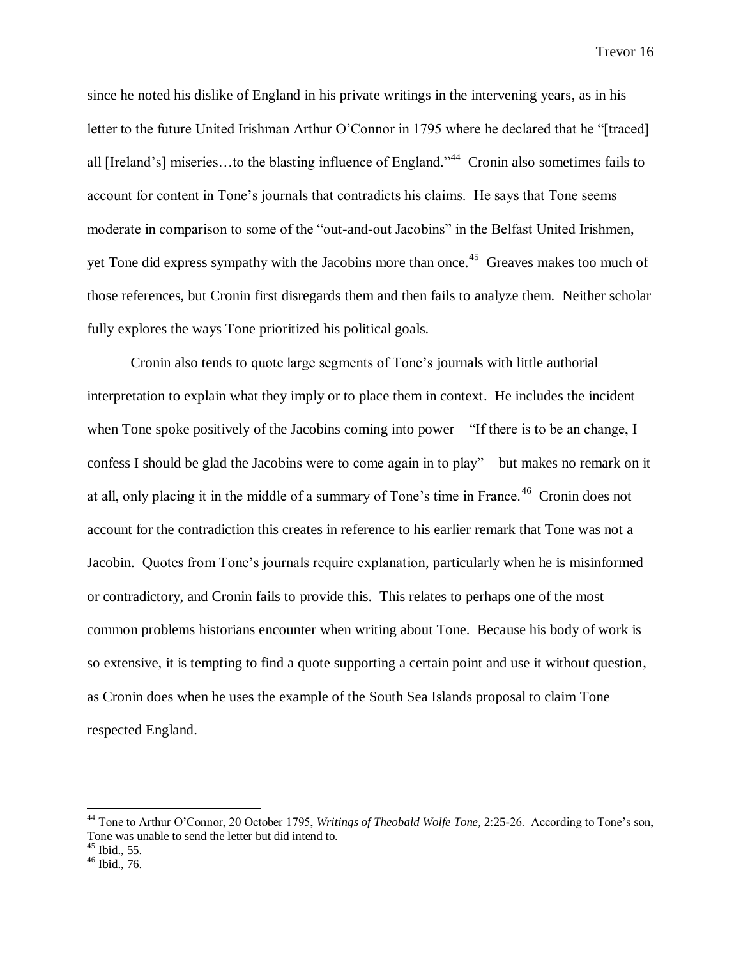since he noted his dislike of England in his private writings in the intervening years, as in his letter to the future United Irishman Arthur O'Connor in 1795 where he declared that he "[traced] all [Ireland's] miseries...to the blasting influence of England."<sup>44</sup> Cronin also sometimes fails to account for content in Tone's journals that contradicts his claims. He says that Tone seems moderate in comparison to some of the "out-and-out Jacobins" in the Belfast United Irishmen, yet Tone did express sympathy with the Jacobins more than once.<sup>45</sup> Greaves makes too much of those references, but Cronin first disregards them and then fails to analyze them. Neither scholar fully explores the ways Tone prioritized his political goals.

Cronin also tends to quote large segments of Tone's journals with little authorial interpretation to explain what they imply or to place them in context. He includes the incident when Tone spoke positively of the Jacobins coming into power – "If there is to be an change, I confess I should be glad the Jacobins were to come again in to play" – but makes no remark on it at all, only placing it in the middle of a summary of Tone's time in France.<sup>46</sup> Cronin does not account for the contradiction this creates in reference to his earlier remark that Tone was not a Jacobin. Quotes from Tone's journals require explanation, particularly when he is misinformed or contradictory, and Cronin fails to provide this. This relates to perhaps one of the most common problems historians encounter when writing about Tone. Because his body of work is so extensive, it is tempting to find a quote supporting a certain point and use it without question, as Cronin does when he uses the example of the South Sea Islands proposal to claim Tone respected England.

<sup>44</sup> Tone to Arthur O'Connor, 20 October 1795, *Writings of Theobald Wolfe Tone,* 2:25-26. According to Tone's son, Tone was unable to send the letter but did intend to.

 $45$  Ibid., 55.

<sup>46</sup> Ibid., 76.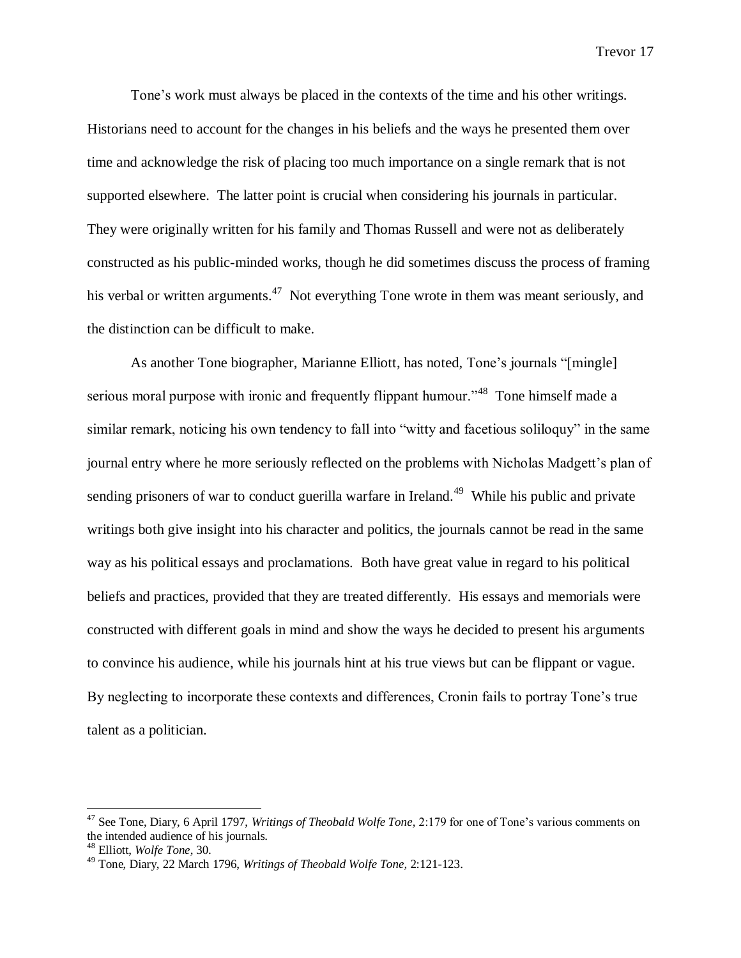Tone's work must always be placed in the contexts of the time and his other writings. Historians need to account for the changes in his beliefs and the ways he presented them over time and acknowledge the risk of placing too much importance on a single remark that is not supported elsewhere. The latter point is crucial when considering his journals in particular. They were originally written for his family and Thomas Russell and were not as deliberately constructed as his public-minded works, though he did sometimes discuss the process of framing his verbal or written arguments.<sup>47</sup> Not everything Tone wrote in them was meant seriously, and the distinction can be difficult to make.

As another Tone biographer, Marianne Elliott, has noted, Tone's journals "[mingle] serious moral purpose with ironic and frequently flippant humour."<sup>48</sup> Tone himself made a similar remark, noticing his own tendency to fall into "witty and facetious soliloquy" in the same journal entry where he more seriously reflected on the problems with Nicholas Madgett's plan of sending prisoners of war to conduct guerilla warfare in Ireland.<sup>49</sup> While his public and private writings both give insight into his character and politics, the journals cannot be read in the same way as his political essays and proclamations. Both have great value in regard to his political beliefs and practices, provided that they are treated differently. His essays and memorials were constructed with different goals in mind and show the ways he decided to present his arguments to convince his audience, while his journals hint at his true views but can be flippant or vague. By neglecting to incorporate these contexts and differences, Cronin fails to portray Tone's true talent as a politician.

<sup>47</sup> See Tone, Diary, 6 April 1797, *Writings of Theobald Wolfe Tone,* 2:179 for one of Tone's various comments on the intended audience of his journals.

<sup>48</sup> Elliott, *Wolfe Tone,* 30.

<sup>49</sup> Tone, Diary, 22 March 1796, *Writings of Theobald Wolfe Tone,* 2:121-123.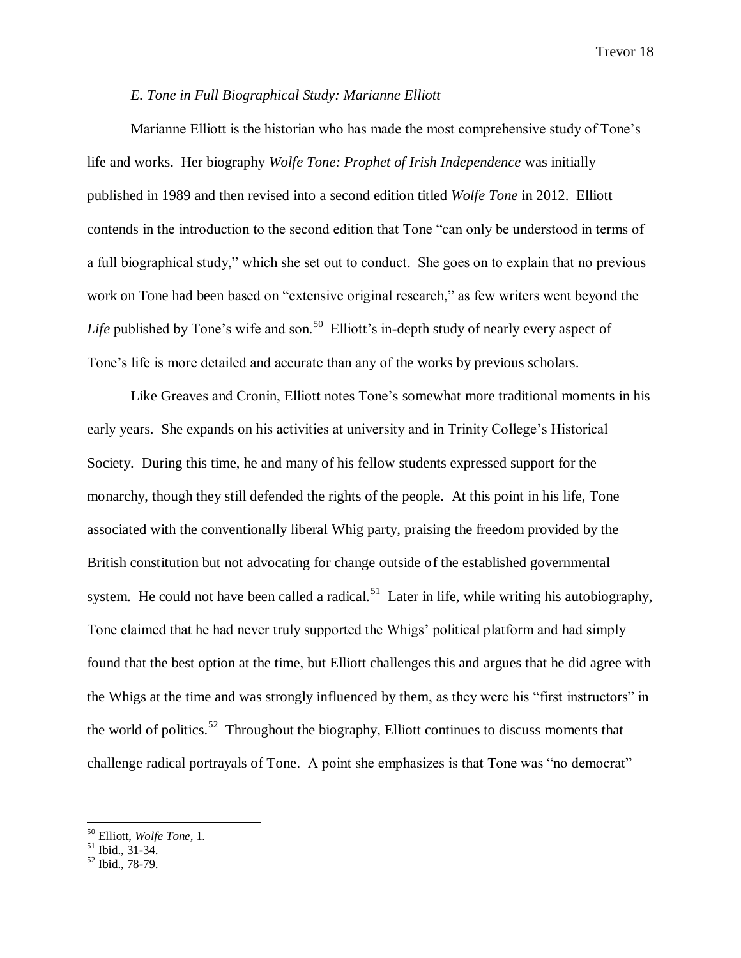# *E. Tone in Full Biographical Study: Marianne Elliott*

Marianne Elliott is the historian who has made the most comprehensive study of Tone's life and works. Her biography *Wolfe Tone: Prophet of Irish Independence* was initially published in 1989 and then revised into a second edition titled *Wolfe Tone* in 2012. Elliott contends in the introduction to the second edition that Tone "can only be understood in terms of a full biographical study," which she set out to conduct. She goes on to explain that no previous work on Tone had been based on "extensive original research," as few writers went beyond the Life published by Tone's wife and son.<sup>50</sup> Elliott's in-depth study of nearly every aspect of Tone's life is more detailed and accurate than any of the works by previous scholars.

Like Greaves and Cronin, Elliott notes Tone's somewhat more traditional moments in his early years. She expands on his activities at university and in Trinity College's Historical Society. During this time, he and many of his fellow students expressed support for the monarchy, though they still defended the rights of the people. At this point in his life, Tone associated with the conventionally liberal Whig party, praising the freedom provided by the British constitution but not advocating for change outside of the established governmental system. He could not have been called a radical.<sup>51</sup> Later in life, while writing his autobiography, Tone claimed that he had never truly supported the Whigs' political platform and had simply found that the best option at the time, but Elliott challenges this and argues that he did agree with the Whigs at the time and was strongly influenced by them, as they were his "first instructors" in the world of politics.<sup>52</sup> Throughout the biography, Elliott continues to discuss moments that challenge radical portrayals of Tone. A point she emphasizes is that Tone was "no democrat"

<sup>50</sup> Elliott, *Wolfe Tone,* 1.

 $51$  Ibid., 31-34.

<sup>52</sup> Ibid., 78-79.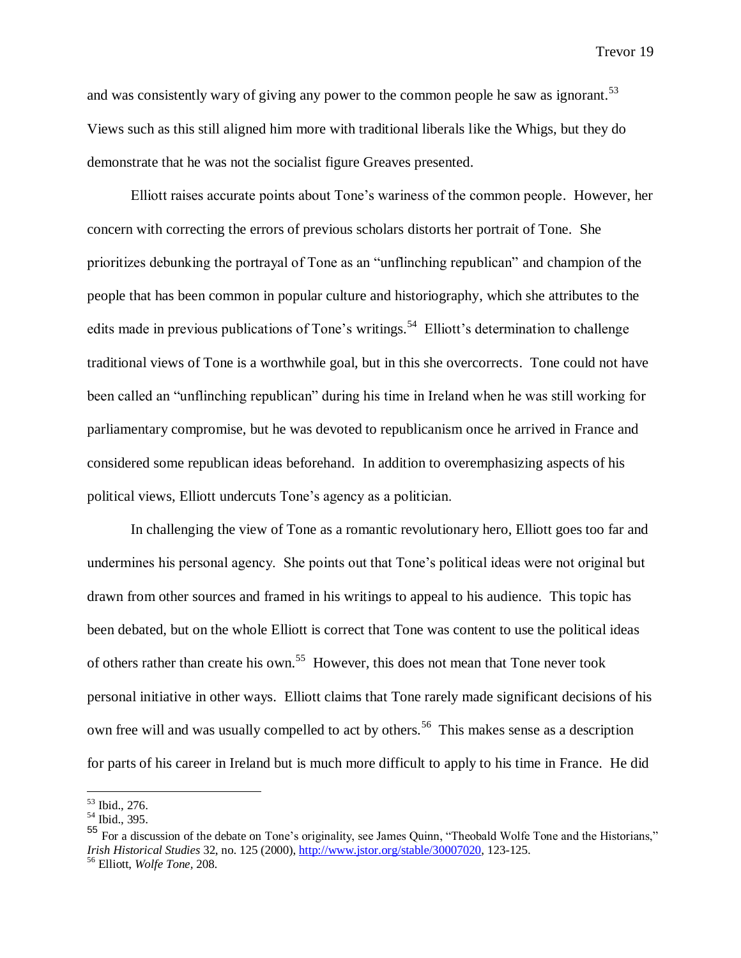and was consistently wary of giving any power to the common people he saw as ignorant.<sup>53</sup> Views such as this still aligned him more with traditional liberals like the Whigs, but they do demonstrate that he was not the socialist figure Greaves presented.

Elliott raises accurate points about Tone's wariness of the common people. However, her concern with correcting the errors of previous scholars distorts her portrait of Tone. She prioritizes debunking the portrayal of Tone as an "unflinching republican" and champion of the people that has been common in popular culture and historiography, which she attributes to the edits made in previous publications of Tone's writings.<sup>54</sup> Elliott's determination to challenge traditional views of Tone is a worthwhile goal, but in this she overcorrects. Tone could not have been called an "unflinching republican" during his time in Ireland when he was still working for parliamentary compromise, but he was devoted to republicanism once he arrived in France and considered some republican ideas beforehand. In addition to overemphasizing aspects of his political views, Elliott undercuts Tone's agency as a politician.

In challenging the view of Tone as a romantic revolutionary hero, Elliott goes too far and undermines his personal agency. She points out that Tone's political ideas were not original but drawn from other sources and framed in his writings to appeal to his audience. This topic has been debated, but on the whole Elliott is correct that Tone was content to use the political ideas of others rather than create his own.<sup>55</sup> However, this does not mean that Tone never took personal initiative in other ways. Elliott claims that Tone rarely made significant decisions of his own free will and was usually compelled to act by others.<sup>56</sup> This makes sense as a description for parts of his career in Ireland but is much more difficult to apply to his time in France. He did

<sup>53</sup> Ibid., 276.

<sup>54</sup> Ibid., 395.

<sup>55</sup> For a discussion of the debate on Tone's originality, see James Quinn, "Theobald Wolfe Tone and the Historians," *Irish Historical Studies* 32, no. 125 (2000), [http://www.jstor.org/stable/30007020,](http://www.jstor.org/stable/30007020) 123-125. <sup>56</sup> Elliott, *Wolfe Tone,* 208.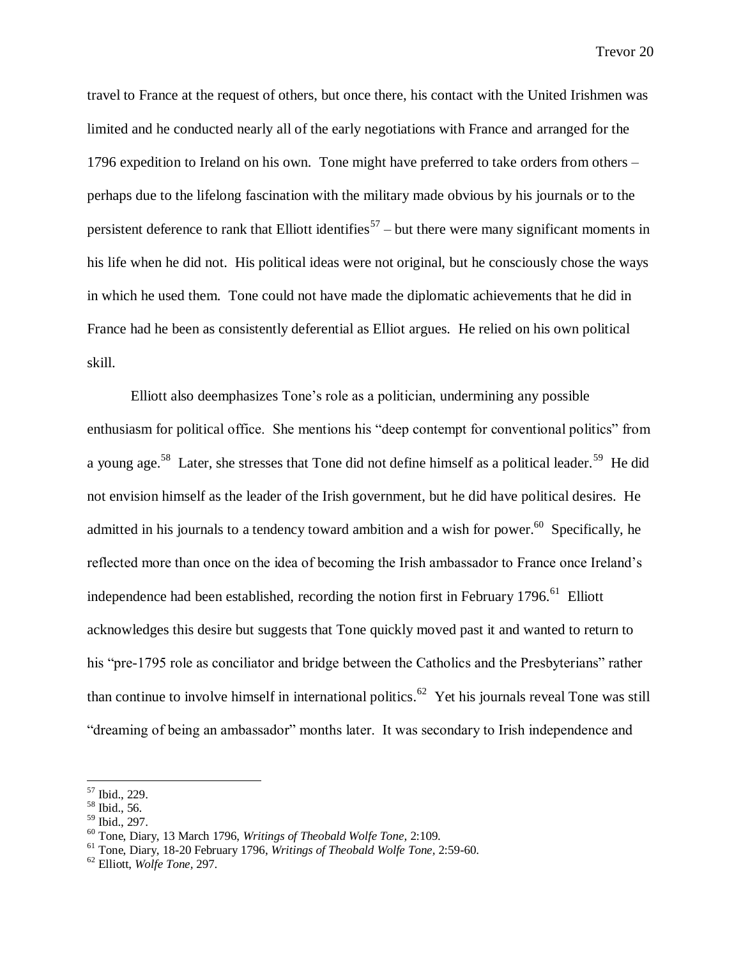travel to France at the request of others, but once there, his contact with the United Irishmen was limited and he conducted nearly all of the early negotiations with France and arranged for the 1796 expedition to Ireland on his own. Tone might have preferred to take orders from others – perhaps due to the lifelong fascination with the military made obvious by his journals or to the persistent deference to rank that Elliott identifies<sup>57</sup> – but there were many significant moments in his life when he did not. His political ideas were not original, but he consciously chose the ways in which he used them. Tone could not have made the diplomatic achievements that he did in France had he been as consistently deferential as Elliot argues. He relied on his own political skill.

Elliott also deemphasizes Tone's role as a politician, undermining any possible enthusiasm for political office. She mentions his "deep contempt for conventional politics" from a young age.<sup>58</sup> Later, she stresses that Tone did not define himself as a political leader.<sup>59</sup> He did not envision himself as the leader of the Irish government, but he did have political desires. He admitted in his journals to a tendency toward ambition and a wish for power.<sup>60</sup> Specifically, he reflected more than once on the idea of becoming the Irish ambassador to France once Ireland's independence had been established, recording the notion first in February 1796.<sup>61</sup> Elliott acknowledges this desire but suggests that Tone quickly moved past it and wanted to return to his "pre-1795 role as conciliator and bridge between the Catholics and the Presbyterians" rather than continue to involve himself in international politics.<sup>62</sup> Yet his journals reveal Tone was still "dreaming of being an ambassador" months later. It was secondary to Irish independence and

<sup>57</sup> Ibid., 229.

 $58$  Ibid., 56.

<sup>59</sup> Ibid., 297.

<sup>60</sup> Tone, Diary, 13 March 1796, *Writings of Theobald Wolfe Tone,* 2:109.

<sup>61</sup> Tone, Diary, 18-20 February 1796, *Writings of Theobald Wolfe Tone,* 2:59-60.

<sup>62</sup> Elliott, *Wolfe Tone,* 297.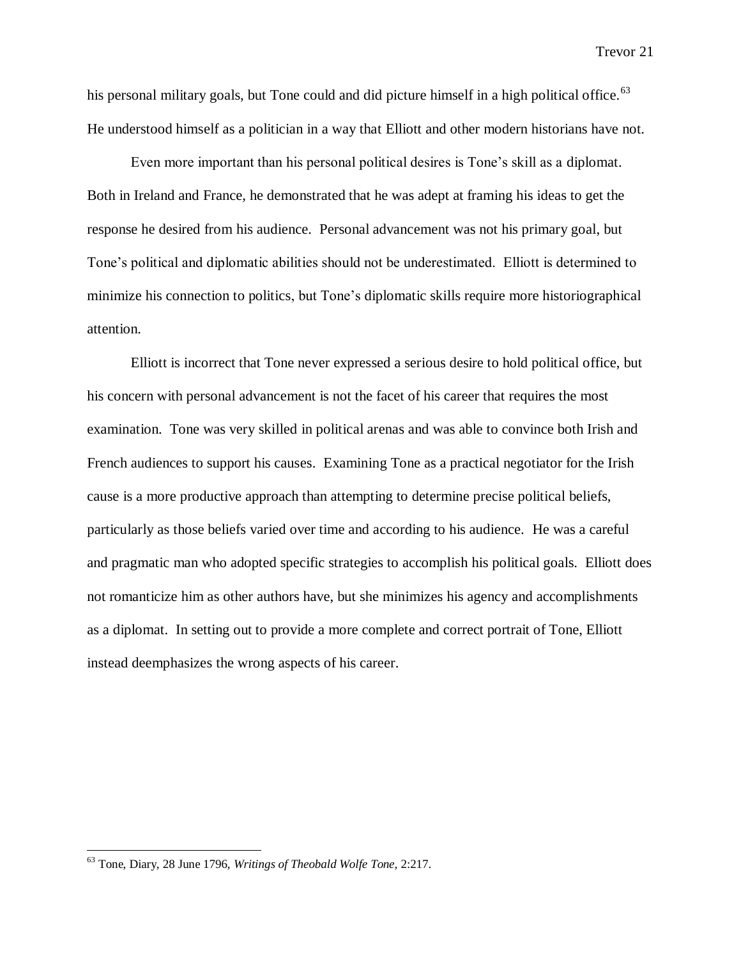his personal military goals, but Tone could and did picture himself in a high political office.<sup>63</sup> He understood himself as a politician in a way that Elliott and other modern historians have not.

Even more important than his personal political desires is Tone's skill as a diplomat. Both in Ireland and France, he demonstrated that he was adept at framing his ideas to get the response he desired from his audience. Personal advancement was not his primary goal, but Tone's political and diplomatic abilities should not be underestimated. Elliott is determined to minimize his connection to politics, but Tone's diplomatic skills require more historiographical attention.

Elliott is incorrect that Tone never expressed a serious desire to hold political office, but his concern with personal advancement is not the facet of his career that requires the most examination. Tone was very skilled in political arenas and was able to convince both Irish and French audiences to support his causes. Examining Tone as a practical negotiator for the Irish cause is a more productive approach than attempting to determine precise political beliefs, particularly as those beliefs varied over time and according to his audience. He was a careful and pragmatic man who adopted specific strategies to accomplish his political goals. Elliott does not romanticize him as other authors have, but she minimizes his agency and accomplishments as a diplomat. In setting out to provide a more complete and correct portrait of Tone, Elliott instead deemphasizes the wrong aspects of his career.

<sup>63</sup> Tone, Diary, 28 June 1796, *Writings of Theobald Wolfe Tone,* 2:217.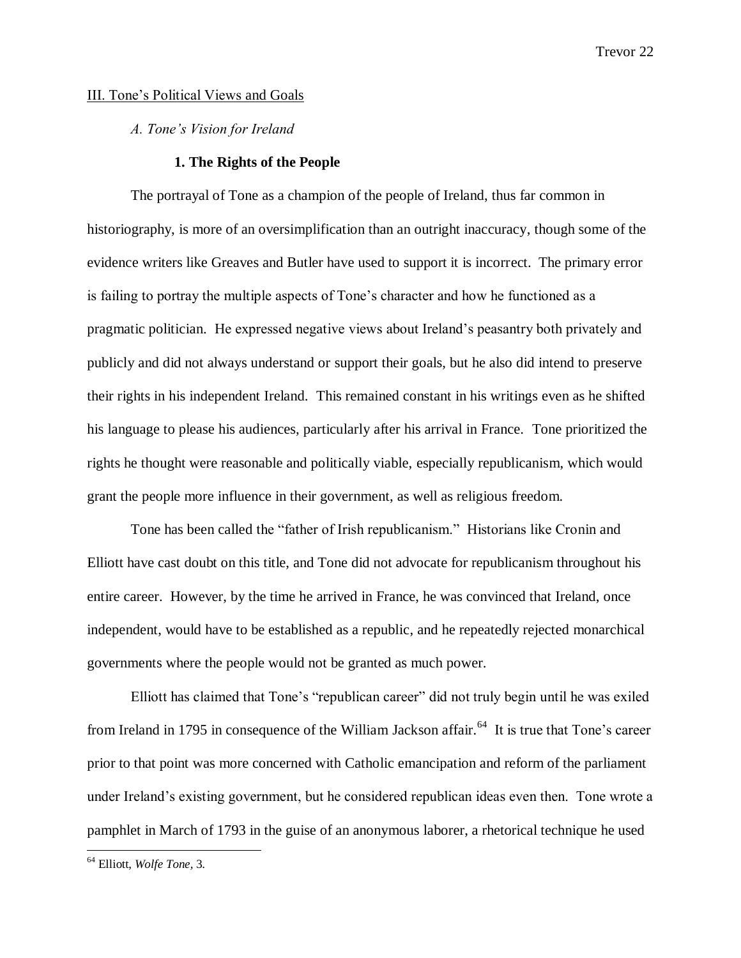# III. Tone's Political Views and Goals

*A. Tone's Vision for Ireland*

# **1. The Rights of the People**

The portrayal of Tone as a champion of the people of Ireland, thus far common in historiography, is more of an oversimplification than an outright inaccuracy, though some of the evidence writers like Greaves and Butler have used to support it is incorrect. The primary error is failing to portray the multiple aspects of Tone's character and how he functioned as a pragmatic politician. He expressed negative views about Ireland's peasantry both privately and publicly and did not always understand or support their goals, but he also did intend to preserve their rights in his independent Ireland. This remained constant in his writings even as he shifted his language to please his audiences, particularly after his arrival in France. Tone prioritized the rights he thought were reasonable and politically viable, especially republicanism, which would grant the people more influence in their government, as well as religious freedom.

Tone has been called the "father of Irish republicanism." Historians like Cronin and Elliott have cast doubt on this title, and Tone did not advocate for republicanism throughout his entire career. However, by the time he arrived in France, he was convinced that Ireland, once independent, would have to be established as a republic, and he repeatedly rejected monarchical governments where the people would not be granted as much power.

Elliott has claimed that Tone's "republican career" did not truly begin until he was exiled from Ireland in 1795 in consequence of the William Jackson affair.<sup>64</sup> It is true that Tone's career prior to that point was more concerned with Catholic emancipation and reform of the parliament under Ireland's existing government, but he considered republican ideas even then. Tone wrote a pamphlet in March of 1793 in the guise of an anonymous laborer, a rhetorical technique he used

<sup>64</sup> Elliott, *Wolfe Tone,* 3.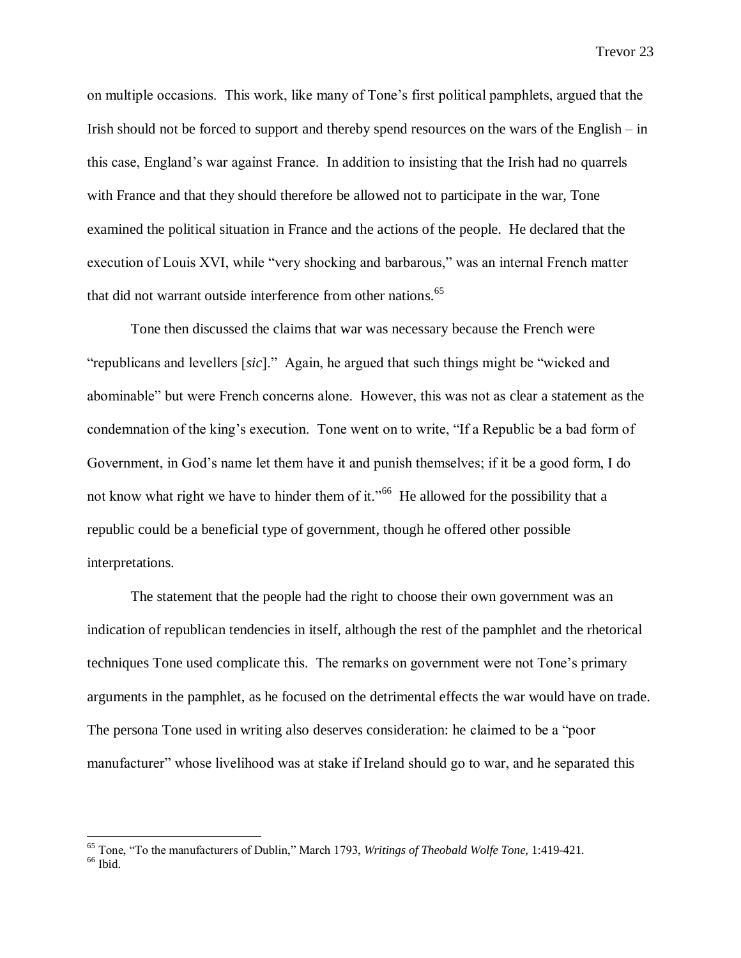on multiple occasions. This work, like many of Tone's first political pamphlets, argued that the Irish should not be forced to support and thereby spend resources on the wars of the English – in this case, England's war against France. In addition to insisting that the Irish had no quarrels with France and that they should therefore be allowed not to participate in the war, Tone examined the political situation in France and the actions of the people. He declared that the execution of Louis XVI, while "very shocking and barbarous," was an internal French matter that did not warrant outside interference from other nations.<sup>65</sup>

Tone then discussed the claims that war was necessary because the French were "republicans and levellers [*sic*]." Again, he argued that such things might be "wicked and abominable" but were French concerns alone. However, this was not as clear a statement as the condemnation of the king's execution. Tone went on to write, "If a Republic be a bad form of Government, in God's name let them have it and punish themselves; if it be a good form, I do not know what right we have to hinder them of it."<sup>66</sup> He allowed for the possibility that a republic could be a beneficial type of government, though he offered other possible interpretations.

The statement that the people had the right to choose their own government was an indication of republican tendencies in itself, although the rest of the pamphlet and the rhetorical techniques Tone used complicate this. The remarks on government were not Tone's primary arguments in the pamphlet, as he focused on the detrimental effects the war would have on trade. The persona Tone used in writing also deserves consideration: he claimed to be a "poor manufacturer" whose livelihood was at stake if Ireland should go to war, and he separated this

<sup>65</sup> Tone, "To the manufacturers of Dublin," March 1793, *Writings of Theobald Wolfe Tone,* 1:419-421.  $^{66}$  Ibid.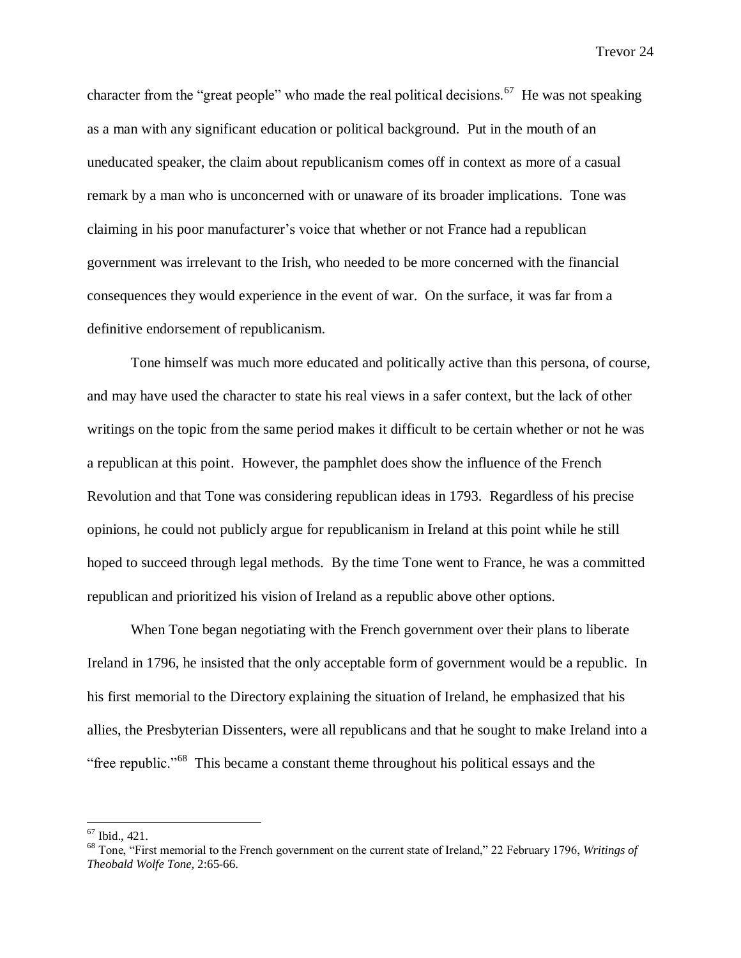character from the "great people" who made the real political decisions.  $67$  He was not speaking as a man with any significant education or political background. Put in the mouth of an uneducated speaker, the claim about republicanism comes off in context as more of a casual remark by a man who is unconcerned with or unaware of its broader implications. Tone was claiming in his poor manufacturer's voice that whether or not France had a republican government was irrelevant to the Irish, who needed to be more concerned with the financial consequences they would experience in the event of war. On the surface, it was far from a definitive endorsement of republicanism.

Tone himself was much more educated and politically active than this persona, of course, and may have used the character to state his real views in a safer context, but the lack of other writings on the topic from the same period makes it difficult to be certain whether or not he was a republican at this point. However, the pamphlet does show the influence of the French Revolution and that Tone was considering republican ideas in 1793. Regardless of his precise opinions, he could not publicly argue for republicanism in Ireland at this point while he still hoped to succeed through legal methods. By the time Tone went to France, he was a committed republican and prioritized his vision of Ireland as a republic above other options.

When Tone began negotiating with the French government over their plans to liberate Ireland in 1796, he insisted that the only acceptable form of government would be a republic. In his first memorial to the Directory explaining the situation of Ireland, he emphasized that his allies, the Presbyterian Dissenters, were all republicans and that he sought to make Ireland into a "free republic."<sup>68</sup> This became a constant theme throughout his political essays and the

<sup>67</sup> Ibid., 421.

<sup>68</sup> Tone, "First memorial to the French government on the current state of Ireland," 22 February 1796, *Writings of Theobald Wolfe Tone,* 2:65-66.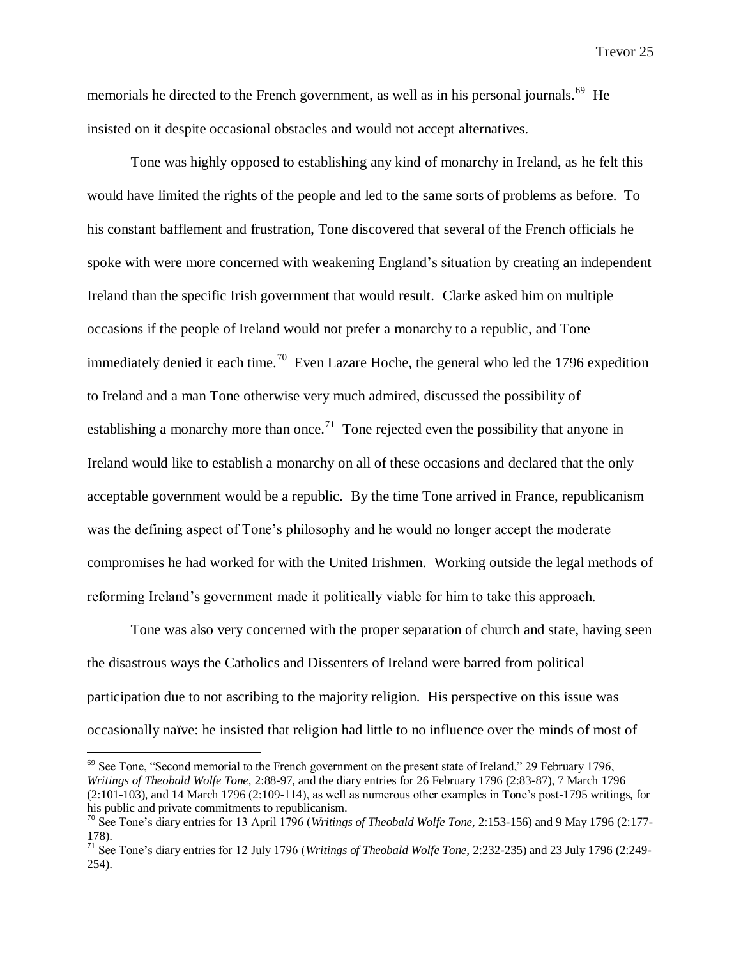memorials he directed to the French government, as well as in his personal journals.<sup>69</sup> He insisted on it despite occasional obstacles and would not accept alternatives.

Tone was highly opposed to establishing any kind of monarchy in Ireland, as he felt this would have limited the rights of the people and led to the same sorts of problems as before. To his constant bafflement and frustration, Tone discovered that several of the French officials he spoke with were more concerned with weakening England's situation by creating an independent Ireland than the specific Irish government that would result. Clarke asked him on multiple occasions if the people of Ireland would not prefer a monarchy to a republic, and Tone immediately denied it each time.<sup>70</sup> Even Lazare Hoche, the general who led the 1796 expedition to Ireland and a man Tone otherwise very much admired, discussed the possibility of establishing a monarchy more than once.<sup>71</sup> Tone rejected even the possibility that anyone in Ireland would like to establish a monarchy on all of these occasions and declared that the only acceptable government would be a republic. By the time Tone arrived in France, republicanism was the defining aspect of Tone's philosophy and he would no longer accept the moderate compromises he had worked for with the United Irishmen. Working outside the legal methods of reforming Ireland's government made it politically viable for him to take this approach.

Tone was also very concerned with the proper separation of church and state, having seen the disastrous ways the Catholics and Dissenters of Ireland were barred from political participation due to not ascribing to the majority religion. His perspective on this issue was occasionally naïve: he insisted that religion had little to no influence over the minds of most of

<sup>&</sup>lt;sup>69</sup> See Tone, "Second memorial to the French government on the present state of Ireland," 29 February 1796, *Writings of Theobald Wolfe Tone,* 2:88-97, and the diary entries for 26 February 1796 (2:83-87), 7 March 1796 (2:101-103), and 14 March 1796 (2:109-114), as well as numerous other examples in Tone's post-1795 writings, for his public and private commitments to republicanism.

<sup>70</sup> See Tone's diary entries for 13 April 1796 (*Writings of Theobald Wolfe Tone,* 2:153-156) and 9 May 1796 (2:177- 178).

<sup>71</sup> See Tone's diary entries for 12 July 1796 (*Writings of Theobald Wolfe Tone,* 2:232-235) and 23 July 1796 (2:249- 254).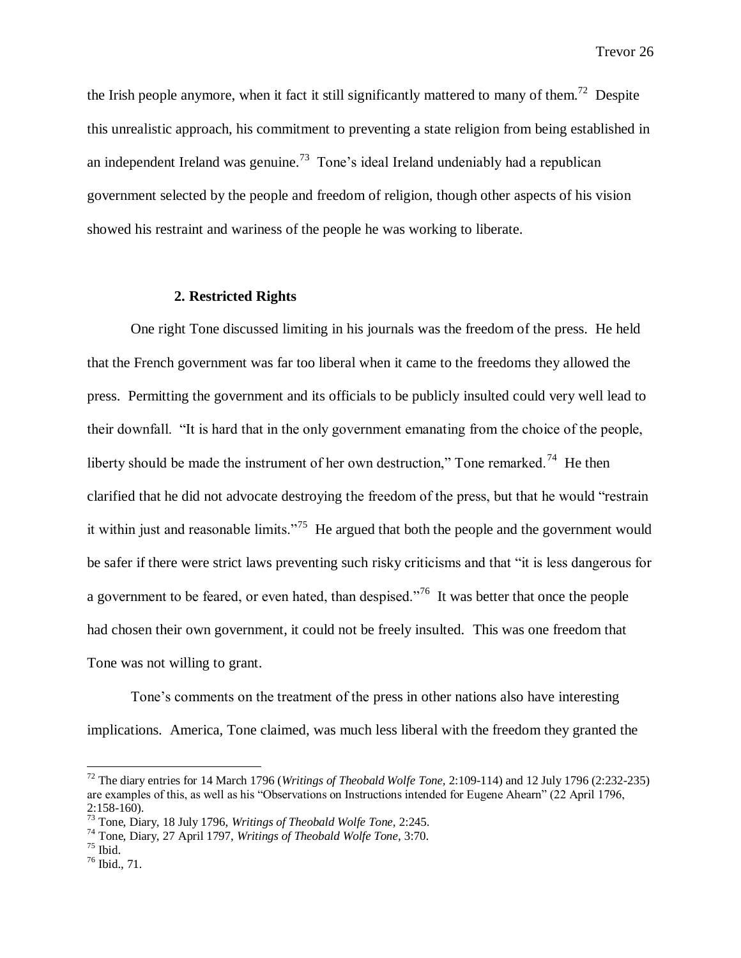the Irish people anymore, when it fact it still significantly mattered to many of them.<sup>72</sup> Despite this unrealistic approach, his commitment to preventing a state religion from being established in an independent Ireland was genuine.<sup>73</sup> Tone's ideal Ireland undeniably had a republican government selected by the people and freedom of religion, though other aspects of his vision showed his restraint and wariness of the people he was working to liberate.

#### **2. Restricted Rights**

One right Tone discussed limiting in his journals was the freedom of the press. He held that the French government was far too liberal when it came to the freedoms they allowed the press. Permitting the government and its officials to be publicly insulted could very well lead to their downfall. "It is hard that in the only government emanating from the choice of the people, liberty should be made the instrument of her own destruction," Tone remarked.<sup>74</sup> He then clarified that he did not advocate destroying the freedom of the press, but that he would "restrain it within just and reasonable limits."<sup>75</sup> He argued that both the people and the government would be safer if there were strict laws preventing such risky criticisms and that "it is less dangerous for a government to be feared, or even hated, than despised.<sup> $.76$ </sup> It was better that once the people had chosen their own government, it could not be freely insulted. This was one freedom that Tone was not willing to grant.

Tone's comments on the treatment of the press in other nations also have interesting implications. America, Tone claimed, was much less liberal with the freedom they granted the

<sup>72</sup> The diary entries for 14 March 1796 (*Writings of Theobald Wolfe Tone,* 2:109-114) and 12 July 1796 (2:232-235) are examples of this, as well as his "Observations on Instructions intended for Eugene Ahearn" (22 April 1796,  $2:158-160$ ).

<sup>73</sup> Tone, Diary, 18 July 1796, *Writings of Theobald Wolfe Tone,* 2:245.

<sup>74</sup> Tone, Diary, 27 April 1797, *Writings of Theobald Wolfe Tone,* 3:70.

<sup>75</sup> Ibid.

<sup>76</sup> Ibid., 71.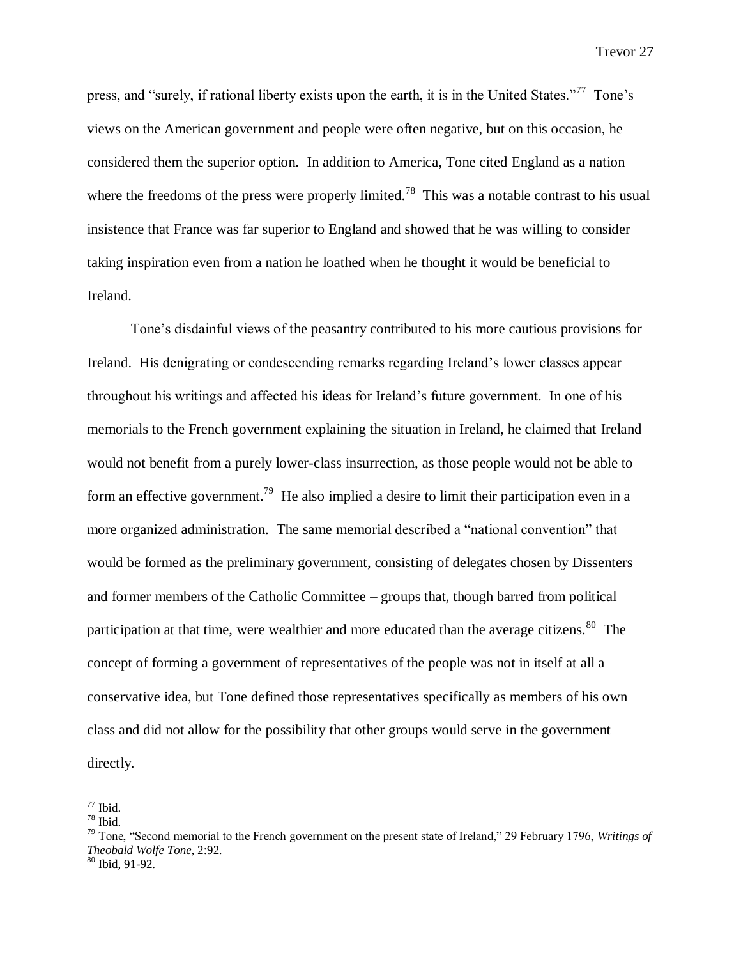press, and "surely, if rational liberty exists upon the earth, it is in the United States."<sup>77</sup> Tone's views on the American government and people were often negative, but on this occasion, he considered them the superior option. In addition to America, Tone cited England as a nation where the freedoms of the press were properly limited.<sup>78</sup> This was a notable contrast to his usual insistence that France was far superior to England and showed that he was willing to consider taking inspiration even from a nation he loathed when he thought it would be beneficial to Ireland.

Tone's disdainful views of the peasantry contributed to his more cautious provisions for Ireland. His denigrating or condescending remarks regarding Ireland's lower classes appear throughout his writings and affected his ideas for Ireland's future government. In one of his memorials to the French government explaining the situation in Ireland, he claimed that Ireland would not benefit from a purely lower-class insurrection, as those people would not be able to form an effective government.<sup>79</sup> He also implied a desire to limit their participation even in a more organized administration. The same memorial described a "national convention" that would be formed as the preliminary government, consisting of delegates chosen by Dissenters and former members of the Catholic Committee – groups that, though barred from political participation at that time, were wealthier and more educated than the average citizens.<sup>80</sup> The concept of forming a government of representatives of the people was not in itself at all a conservative idea, but Tone defined those representatives specifically as members of his own class and did not allow for the possibility that other groups would serve in the government directly.

 $\overline{a}$ 

 $77$  Ibid.  $78$  Ibid.

<sup>79</sup> Tone, "Second memorial to the French government on the present state of Ireland," 29 February 1796, *Writings of Theobald Wolfe Tone,* 2:92.

 $80$  Ibid, 91-92.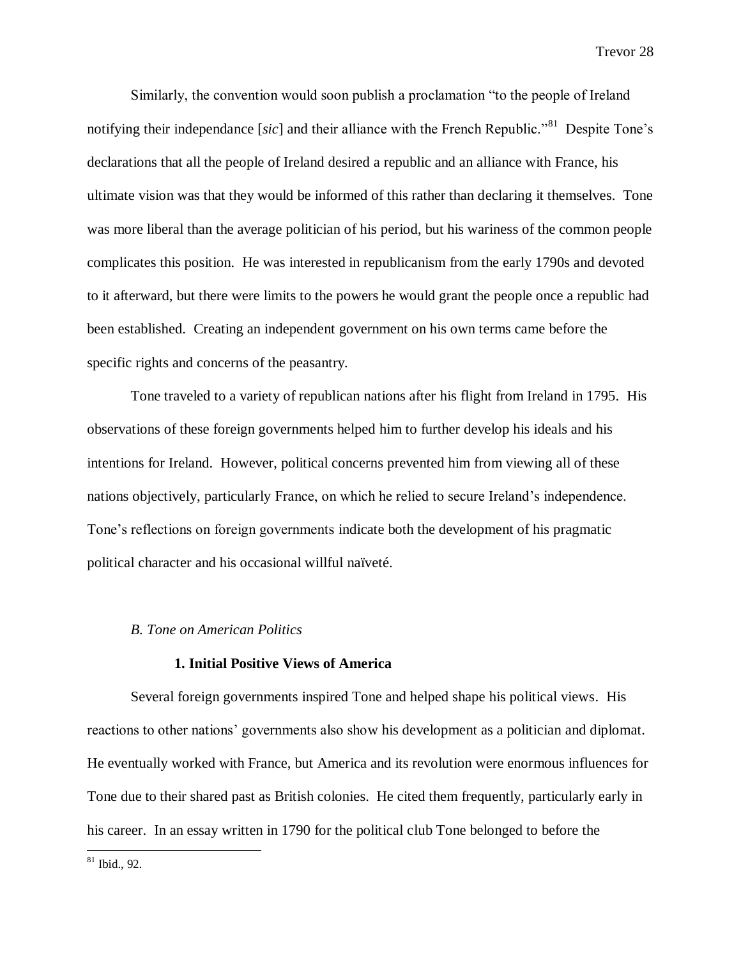Similarly, the convention would soon publish a proclamation "to the people of Ireland notifying their independance [*sic*] and their alliance with the French Republic."<sup>81</sup> Despite Tone's declarations that all the people of Ireland desired a republic and an alliance with France, his ultimate vision was that they would be informed of this rather than declaring it themselves. Tone was more liberal than the average politician of his period, but his wariness of the common people complicates this position. He was interested in republicanism from the early 1790s and devoted to it afterward, but there were limits to the powers he would grant the people once a republic had been established. Creating an independent government on his own terms came before the specific rights and concerns of the peasantry.

Tone traveled to a variety of republican nations after his flight from Ireland in 1795. His observations of these foreign governments helped him to further develop his ideals and his intentions for Ireland. However, political concerns prevented him from viewing all of these nations objectively, particularly France, on which he relied to secure Ireland's independence. Tone's reflections on foreign governments indicate both the development of his pragmatic political character and his occasional willful naïveté.

#### *B. Tone on American Politics*

# **1. Initial Positive Views of America**

Several foreign governments inspired Tone and helped shape his political views. His reactions to other nations' governments also show his development as a politician and diplomat. He eventually worked with France, but America and its revolution were enormous influences for Tone due to their shared past as British colonies. He cited them frequently, particularly early in his career. In an essay written in 1790 for the political club Tone belonged to before the

 $81$  Ibid., 92.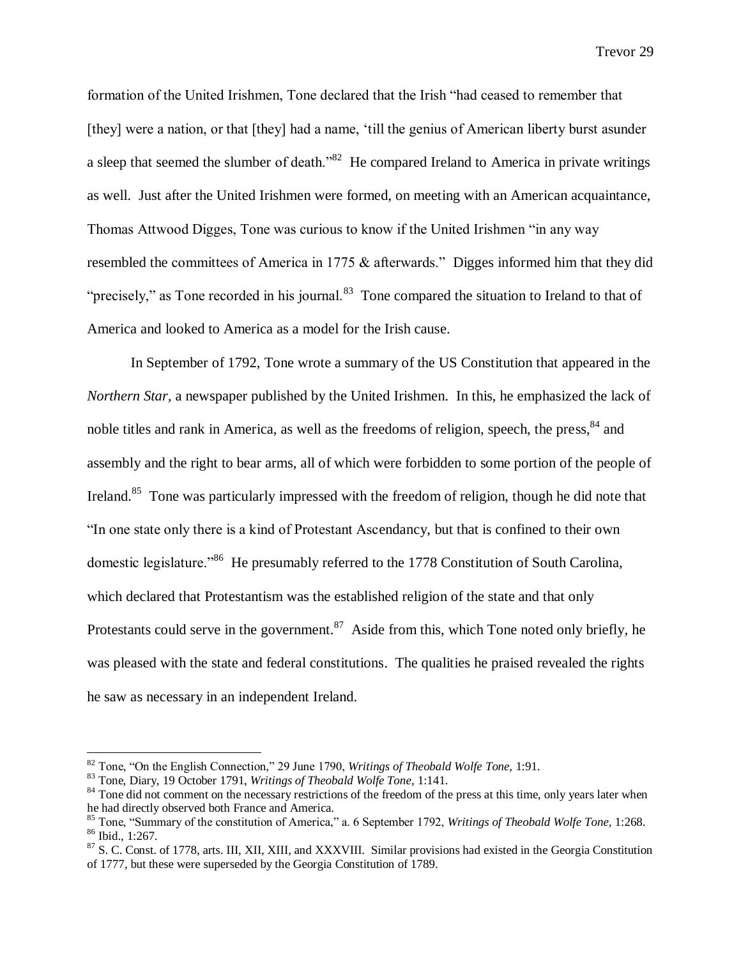formation of the United Irishmen, Tone declared that the Irish "had ceased to remember that [they] were a nation, or that [they] had a name, 'till the genius of American liberty burst asunder a sleep that seemed the slumber of death.<sup>382</sup> He compared Ireland to America in private writings as well. Just after the United Irishmen were formed, on meeting with an American acquaintance, Thomas Attwood Digges, Tone was curious to know if the United Irishmen "in any way resembled the committees of America in 1775 & afterwards." Digges informed him that they did "precisely," as Tone recorded in his journal.<sup>83</sup> Tone compared the situation to Ireland to that of America and looked to America as a model for the Irish cause.

In September of 1792, Tone wrote a summary of the US Constitution that appeared in the *Northern Star,* a newspaper published by the United Irishmen. In this, he emphasized the lack of noble titles and rank in America, as well as the freedoms of religion, speech, the press, <sup>84</sup> and assembly and the right to bear arms, all of which were forbidden to some portion of the people of Ireland.<sup>85</sup> Tone was particularly impressed with the freedom of religion, though he did note that "In one state only there is a kind of Protestant Ascendancy, but that is confined to their own domestic legislature.<sup>86</sup> He presumably referred to the 1778 Constitution of South Carolina, which declared that Protestantism was the established religion of the state and that only Protestants could serve in the government. $87$  Aside from this, which Tone noted only briefly, he was pleased with the state and federal constitutions. The qualities he praised revealed the rights he saw as necessary in an independent Ireland.

<sup>82</sup> Tone, "On the English Connection," 29 June 1790, *Writings of Theobald Wolfe Tone,* 1:91.

<sup>83</sup> Tone, Diary, 19 October 1791, *Writings of Theobald Wolfe Tone,* 1:141.

<sup>&</sup>lt;sup>84</sup> Tone did not comment on the necessary restrictions of the freedom of the press at this time, only years later when he had directly observed both France and America.

<sup>85</sup> Tone, "Summary of the constitution of America," a. 6 September 1792, *Writings of Theobald Wolfe Tone,* 1:268. <sup>86</sup> Ibid., 1:267.

<sup>&</sup>lt;sup>87</sup> S. C. Const. of 1778, arts. III, XII, XIII, and XXXVIII. Similar provisions had existed in the Georgia Constitution of 1777, but these were superseded by the Georgia Constitution of 1789.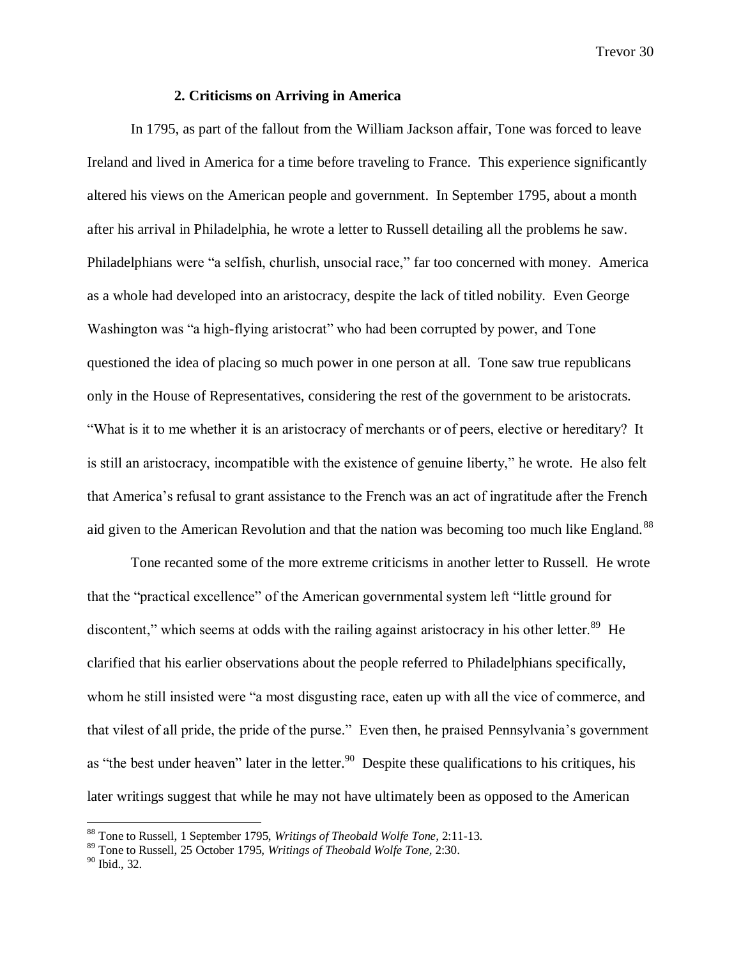# **2. Criticisms on Arriving in America**

In 1795, as part of the fallout from the William Jackson affair, Tone was forced to leave Ireland and lived in America for a time before traveling to France. This experience significantly altered his views on the American people and government. In September 1795, about a month after his arrival in Philadelphia, he wrote a letter to Russell detailing all the problems he saw. Philadelphians were "a selfish, churlish, unsocial race," far too concerned with money. America as a whole had developed into an aristocracy, despite the lack of titled nobility. Even George Washington was "a high-flying aristocrat" who had been corrupted by power, and Tone questioned the idea of placing so much power in one person at all. Tone saw true republicans only in the House of Representatives, considering the rest of the government to be aristocrats. "What is it to me whether it is an aristocracy of merchants or of peers, elective or hereditary? It is still an aristocracy, incompatible with the existence of genuine liberty," he wrote. He also felt that America's refusal to grant assistance to the French was an act of ingratitude after the French aid given to the American Revolution and that the nation was becoming too much like England.<sup>88</sup>

Tone recanted some of the more extreme criticisms in another letter to Russell. He wrote that the "practical excellence" of the American governmental system left "little ground for discontent," which seems at odds with the railing against aristocracy in his other letter.<sup>89</sup> He clarified that his earlier observations about the people referred to Philadelphians specifically, whom he still insisted were "a most disgusting race, eaten up with all the vice of commerce, and that vilest of all pride, the pride of the purse." Even then, he praised Pennsylvania's government as "the best under heaven" later in the letter.<sup>90</sup> Despite these qualifications to his critiques, his later writings suggest that while he may not have ultimately been as opposed to the American

<sup>88</sup> Tone to Russell, 1 September 1795, *Writings of Theobald Wolfe Tone,* 2:11-13.

<sup>89</sup> Tone to Russell, 25 October 1795, *Writings of Theobald Wolfe Tone,* 2:30.

<sup>90</sup> Ibid., 32.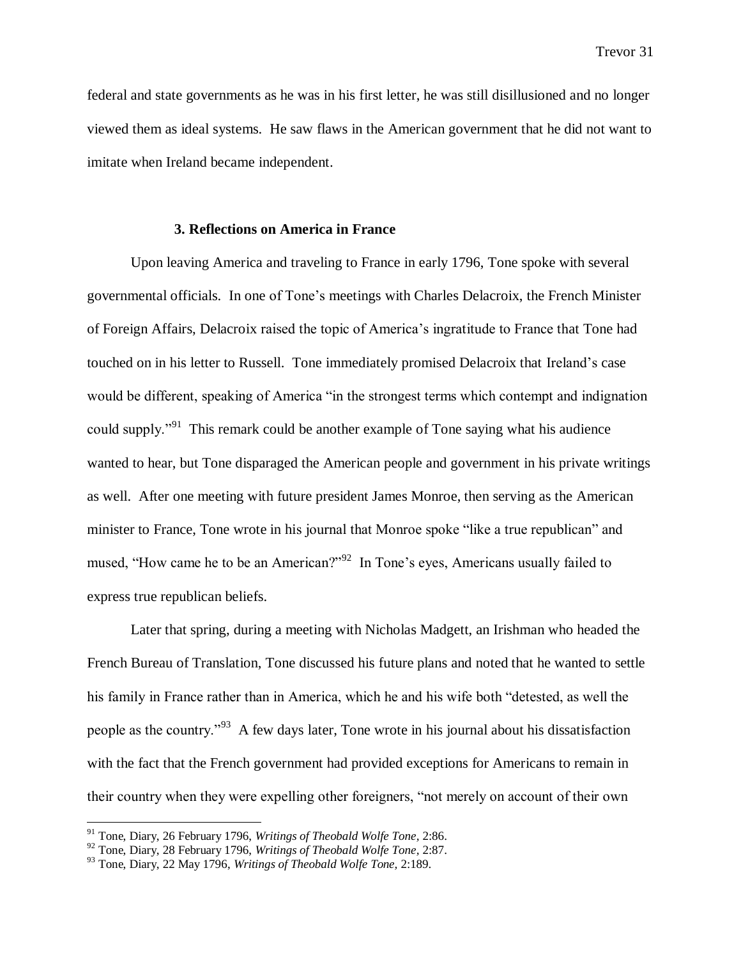federal and state governments as he was in his first letter, he was still disillusioned and no longer viewed them as ideal systems. He saw flaws in the American government that he did not want to imitate when Ireland became independent.

# **3. Reflections on America in France**

Upon leaving America and traveling to France in early 1796, Tone spoke with several governmental officials. In one of Tone's meetings with Charles Delacroix, the French Minister of Foreign Affairs, Delacroix raised the topic of America's ingratitude to France that Tone had touched on in his letter to Russell. Tone immediately promised Delacroix that Ireland's case would be different, speaking of America "in the strongest terms which contempt and indignation could supply."<sup>91</sup> This remark could be another example of Tone saying what his audience wanted to hear, but Tone disparaged the American people and government in his private writings as well. After one meeting with future president James Monroe, then serving as the American minister to France, Tone wrote in his journal that Monroe spoke "like a true republican" and mused, "How came he to be an American?"<sup>92</sup> In Tone's eyes, Americans usually failed to express true republican beliefs.

Later that spring, during a meeting with Nicholas Madgett, an Irishman who headed the French Bureau of Translation, Tone discussed his future plans and noted that he wanted to settle his family in France rather than in America, which he and his wife both "detested, as well the people as the country."<sup>93</sup> A few days later, Tone wrote in his journal about his dissatisfaction with the fact that the French government had provided exceptions for Americans to remain in their country when they were expelling other foreigners, "not merely on account of their own

<sup>91</sup> Tone, Diary, 26 February 1796, *Writings of Theobald Wolfe Tone,* 2:86.

<sup>92</sup> Tone, Diary, 28 February 1796, *Writings of Theobald Wolfe Tone,* 2:87.

<sup>93</sup> Tone, Diary, 22 May 1796, *Writings of Theobald Wolfe Tone,* 2:189.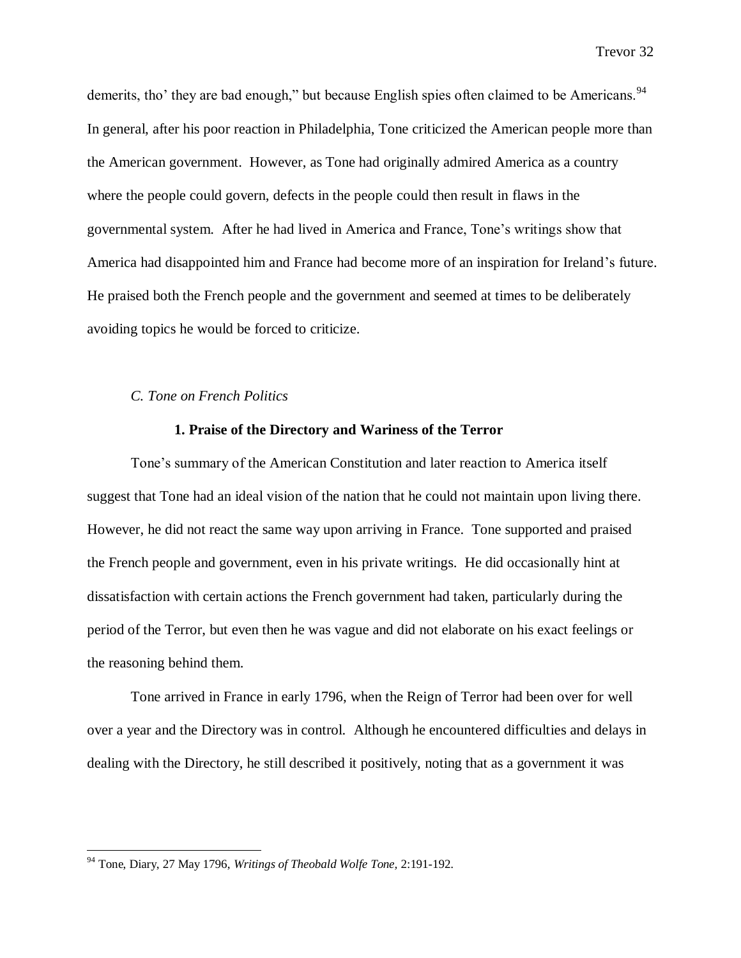demerits, tho' they are bad enough," but because English spies often claimed to be Americans.<sup>94</sup> In general, after his poor reaction in Philadelphia, Tone criticized the American people more than the American government. However, as Tone had originally admired America as a country where the people could govern, defects in the people could then result in flaws in the governmental system. After he had lived in America and France, Tone's writings show that America had disappointed him and France had become more of an inspiration for Ireland's future. He praised both the French people and the government and seemed at times to be deliberately avoiding topics he would be forced to criticize.

### *C. Tone on French Politics*

# **1. Praise of the Directory and Wariness of the Terror**

Tone's summary of the American Constitution and later reaction to America itself suggest that Tone had an ideal vision of the nation that he could not maintain upon living there. However, he did not react the same way upon arriving in France. Tone supported and praised the French people and government, even in his private writings. He did occasionally hint at dissatisfaction with certain actions the French government had taken, particularly during the period of the Terror, but even then he was vague and did not elaborate on his exact feelings or the reasoning behind them.

Tone arrived in France in early 1796, when the Reign of Terror had been over for well over a year and the Directory was in control. Although he encountered difficulties and delays in dealing with the Directory, he still described it positively, noting that as a government it was

<sup>94</sup> Tone, Diary, 27 May 1796, *Writings of Theobald Wolfe Tone,* 2:191-192.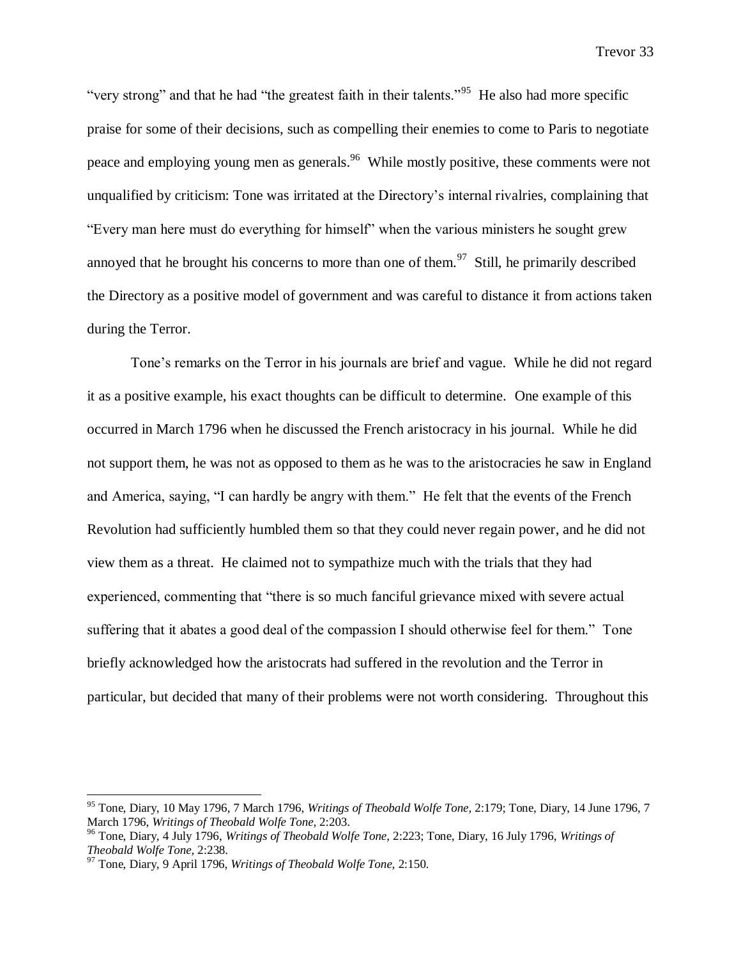"very strong" and that he had "the greatest faith in their talents."<sup>95</sup> He also had more specific praise for some of their decisions, such as compelling their enemies to come to Paris to negotiate peace and employing young men as generals.<sup>96</sup> While mostly positive, these comments were not unqualified by criticism: Tone was irritated at the Directory's internal rivalries, complaining that "Every man here must do everything for himself" when the various ministers he sought grew annoyed that he brought his concerns to more than one of them.<sup>97</sup> Still, he primarily described the Directory as a positive model of government and was careful to distance it from actions taken during the Terror.

Tone's remarks on the Terror in his journals are brief and vague. While he did not regard it as a positive example, his exact thoughts can be difficult to determine. One example of this occurred in March 1796 when he discussed the French aristocracy in his journal. While he did not support them, he was not as opposed to them as he was to the aristocracies he saw in England and America, saying, "I can hardly be angry with them." He felt that the events of the French Revolution had sufficiently humbled them so that they could never regain power, and he did not view them as a threat. He claimed not to sympathize much with the trials that they had experienced, commenting that "there is so much fanciful grievance mixed with severe actual suffering that it abates a good deal of the compassion I should otherwise feel for them." Tone briefly acknowledged how the aristocrats had suffered in the revolution and the Terror in particular, but decided that many of their problems were not worth considering. Throughout this

<sup>95</sup> Tone, Diary, 10 May 1796, 7 March 1796, *Writings of Theobald Wolfe Tone,* 2:179; Tone, Diary, 14 June 1796, 7 March 1796, *Writings of Theobald Wolfe Tone,* 2:203.

<sup>96</sup> Tone, Diary, 4 July 1796, *Writings of Theobald Wolfe Tone,* 2:223; Tone, Diary, 16 July 1796, *Writings of Theobald Wolfe Tone,* 2:238.

<sup>97</sup> Tone, Diary, 9 April 1796, *Writings of Theobald Wolfe Tone,* 2:150.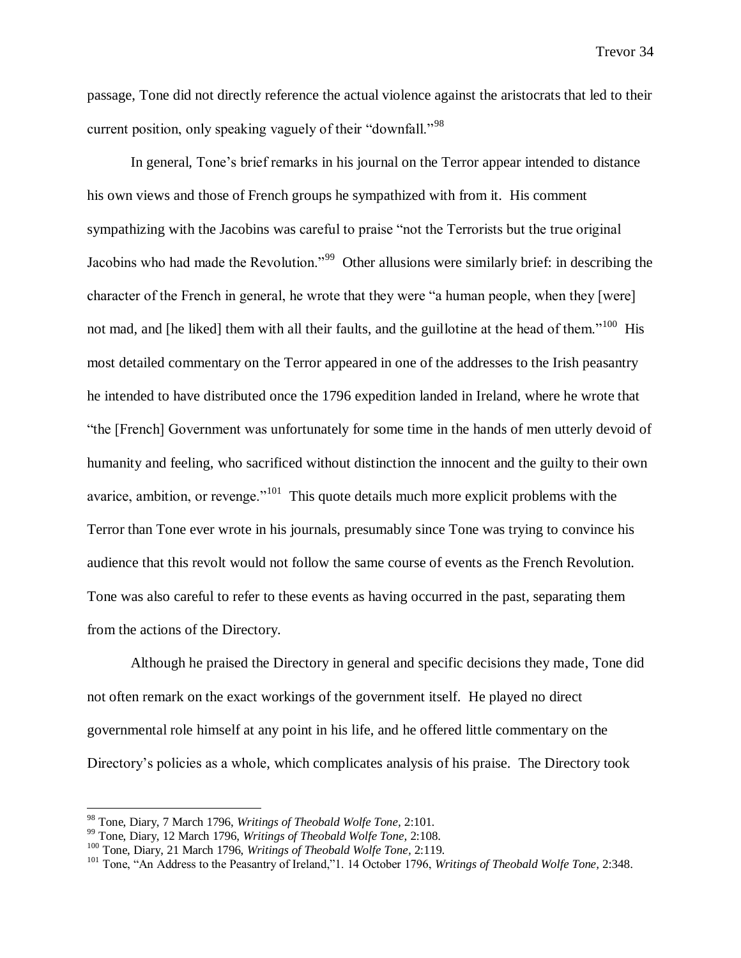passage, Tone did not directly reference the actual violence against the aristocrats that led to their current position, only speaking vaguely of their "downfall."<sup>98</sup>

In general, Tone's brief remarks in his journal on the Terror appear intended to distance his own views and those of French groups he sympathized with from it. His comment sympathizing with the Jacobins was careful to praise "not the Terrorists but the true original Jacobins who had made the Revolution."<sup>99</sup> Other allusions were similarly brief: in describing the character of the French in general, he wrote that they were "a human people, when they [were] not mad, and [he liked] them with all their faults, and the guillotine at the head of them."<sup>100</sup> His most detailed commentary on the Terror appeared in one of the addresses to the Irish peasantry he intended to have distributed once the 1796 expedition landed in Ireland, where he wrote that "the [French] Government was unfortunately for some time in the hands of men utterly devoid of humanity and feeling, who sacrificed without distinction the innocent and the guilty to their own avarice, ambition, or revenge."<sup>101</sup> This quote details much more explicit problems with the Terror than Tone ever wrote in his journals, presumably since Tone was trying to convince his audience that this revolt would not follow the same course of events as the French Revolution. Tone was also careful to refer to these events as having occurred in the past, separating them from the actions of the Directory.

Although he praised the Directory in general and specific decisions they made, Tone did not often remark on the exact workings of the government itself. He played no direct governmental role himself at any point in his life, and he offered little commentary on the Directory's policies as a whole, which complicates analysis of his praise. The Directory took

<sup>98</sup> Tone, Diary, 7 March 1796, *Writings of Theobald Wolfe Tone,* 2:101.

<sup>99</sup> Tone, Diary, 12 March 1796, *Writings of Theobald Wolfe Tone,* 2:108.

<sup>100</sup> Tone, Diary, 21 March 1796, *Writings of Theobald Wolfe Tone,* 2:119.

<sup>101</sup> Tone, "An Address to the Peasantry of Ireland,"1. 14 October 1796, *Writings of Theobald Wolfe Tone,* 2:348.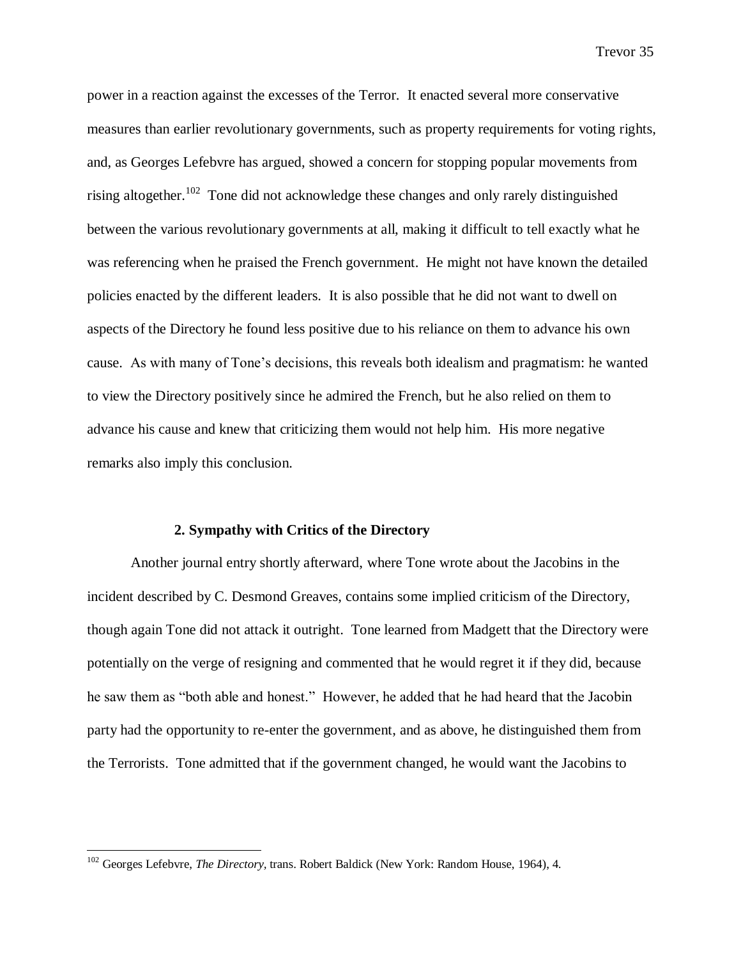power in a reaction against the excesses of the Terror. It enacted several more conservative measures than earlier revolutionary governments, such as property requirements for voting rights, and, as Georges Lefebvre has argued, showed a concern for stopping popular movements from rising altogether.<sup>102</sup> Tone did not acknowledge these changes and only rarely distinguished between the various revolutionary governments at all, making it difficult to tell exactly what he was referencing when he praised the French government. He might not have known the detailed policies enacted by the different leaders. It is also possible that he did not want to dwell on aspects of the Directory he found less positive due to his reliance on them to advance his own cause. As with many of Tone's decisions, this reveals both idealism and pragmatism: he wanted to view the Directory positively since he admired the French, but he also relied on them to advance his cause and knew that criticizing them would not help him. His more negative remarks also imply this conclusion.

#### **2. Sympathy with Critics of the Directory**

Another journal entry shortly afterward, where Tone wrote about the Jacobins in the incident described by C. Desmond Greaves, contains some implied criticism of the Directory, though again Tone did not attack it outright. Tone learned from Madgett that the Directory were potentially on the verge of resigning and commented that he would regret it if they did, because he saw them as "both able and honest." However, he added that he had heard that the Jacobin party had the opportunity to re-enter the government, and as above, he distinguished them from the Terrorists. Tone admitted that if the government changed, he would want the Jacobins to

<sup>&</sup>lt;sup>102</sup> Georges Lefebvre, *The Directory*, trans. Robert Baldick (New York: Random House, 1964), 4.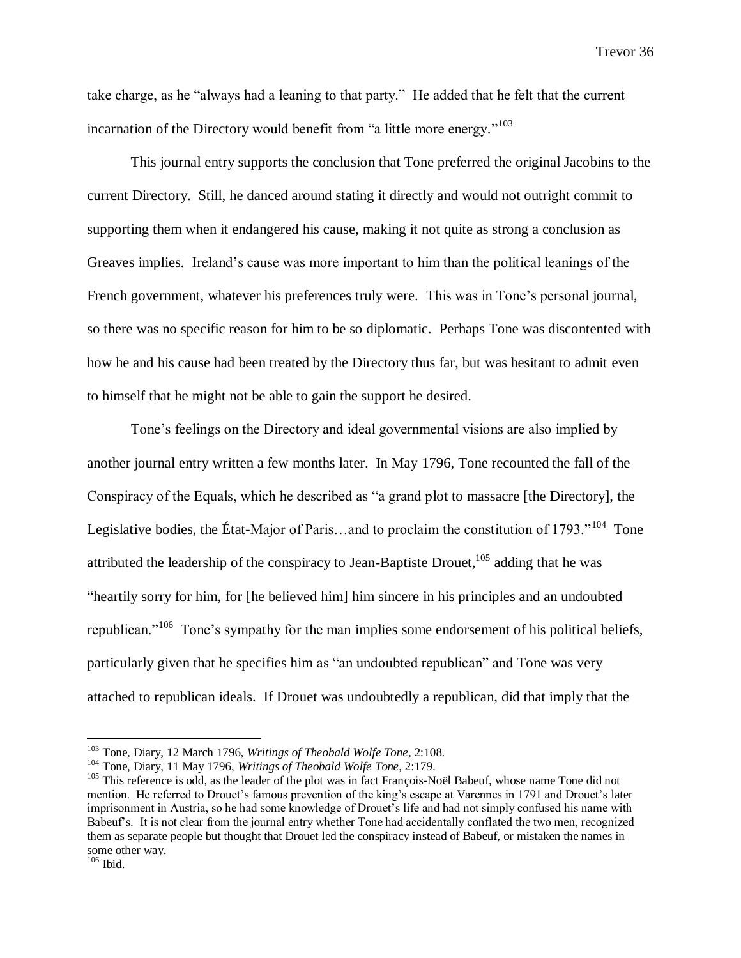take charge, as he "always had a leaning to that party." He added that he felt that the current incarnation of the Directory would benefit from "a little more energy."<sup>103</sup>

This journal entry supports the conclusion that Tone preferred the original Jacobins to the current Directory. Still, he danced around stating it directly and would not outright commit to supporting them when it endangered his cause, making it not quite as strong a conclusion as Greaves implies. Ireland's cause was more important to him than the political leanings of the French government, whatever his preferences truly were. This was in Tone's personal journal, so there was no specific reason for him to be so diplomatic. Perhaps Tone was discontented with how he and his cause had been treated by the Directory thus far, but was hesitant to admit even to himself that he might not be able to gain the support he desired.

Tone's feelings on the Directory and ideal governmental visions are also implied by another journal entry written a few months later. In May 1796, Tone recounted the fall of the Conspiracy of the Equals, which he described as "a grand plot to massacre [the Directory], the Legislative bodies, the État-Major of Paris...and to proclaim the constitution of 1793."<sup>104</sup> Tone attributed the leadership of the conspiracy to Jean-Baptiste Drouet,  $105$  adding that he was "heartily sorry for him, for [he believed him] him sincere in his principles and an undoubted republican."<sup>106</sup> Tone's sympathy for the man implies some endorsement of his political beliefs, particularly given that he specifies him as "an undoubted republican" and Tone was very attached to republican ideals. If Drouet was undoubtedly a republican, did that imply that the

<sup>103</sup> Tone, Diary, 12 March 1796, *Writings of Theobald Wolfe Tone,* 2:108.

<sup>104</sup> Tone, Diary, 11 May 1796, *Writings of Theobald Wolfe Tone,* 2:179.

<sup>&</sup>lt;sup>105</sup> This reference is odd, as the leader of the plot was in fact François-Noël Babeuf, whose name Tone did not mention. He referred to Drouet's famous prevention of the king's escape at Varennes in 1791 and Drouet's later imprisonment in Austria, so he had some knowledge of Drouet's life and had not simply confused his name with Babeuf's. It is not clear from the journal entry whether Tone had accidentally conflated the two men, recognized them as separate people but thought that Drouet led the conspiracy instead of Babeuf, or mistaken the names in some other way.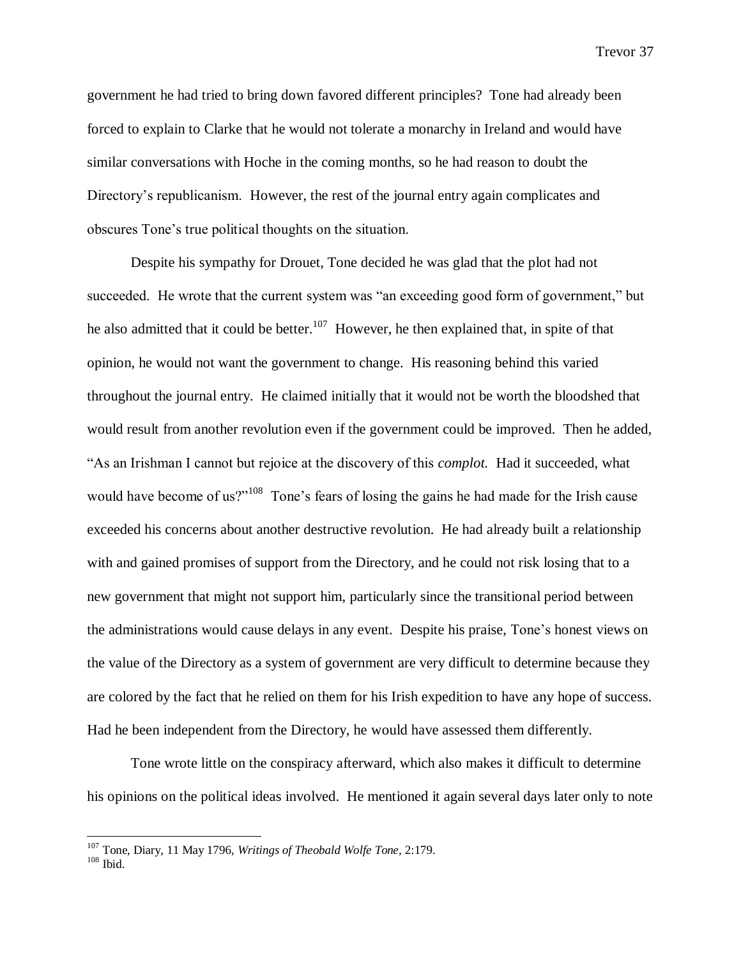government he had tried to bring down favored different principles? Tone had already been forced to explain to Clarke that he would not tolerate a monarchy in Ireland and would have similar conversations with Hoche in the coming months, so he had reason to doubt the Directory's republicanism. However, the rest of the journal entry again complicates and obscures Tone's true political thoughts on the situation.

Despite his sympathy for Drouet, Tone decided he was glad that the plot had not succeeded. He wrote that the current system was "an exceeding good form of government," but he also admitted that it could be better.<sup>107</sup> However, he then explained that, in spite of that opinion, he would not want the government to change. His reasoning behind this varied throughout the journal entry. He claimed initially that it would not be worth the bloodshed that would result from another revolution even if the government could be improved. Then he added, "As an Irishman I cannot but rejoice at the discovery of this *complot.* Had it succeeded, what would have become of us?"<sup>108</sup> Tone's fears of losing the gains he had made for the Irish cause exceeded his concerns about another destructive revolution. He had already built a relationship with and gained promises of support from the Directory, and he could not risk losing that to a new government that might not support him, particularly since the transitional period between the administrations would cause delays in any event. Despite his praise, Tone's honest views on the value of the Directory as a system of government are very difficult to determine because they are colored by the fact that he relied on them for his Irish expedition to have any hope of success. Had he been independent from the Directory, he would have assessed them differently.

Tone wrote little on the conspiracy afterward, which also makes it difficult to determine his opinions on the political ideas involved. He mentioned it again several days later only to note

<sup>107</sup> Tone, Diary, 11 May 1796, *Writings of Theobald Wolfe Tone,* 2:179.

 $108$  Ibid.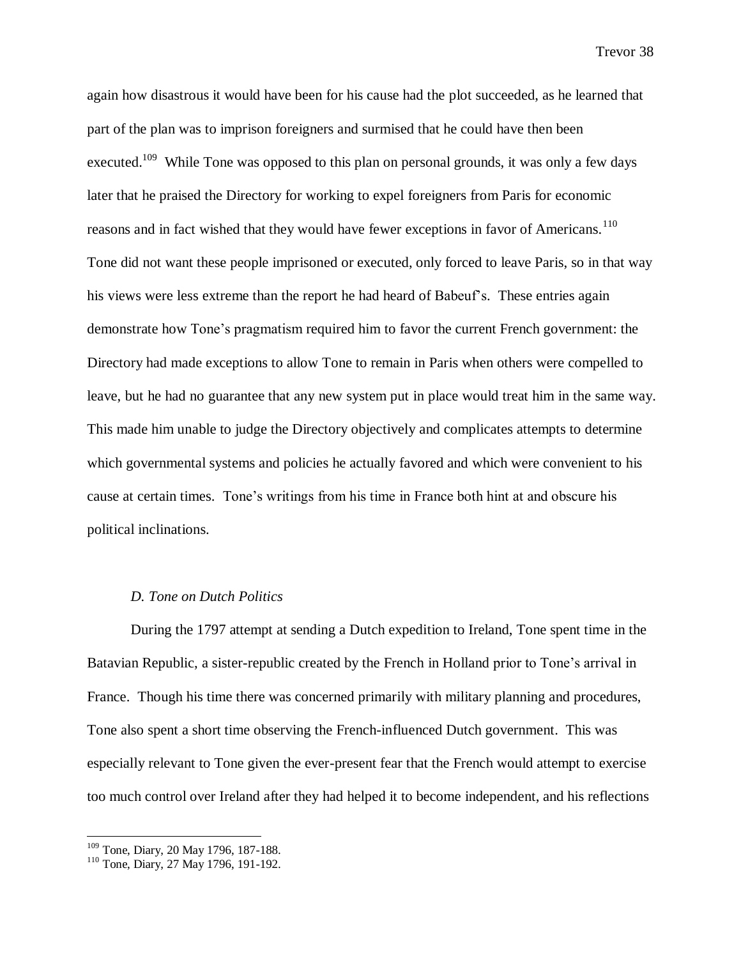again how disastrous it would have been for his cause had the plot succeeded, as he learned that part of the plan was to imprison foreigners and surmised that he could have then been executed.<sup>109</sup> While Tone was opposed to this plan on personal grounds, it was only a few days later that he praised the Directory for working to expel foreigners from Paris for economic reasons and in fact wished that they would have fewer exceptions in favor of Americans.<sup>110</sup> Tone did not want these people imprisoned or executed, only forced to leave Paris, so in that way his views were less extreme than the report he had heard of Babeuf's. These entries again demonstrate how Tone's pragmatism required him to favor the current French government: the Directory had made exceptions to allow Tone to remain in Paris when others were compelled to leave, but he had no guarantee that any new system put in place would treat him in the same way. This made him unable to judge the Directory objectively and complicates attempts to determine which governmental systems and policies he actually favored and which were convenient to his cause at certain times. Tone's writings from his time in France both hint at and obscure his political inclinations.

#### *D. Tone on Dutch Politics*

During the 1797 attempt at sending a Dutch expedition to Ireland, Tone spent time in the Batavian Republic, a sister-republic created by the French in Holland prior to Tone's arrival in France. Though his time there was concerned primarily with military planning and procedures, Tone also spent a short time observing the French-influenced Dutch government. This was especially relevant to Tone given the ever-present fear that the French would attempt to exercise too much control over Ireland after they had helped it to become independent, and his reflections

<sup>&</sup>lt;sup>109</sup> Tone, Diary, 20 May 1796, 187-188.

<sup>&</sup>lt;sup>110</sup> Tone, Diary, 27 May 1796, 191-192.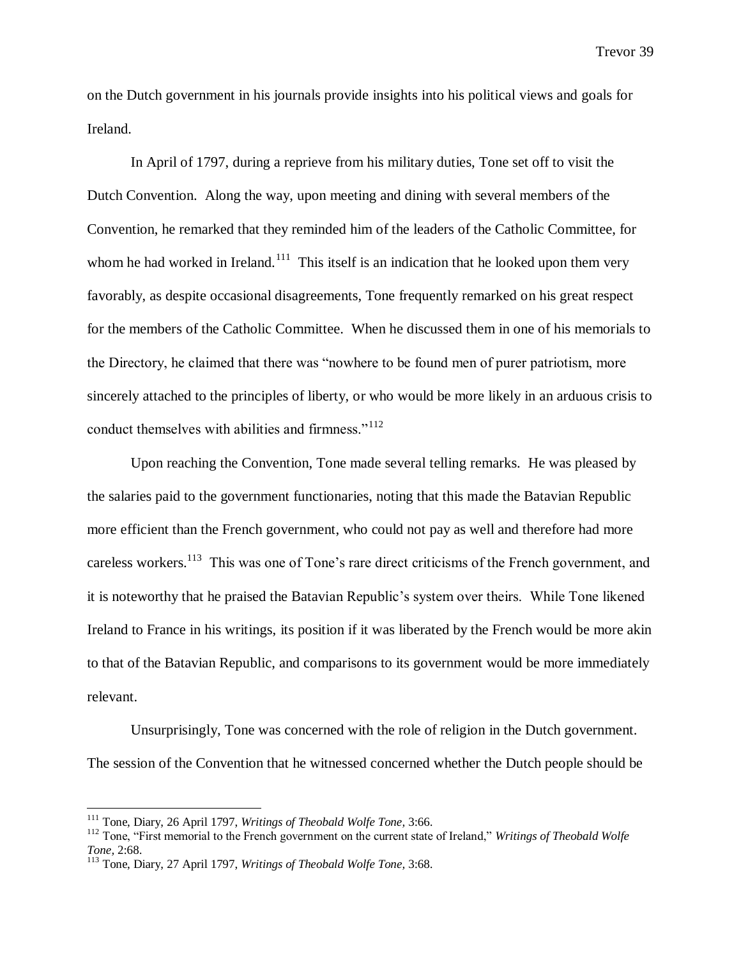on the Dutch government in his journals provide insights into his political views and goals for Ireland.

In April of 1797, during a reprieve from his military duties, Tone set off to visit the Dutch Convention. Along the way, upon meeting and dining with several members of the Convention, he remarked that they reminded him of the leaders of the Catholic Committee, for whom he had worked in Ireland.<sup>111</sup> This itself is an indication that he looked upon them very favorably, as despite occasional disagreements, Tone frequently remarked on his great respect for the members of the Catholic Committee. When he discussed them in one of his memorials to the Directory, he claimed that there was "nowhere to be found men of purer patriotism, more sincerely attached to the principles of liberty, or who would be more likely in an arduous crisis to conduct themselves with abilities and firmness."<sup>112</sup>

Upon reaching the Convention, Tone made several telling remarks. He was pleased by the salaries paid to the government functionaries, noting that this made the Batavian Republic more efficient than the French government, who could not pay as well and therefore had more careless workers.<sup>113</sup> This was one of Tone's rare direct criticisms of the French government, and it is noteworthy that he praised the Batavian Republic's system over theirs. While Tone likened Ireland to France in his writings, its position if it was liberated by the French would be more akin to that of the Batavian Republic, and comparisons to its government would be more immediately relevant.

Unsurprisingly, Tone was concerned with the role of religion in the Dutch government. The session of the Convention that he witnessed concerned whether the Dutch people should be

<sup>111</sup> Tone, Diary, 26 April 1797, *Writings of Theobald Wolfe Tone,* 3:66.

<sup>112</sup> Tone, "First memorial to the French government on the current state of Ireland," *Writings of Theobald Wolfe Tone,* 2:68.

<sup>113</sup> Tone, Diary, 27 April 1797, *Writings of Theobald Wolfe Tone,* 3:68.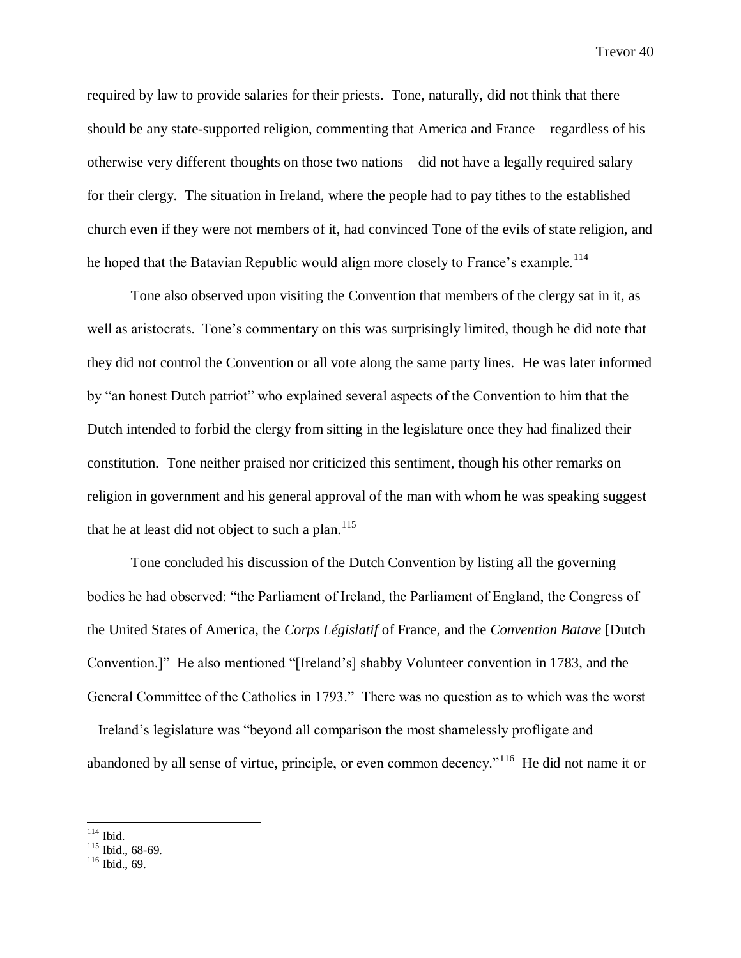required by law to provide salaries for their priests. Tone, naturally, did not think that there should be any state-supported religion, commenting that America and France – regardless of his otherwise very different thoughts on those two nations – did not have a legally required salary for their clergy. The situation in Ireland, where the people had to pay tithes to the established church even if they were not members of it, had convinced Tone of the evils of state religion, and he hoped that the Batavian Republic would align more closely to France's example.<sup>114</sup>

Tone also observed upon visiting the Convention that members of the clergy sat in it, as well as aristocrats. Tone's commentary on this was surprisingly limited, though he did note that they did not control the Convention or all vote along the same party lines. He was later informed by "an honest Dutch patriot" who explained several aspects of the Convention to him that the Dutch intended to forbid the clergy from sitting in the legislature once they had finalized their constitution. Tone neither praised nor criticized this sentiment, though his other remarks on religion in government and his general approval of the man with whom he was speaking suggest that he at least did not object to such a plan.<sup>115</sup>

Tone concluded his discussion of the Dutch Convention by listing all the governing bodies he had observed: "the Parliament of Ireland, the Parliament of England, the Congress of the United States of America, the *Corps Législatif* of France, and the *Convention Batave* [Dutch Convention.]" He also mentioned "[Ireland's] shabby Volunteer convention in 1783, and the General Committee of the Catholics in 1793." There was no question as to which was the worst – Ireland's legislature was "beyond all comparison the most shamelessly profligate and abandoned by all sense of virtue, principle, or even common decency."<sup>116</sup> He did not name it or

 $\overline{a}$  $114$  Ibid.

 $115$  Ibid., 68-69.

<sup>116</sup> Ibid., 69.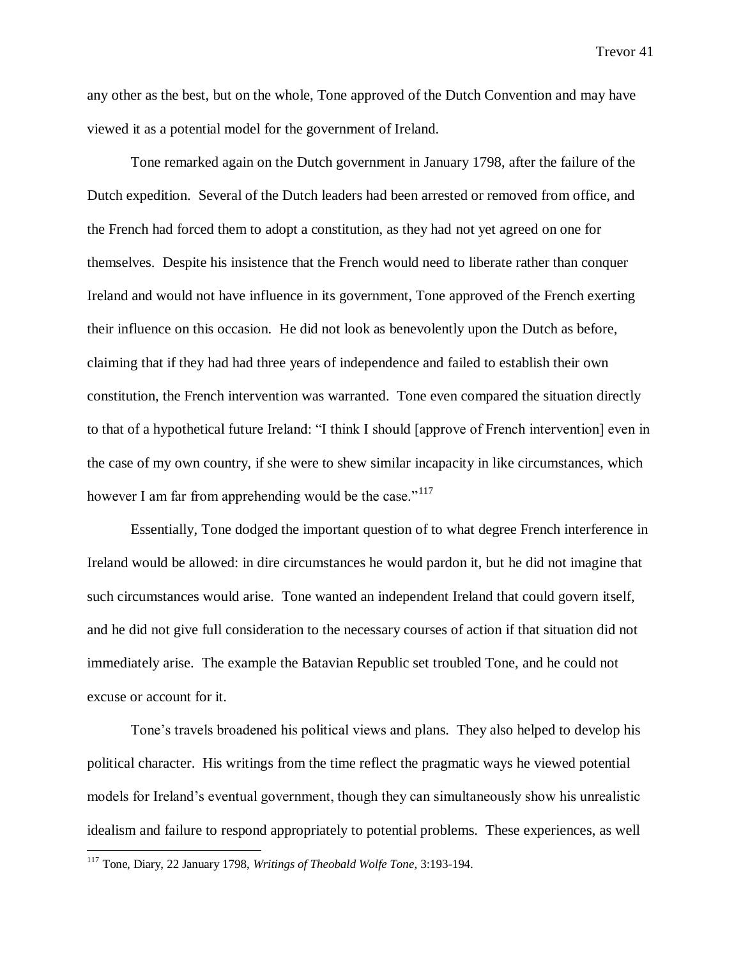any other as the best, but on the whole, Tone approved of the Dutch Convention and may have viewed it as a potential model for the government of Ireland.

Tone remarked again on the Dutch government in January 1798, after the failure of the Dutch expedition. Several of the Dutch leaders had been arrested or removed from office, and the French had forced them to adopt a constitution, as they had not yet agreed on one for themselves. Despite his insistence that the French would need to liberate rather than conquer Ireland and would not have influence in its government, Tone approved of the French exerting their influence on this occasion. He did not look as benevolently upon the Dutch as before, claiming that if they had had three years of independence and failed to establish their own constitution, the French intervention was warranted. Tone even compared the situation directly to that of a hypothetical future Ireland: "I think I should [approve of French intervention] even in the case of my own country, if she were to shew similar incapacity in like circumstances, which however I am far from apprehending would be the case."<sup>117</sup>

Essentially, Tone dodged the important question of to what degree French interference in Ireland would be allowed: in dire circumstances he would pardon it, but he did not imagine that such circumstances would arise. Tone wanted an independent Ireland that could govern itself, and he did not give full consideration to the necessary courses of action if that situation did not immediately arise. The example the Batavian Republic set troubled Tone, and he could not excuse or account for it.

Tone's travels broadened his political views and plans. They also helped to develop his political character. His writings from the time reflect the pragmatic ways he viewed potential models for Ireland's eventual government, though they can simultaneously show his unrealistic idealism and failure to respond appropriately to potential problems. These experiences, as well

<sup>117</sup> Tone, Diary, 22 January 1798, *Writings of Theobald Wolfe Tone,* 3:193-194.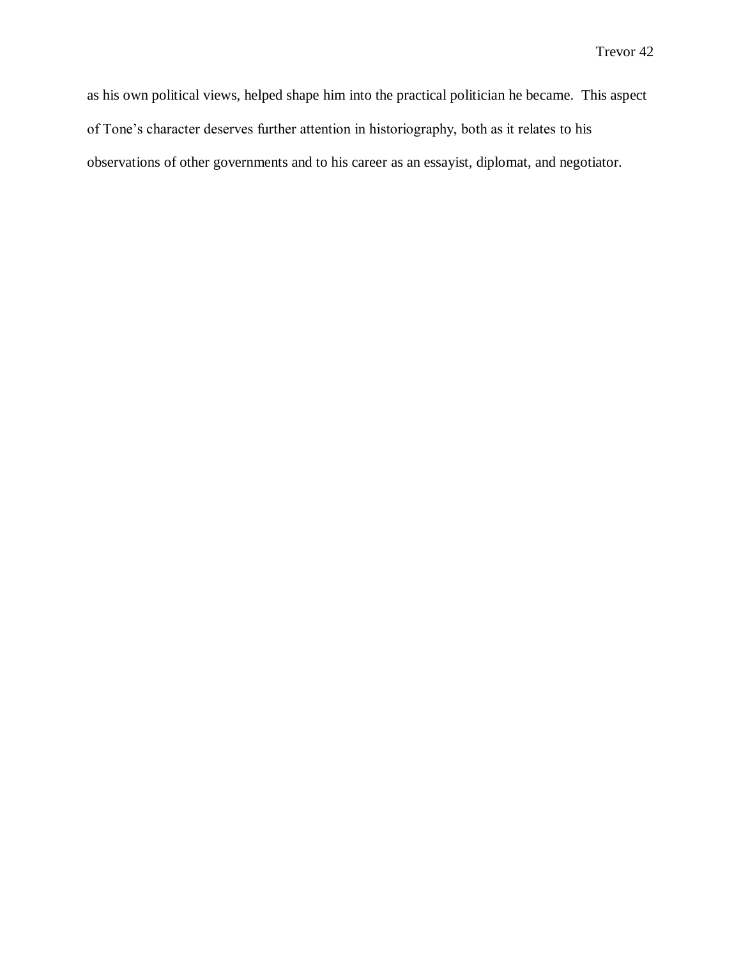as his own political views, helped shape him into the practical politician he became. This aspect of Tone's character deserves further attention in historiography, both as it relates to his observations of other governments and to his career as an essayist, diplomat, and negotiator.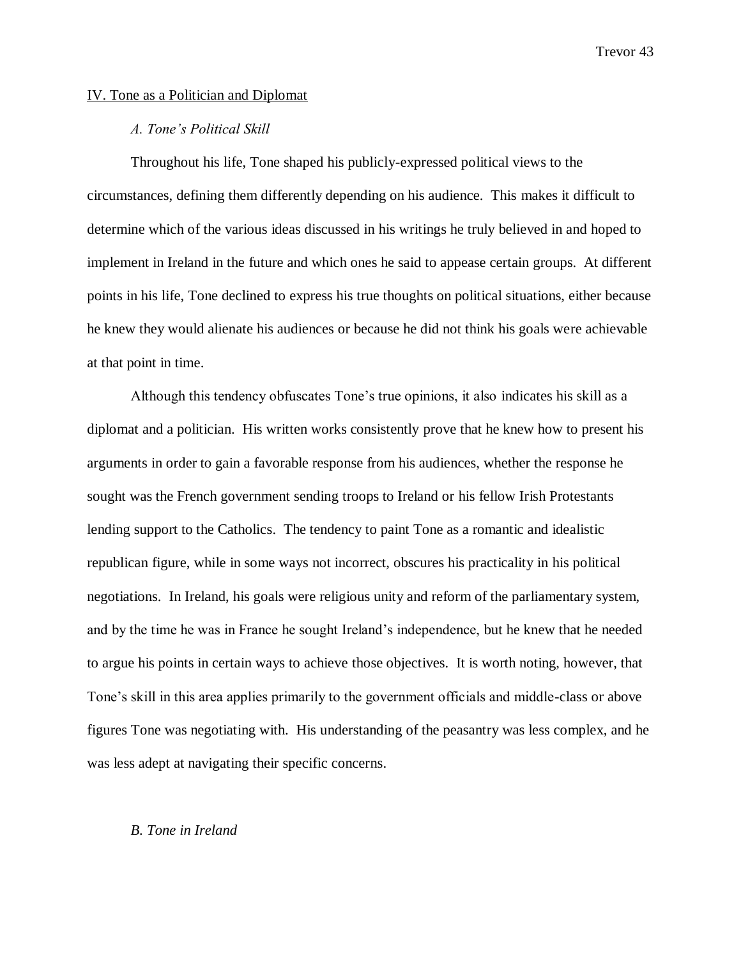### IV. Tone as a Politician and Diplomat

# *A. Tone's Political Skill*

Throughout his life, Tone shaped his publicly-expressed political views to the circumstances, defining them differently depending on his audience. This makes it difficult to determine which of the various ideas discussed in his writings he truly believed in and hoped to implement in Ireland in the future and which ones he said to appease certain groups. At different points in his life, Tone declined to express his true thoughts on political situations, either because he knew they would alienate his audiences or because he did not think his goals were achievable at that point in time.

Although this tendency obfuscates Tone's true opinions, it also indicates his skill as a diplomat and a politician. His written works consistently prove that he knew how to present his arguments in order to gain a favorable response from his audiences, whether the response he sought was the French government sending troops to Ireland or his fellow Irish Protestants lending support to the Catholics. The tendency to paint Tone as a romantic and idealistic republican figure, while in some ways not incorrect, obscures his practicality in his political negotiations. In Ireland, his goals were religious unity and reform of the parliamentary system, and by the time he was in France he sought Ireland's independence, but he knew that he needed to argue his points in certain ways to achieve those objectives. It is worth noting, however, that Tone's skill in this area applies primarily to the government officials and middle-class or above figures Tone was negotiating with. His understanding of the peasantry was less complex, and he was less adept at navigating their specific concerns.

#### *B. Tone in Ireland*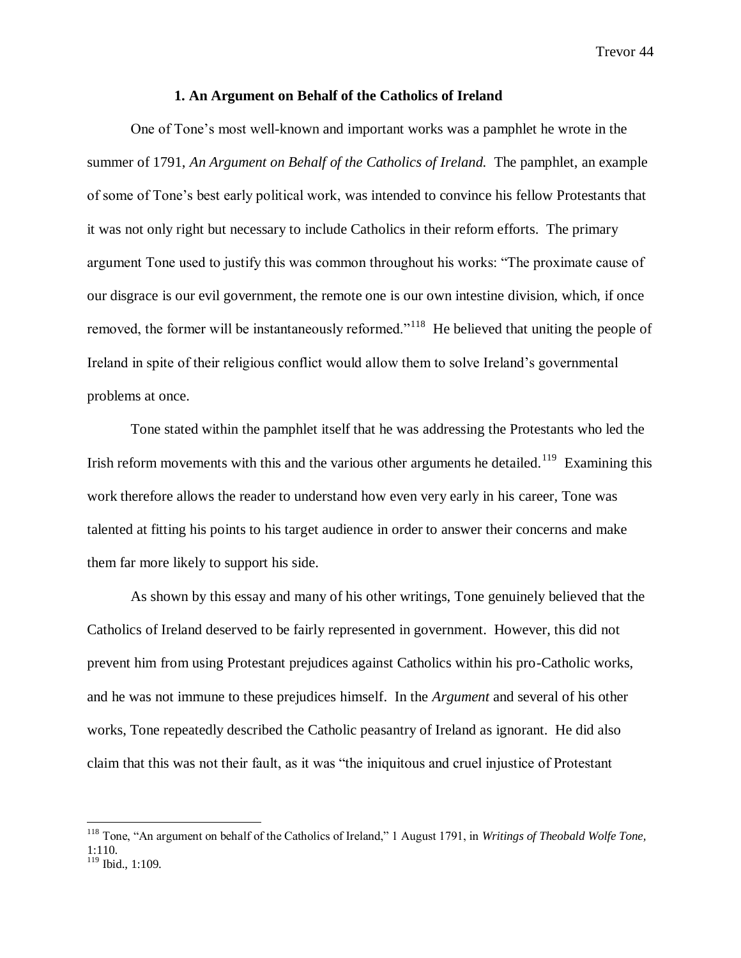#### **1. An Argument on Behalf of the Catholics of Ireland**

One of Tone's most well-known and important works was a pamphlet he wrote in the summer of 1791, *An Argument on Behalf of the Catholics of Ireland.* The pamphlet, an example of some of Tone's best early political work, was intended to convince his fellow Protestants that it was not only right but necessary to include Catholics in their reform efforts. The primary argument Tone used to justify this was common throughout his works: "The proximate cause of our disgrace is our evil government, the remote one is our own intestine division, which, if once removed, the former will be instantaneously reformed."<sup>118</sup> He believed that uniting the people of Ireland in spite of their religious conflict would allow them to solve Ireland's governmental problems at once.

Tone stated within the pamphlet itself that he was addressing the Protestants who led the Irish reform movements with this and the various other arguments he detailed.<sup>119</sup> Examining this work therefore allows the reader to understand how even very early in his career, Tone was talented at fitting his points to his target audience in order to answer their concerns and make them far more likely to support his side.

As shown by this essay and many of his other writings, Tone genuinely believed that the Catholics of Ireland deserved to be fairly represented in government. However, this did not prevent him from using Protestant prejudices against Catholics within his pro-Catholic works, and he was not immune to these prejudices himself. In the *Argument* and several of his other works, Tone repeatedly described the Catholic peasantry of Ireland as ignorant. He did also claim that this was not their fault, as it was "the iniquitous and cruel injustice of Protestant

<sup>118</sup> Tone, "An argument on behalf of the Catholics of Ireland," 1 August 1791, in *Writings of Theobald Wolfe Tone,*  1:110. <sup>119</sup> Ibid., 1:109.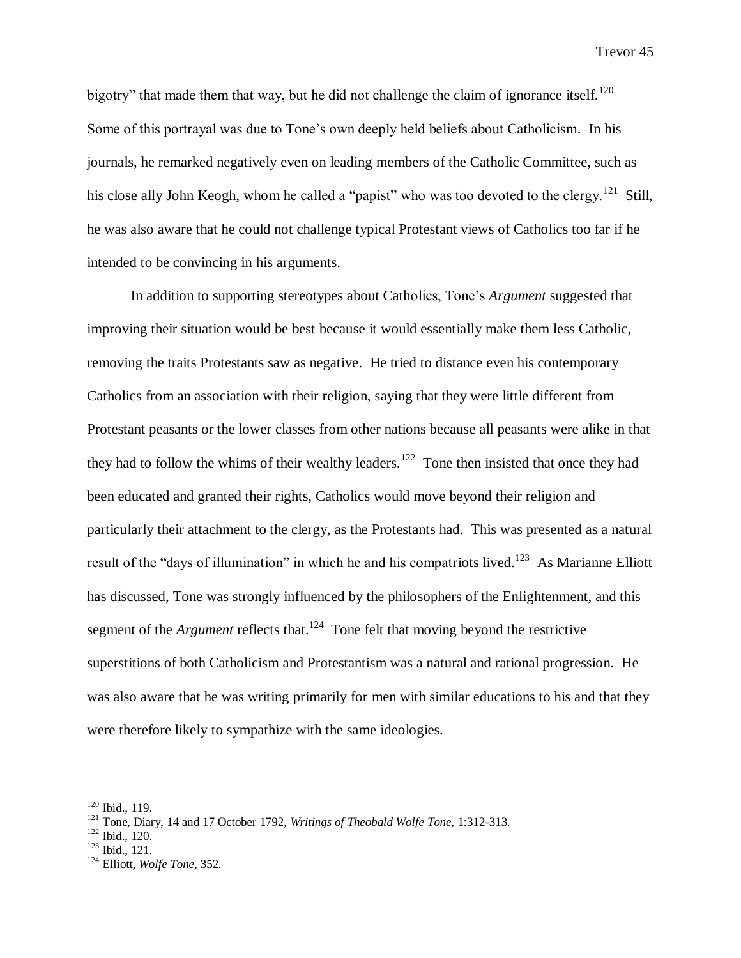bigotry" that made them that way, but he did not challenge the claim of ignorance itself.<sup>120</sup> Some of this portrayal was due to Tone's own deeply held beliefs about Catholicism. In his journals, he remarked negatively even on leading members of the Catholic Committee, such as his close ally John Keogh, whom he called a "papist" who was too devoted to the clergy.<sup>121</sup> Still, he was also aware that he could not challenge typical Protestant views of Catholics too far if he intended to be convincing in his arguments.

In addition to supporting stereotypes about Catholics, Tone's *Argument* suggested that improving their situation would be best because it would essentially make them less Catholic, removing the traits Protestants saw as negative. He tried to distance even his contemporary Catholics from an association with their religion, saying that they were little different from Protestant peasants or the lower classes from other nations because all peasants were alike in that they had to follow the whims of their wealthy leaders.<sup>122</sup> Tone then insisted that once they had been educated and granted their rights, Catholics would move beyond their religion and particularly their attachment to the clergy, as the Protestants had. This was presented as a natural result of the "days of illumination" in which he and his compatriots lived.<sup>123</sup> As Marianne Elliott has discussed, Tone was strongly influenced by the philosophers of the Enlightenment, and this segment of the *Argument* reflects that.<sup>124</sup> Tone felt that moving beyond the restrictive superstitions of both Catholicism and Protestantism was a natural and rational progression. He was also aware that he was writing primarily for men with similar educations to his and that they were therefore likely to sympathize with the same ideologies.

 $120$  Ibid., 119.

<sup>121</sup> Tone, Diary, 14 and 17 October 1792, *Writings of Theobald Wolfe Tone,* 1:312-313.

 $122$  Ibid., 120.

<sup>123</sup> Ibid., 121.

<sup>124</sup> Elliott, *Wolfe Tone,* 352.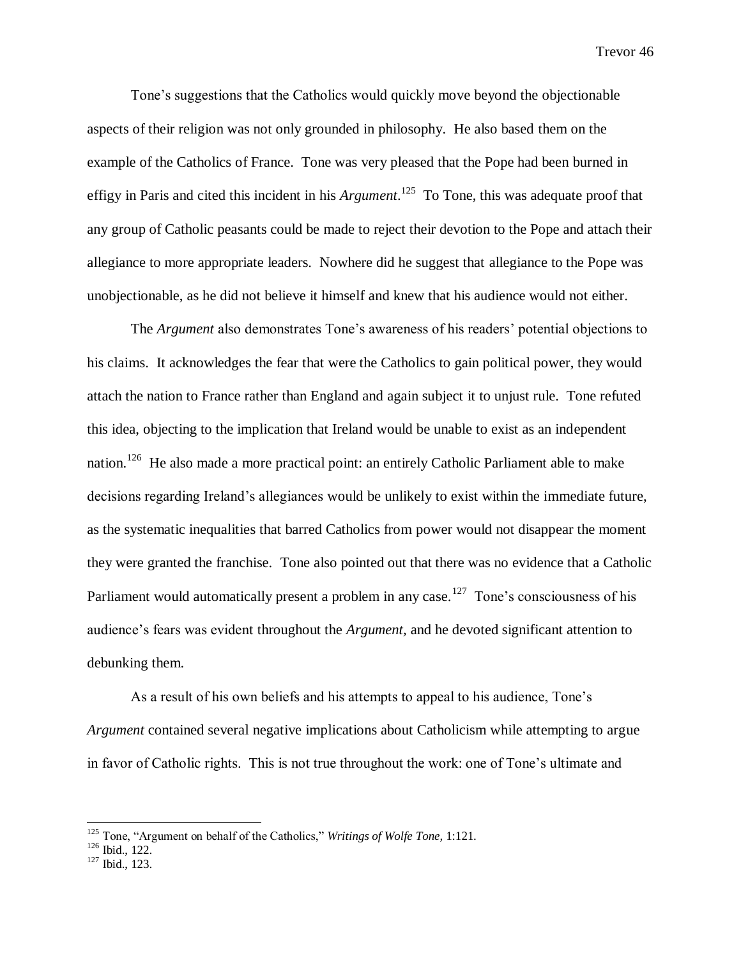Tone's suggestions that the Catholics would quickly move beyond the objectionable aspects of their religion was not only grounded in philosophy. He also based them on the example of the Catholics of France. Tone was very pleased that the Pope had been burned in effigy in Paris and cited this incident in his *Argument*. 125 To Tone, this was adequate proof that any group of Catholic peasants could be made to reject their devotion to the Pope and attach their allegiance to more appropriate leaders. Nowhere did he suggest that allegiance to the Pope was unobjectionable, as he did not believe it himself and knew that his audience would not either.

The *Argument* also demonstrates Tone's awareness of his readers' potential objections to his claims. It acknowledges the fear that were the Catholics to gain political power, they would attach the nation to France rather than England and again subject it to unjust rule. Tone refuted this idea, objecting to the implication that Ireland would be unable to exist as an independent nation.<sup>126</sup> He also made a more practical point: an entirely Catholic Parliament able to make decisions regarding Ireland's allegiances would be unlikely to exist within the immediate future, as the systematic inequalities that barred Catholics from power would not disappear the moment they were granted the franchise. Tone also pointed out that there was no evidence that a Catholic Parliament would automatically present a problem in any case.<sup>127</sup> Tone's consciousness of his audience's fears was evident throughout the *Argument,* and he devoted significant attention to debunking them.

As a result of his own beliefs and his attempts to appeal to his audience, Tone's *Argument* contained several negative implications about Catholicism while attempting to argue in favor of Catholic rights. This is not true throughout the work: one of Tone's ultimate and

<sup>125</sup> Tone, "Argument on behalf of the Catholics," *Writings of Wolfe Tone,* 1:121.

<sup>126</sup> Ibid., 122.

<sup>127</sup> Ibid., 123.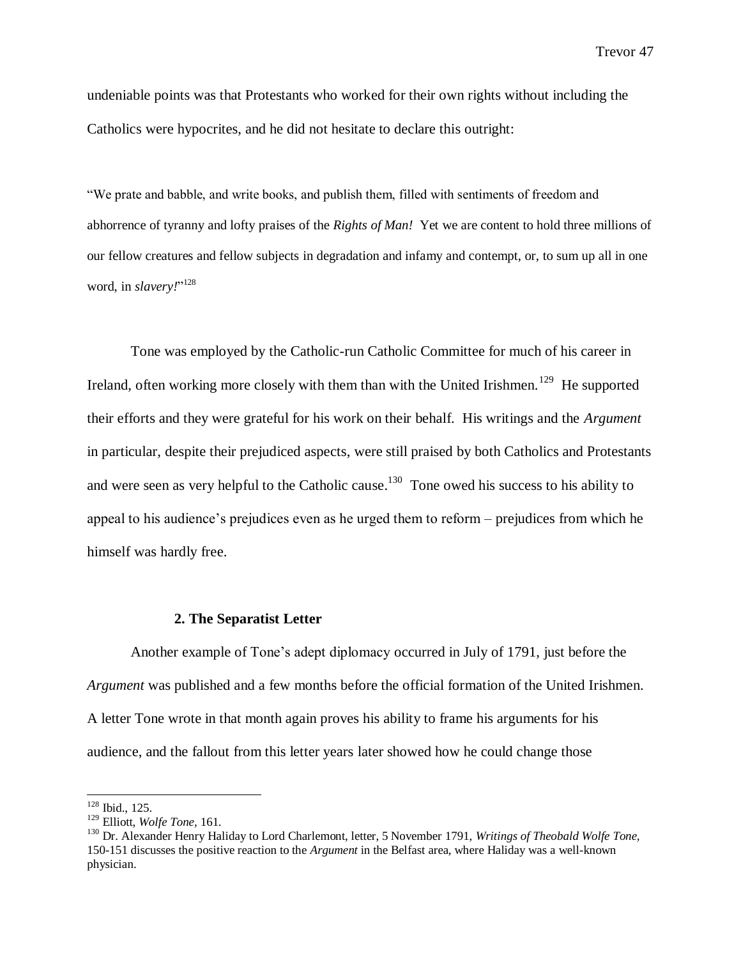undeniable points was that Protestants who worked for their own rights without including the Catholics were hypocrites, and he did not hesitate to declare this outright:

"We prate and babble, and write books, and publish them, filled with sentiments of freedom and abhorrence of tyranny and lofty praises of the *Rights of Man!* Yet we are content to hold three millions of our fellow creatures and fellow subjects in degradation and infamy and contempt, or, to sum up all in one word, in *slavery!*" 128

Tone was employed by the Catholic-run Catholic Committee for much of his career in Ireland, often working more closely with them than with the United Irishmen.<sup>129</sup> He supported their efforts and they were grateful for his work on their behalf. His writings and the *Argument*  in particular, despite their prejudiced aspects, were still praised by both Catholics and Protestants and were seen as very helpful to the Catholic cause.<sup>130</sup> Tone owed his success to his ability to appeal to his audience's prejudices even as he urged them to reform – prejudices from which he himself was hardly free.

# **2. The Separatist Letter**

Another example of Tone's adept diplomacy occurred in July of 1791, just before the *Argument* was published and a few months before the official formation of the United Irishmen. A letter Tone wrote in that month again proves his ability to frame his arguments for his audience, and the fallout from this letter years later showed how he could change those

<sup>&</sup>lt;sup>128</sup> Ibid., 125.

<sup>129</sup> Elliott, *Wolfe Tone,* 161.

<sup>130</sup> Dr. Alexander Henry Haliday to Lord Charlemont, letter, 5 November 1791, *Writings of Theobald Wolfe Tone,*  150-151 discusses the positive reaction to the *Argument* in the Belfast area, where Haliday was a well-known physician.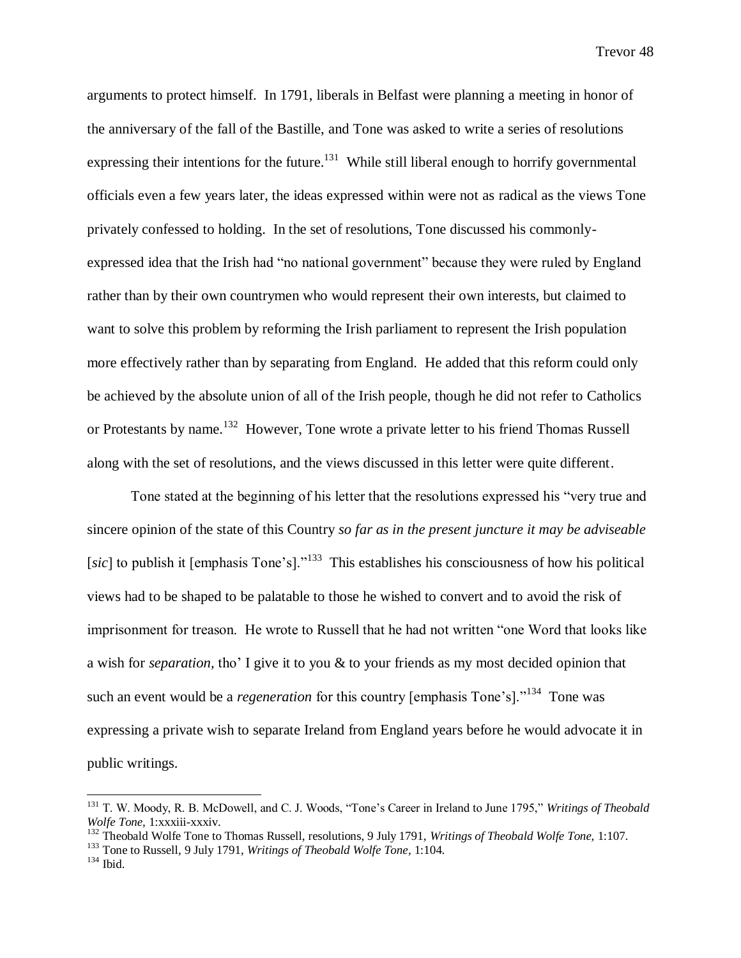arguments to protect himself. In 1791, liberals in Belfast were planning a meeting in honor of the anniversary of the fall of the Bastille, and Tone was asked to write a series of resolutions expressing their intentions for the future.<sup>131</sup> While still liberal enough to horrify governmental officials even a few years later, the ideas expressed within were not as radical as the views Tone privately confessed to holding. In the set of resolutions, Tone discussed his commonlyexpressed idea that the Irish had "no national government" because they were ruled by England rather than by their own countrymen who would represent their own interests, but claimed to want to solve this problem by reforming the Irish parliament to represent the Irish population more effectively rather than by separating from England. He added that this reform could only be achieved by the absolute union of all of the Irish people, though he did not refer to Catholics or Protestants by name.<sup>132</sup> However, Tone wrote a private letter to his friend Thomas Russell along with the set of resolutions, and the views discussed in this letter were quite different.

Tone stated at the beginning of his letter that the resolutions expressed his "very true and sincere opinion of the state of this Country *so far as in the present juncture it may be adviseable*  [sic] to publish it [emphasis Tone's]."<sup>133</sup> This establishes his consciousness of how his political views had to be shaped to be palatable to those he wished to convert and to avoid the risk of imprisonment for treason. He wrote to Russell that he had not written "one Word that looks like a wish for *separation,* tho' I give it to you & to your friends as my most decided opinion that such an event would be a *regeneration* for this country [emphasis Tone's]."<sup>134</sup> Tone was expressing a private wish to separate Ireland from England years before he would advocate it in public writings.

<sup>131</sup> T. W. Moody, R. B. McDowell, and C. J. Woods, "Tone's Career in Ireland to June 1795," *Writings of Theobald Wolfe Tone,* 1:xxxiii-xxxiv.

<sup>132</sup> Theobald Wolfe Tone to Thomas Russell, resolutions, 9 July 1791, *Writings of Theobald Wolfe Tone,* 1:107.

<sup>133</sup> Tone to Russell, 9 July 1791, *Writings of Theobald Wolfe Tone,* 1:104.

 $134$  Ibid.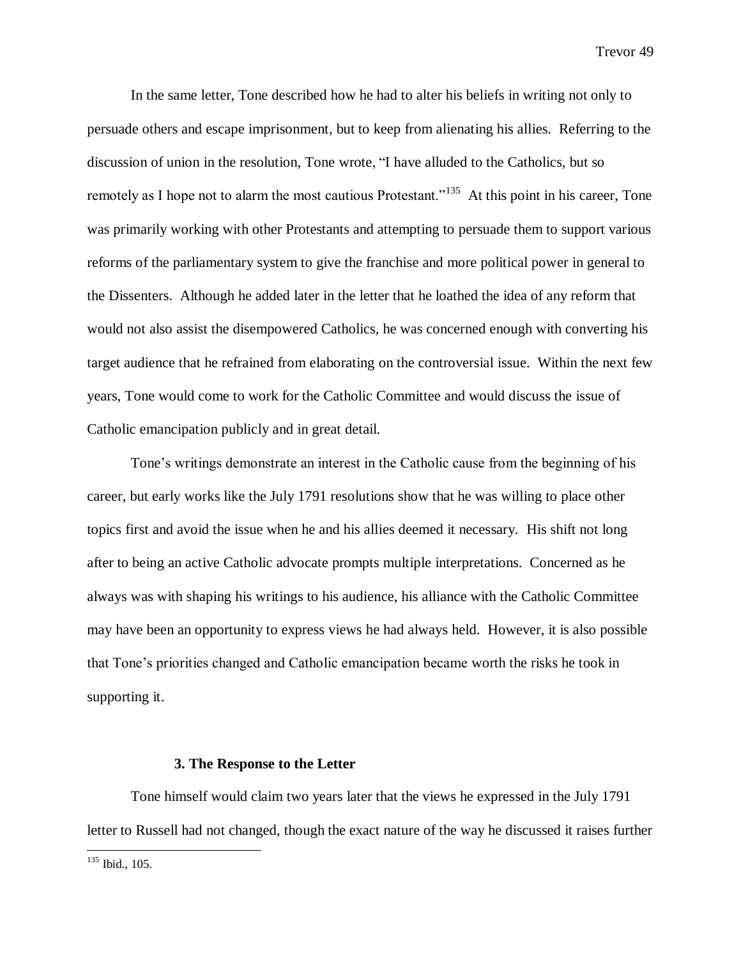In the same letter, Tone described how he had to alter his beliefs in writing not only to persuade others and escape imprisonment, but to keep from alienating his allies. Referring to the discussion of union in the resolution, Tone wrote, "I have alluded to the Catholics, but so remotely as I hope not to alarm the most cautious Protestant."<sup>135</sup> At this point in his career, Tone was primarily working with other Protestants and attempting to persuade them to support various reforms of the parliamentary system to give the franchise and more political power in general to the Dissenters. Although he added later in the letter that he loathed the idea of any reform that would not also assist the disempowered Catholics, he was concerned enough with converting his target audience that he refrained from elaborating on the controversial issue. Within the next few years, Tone would come to work for the Catholic Committee and would discuss the issue of Catholic emancipation publicly and in great detail.

Tone's writings demonstrate an interest in the Catholic cause from the beginning of his career, but early works like the July 1791 resolutions show that he was willing to place other topics first and avoid the issue when he and his allies deemed it necessary. His shift not long after to being an active Catholic advocate prompts multiple interpretations. Concerned as he always was with shaping his writings to his audience, his alliance with the Catholic Committee may have been an opportunity to express views he had always held. However, it is also possible that Tone's priorities changed and Catholic emancipation became worth the risks he took in supporting it.

#### **3. The Response to the Letter**

Tone himself would claim two years later that the views he expressed in the July 1791 letter to Russell had not changed, though the exact nature of the way he discussed it raises further

 $135$  Ibid., 105.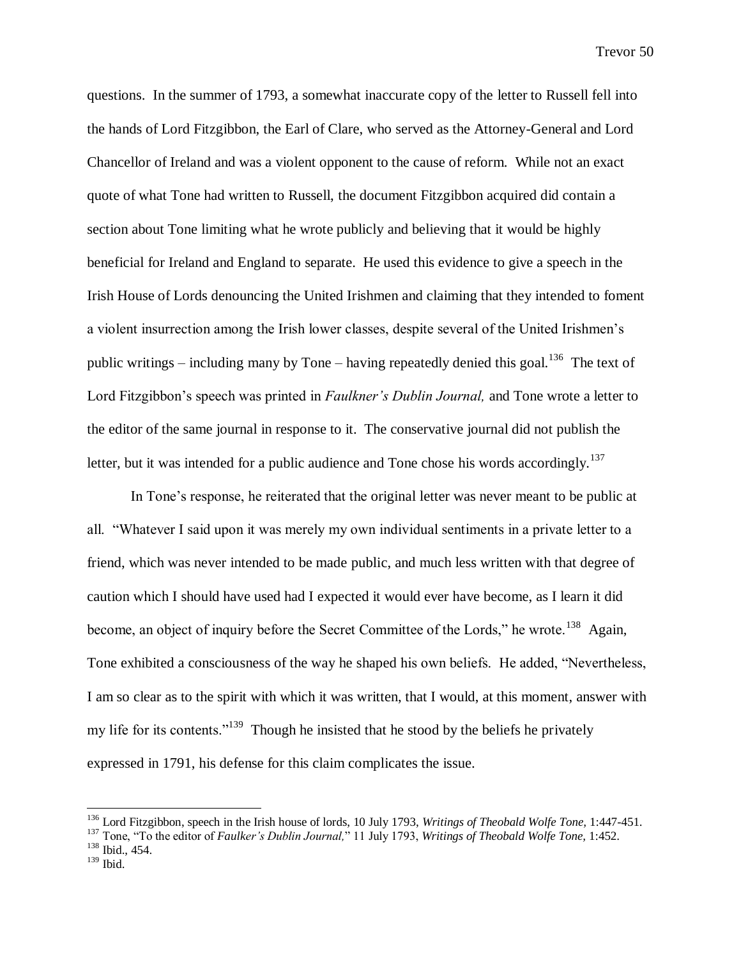questions. In the summer of 1793, a somewhat inaccurate copy of the letter to Russell fell into the hands of Lord Fitzgibbon, the Earl of Clare, who served as the Attorney-General and Lord Chancellor of Ireland and was a violent opponent to the cause of reform. While not an exact quote of what Tone had written to Russell, the document Fitzgibbon acquired did contain a section about Tone limiting what he wrote publicly and believing that it would be highly beneficial for Ireland and England to separate. He used this evidence to give a speech in the Irish House of Lords denouncing the United Irishmen and claiming that they intended to foment a violent insurrection among the Irish lower classes, despite several of the United Irishmen's public writings – including many by Tone – having repeatedly denied this goal.<sup>136</sup> The text of Lord Fitzgibbon's speech was printed in *Faulkner's Dublin Journal,* and Tone wrote a letter to the editor of the same journal in response to it. The conservative journal did not publish the letter, but it was intended for a public audience and Tone chose his words accordingly.<sup>137</sup>

In Tone's response, he reiterated that the original letter was never meant to be public at all. "Whatever I said upon it was merely my own individual sentiments in a private letter to a friend, which was never intended to be made public, and much less written with that degree of caution which I should have used had I expected it would ever have become, as I learn it did become, an object of inquiry before the Secret Committee of the Lords," he wrote.<sup>138</sup> Again, Tone exhibited a consciousness of the way he shaped his own beliefs. He added, "Nevertheless, I am so clear as to the spirit with which it was written, that I would, at this moment, answer with my life for its contents."<sup>139</sup> Though he insisted that he stood by the beliefs he privately expressed in 1791, his defense for this claim complicates the issue.

<sup>136</sup> Lord Fitzgibbon, speech in the Irish house of lords, 10 July 1793, *Writings of Theobald Wolfe Tone,* 1:447-451.

<sup>137</sup> Tone, "To the editor of *Faulker's Dublin Journal,*" 11 July 1793, *Writings of Theobald Wolfe Tone,* 1:452.

<sup>138</sup> Ibid., 454.

<sup>139</sup> Ibid.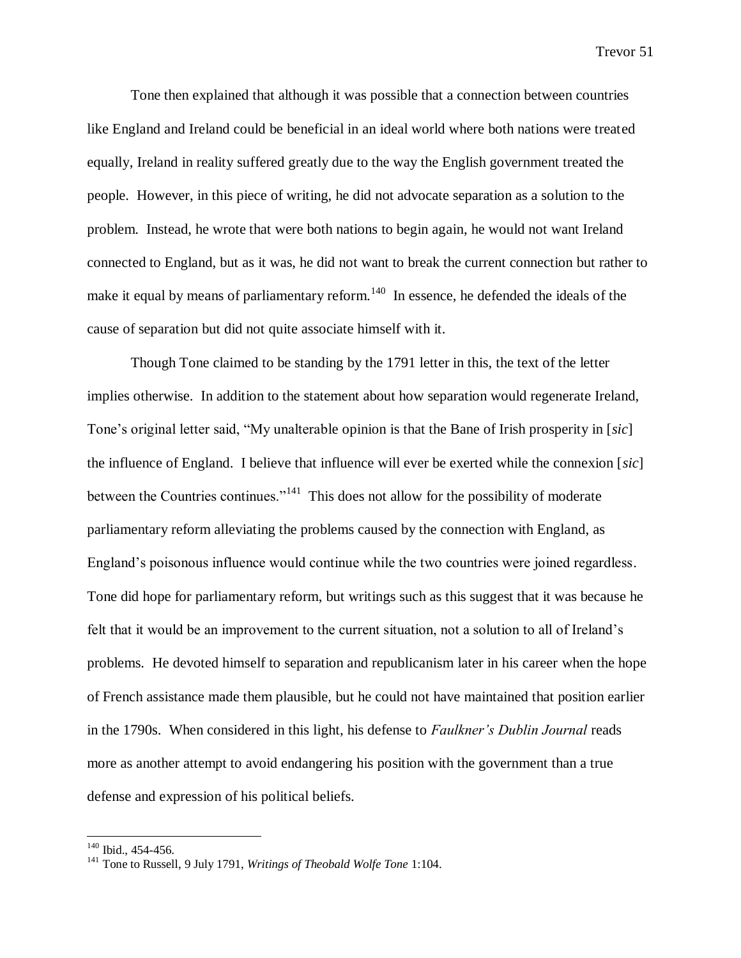Tone then explained that although it was possible that a connection between countries like England and Ireland could be beneficial in an ideal world where both nations were treated equally, Ireland in reality suffered greatly due to the way the English government treated the people. However, in this piece of writing, he did not advocate separation as a solution to the problem. Instead, he wrote that were both nations to begin again, he would not want Ireland connected to England, but as it was, he did not want to break the current connection but rather to make it equal by means of parliamentary reform.<sup>140</sup> In essence, he defended the ideals of the cause of separation but did not quite associate himself with it.

Though Tone claimed to be standing by the 1791 letter in this, the text of the letter implies otherwise. In addition to the statement about how separation would regenerate Ireland, Tone's original letter said, "My unalterable opinion is that the Bane of Irish prosperity in [*sic*] the influence of England. I believe that influence will ever be exerted while the connexion [*sic*] between the Countries continues."<sup>141</sup> This does not allow for the possibility of moderate parliamentary reform alleviating the problems caused by the connection with England, as England's poisonous influence would continue while the two countries were joined regardless. Tone did hope for parliamentary reform, but writings such as this suggest that it was because he felt that it would be an improvement to the current situation, not a solution to all of Ireland's problems. He devoted himself to separation and republicanism later in his career when the hope of French assistance made them plausible, but he could not have maintained that position earlier in the 1790s. When considered in this light, his defense to *Faulkner's Dublin Journal* reads more as another attempt to avoid endangering his position with the government than a true defense and expression of his political beliefs.

<sup>&</sup>lt;sup>140</sup> Ibid., 454-456.

<sup>141</sup> Tone to Russell, 9 July 1791, *Writings of Theobald Wolfe Tone* 1:104.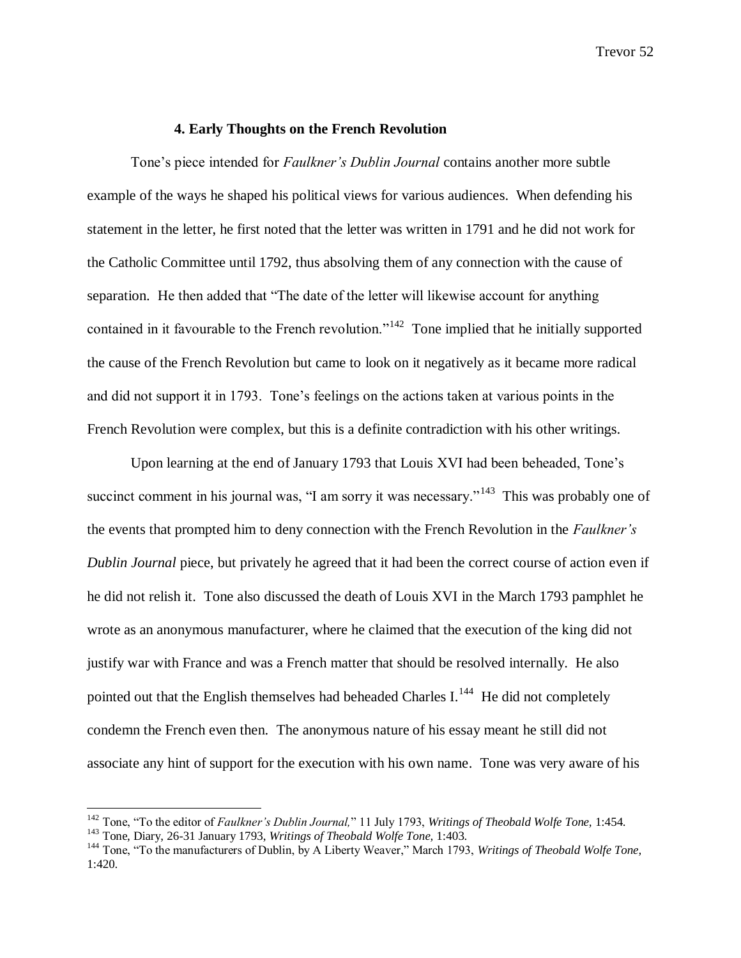# **4. Early Thoughts on the French Revolution**

Tone's piece intended for *Faulkner's Dublin Journal* contains another more subtle example of the ways he shaped his political views for various audiences. When defending his statement in the letter, he first noted that the letter was written in 1791 and he did not work for the Catholic Committee until 1792, thus absolving them of any connection with the cause of separation. He then added that "The date of the letter will likewise account for anything contained in it favourable to the French revolution."<sup>142</sup> Tone implied that he initially supported the cause of the French Revolution but came to look on it negatively as it became more radical and did not support it in 1793. Tone's feelings on the actions taken at various points in the French Revolution were complex, but this is a definite contradiction with his other writings.

Upon learning at the end of January 1793 that Louis XVI had been beheaded, Tone's succinct comment in his journal was, "I am sorry it was necessary."<sup>143</sup> This was probably one of the events that prompted him to deny connection with the French Revolution in the *Faulkner's Dublin Journal* piece, but privately he agreed that it had been the correct course of action even if he did not relish it. Tone also discussed the death of Louis XVI in the March 1793 pamphlet he wrote as an anonymous manufacturer, where he claimed that the execution of the king did not justify war with France and was a French matter that should be resolved internally. He also pointed out that the English themselves had beheaded Charles I. $^{144}$  He did not completely condemn the French even then. The anonymous nature of his essay meant he still did not associate any hint of support for the execution with his own name. Tone was very aware of his

<sup>142</sup> Tone, "To the editor of *Faulkner's Dublin Journal,*" 11 July 1793, *Writings of Theobald Wolfe Tone,* 1:454.

<sup>143</sup> Tone, Diary, 26-31 January 1793, *Writings of Theobald Wolfe Tone,* 1:403.

<sup>&</sup>lt;sup>144</sup> Tone. "To the manufacturers of Dublin, by A Liberty Weaver," March 1793, *Writings of Theobald Wolfe Tone*, 1:420.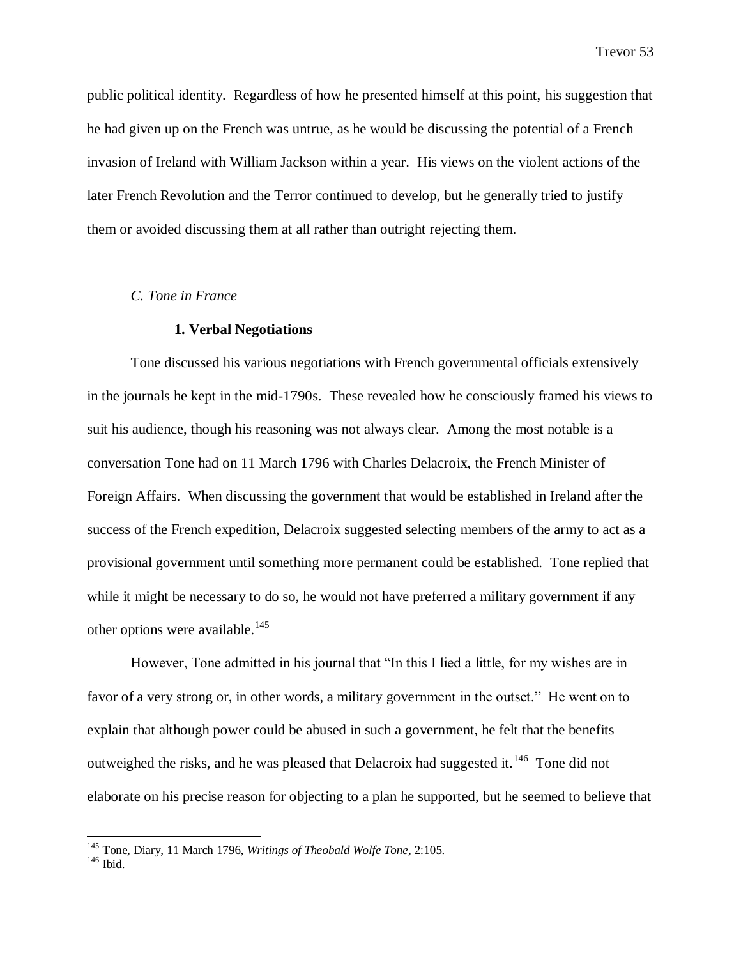public political identity. Regardless of how he presented himself at this point, his suggestion that he had given up on the French was untrue, as he would be discussing the potential of a French invasion of Ireland with William Jackson within a year. His views on the violent actions of the later French Revolution and the Terror continued to develop, but he generally tried to justify them or avoided discussing them at all rather than outright rejecting them.

#### *C. Tone in France*

### **1. Verbal Negotiations**

Tone discussed his various negotiations with French governmental officials extensively in the journals he kept in the mid-1790s. These revealed how he consciously framed his views to suit his audience, though his reasoning was not always clear. Among the most notable is a conversation Tone had on 11 March 1796 with Charles Delacroix, the French Minister of Foreign Affairs. When discussing the government that would be established in Ireland after the success of the French expedition, Delacroix suggested selecting members of the army to act as a provisional government until something more permanent could be established. Tone replied that while it might be necessary to do so, he would not have preferred a military government if any other options were available.<sup>145</sup>

However, Tone admitted in his journal that "In this I lied a little, for my wishes are in favor of a very strong or, in other words, a military government in the outset." He went on to explain that although power could be abused in such a government, he felt that the benefits outweighed the risks, and he was pleased that Delacroix had suggested it.<sup>146</sup> Tone did not elaborate on his precise reason for objecting to a plan he supported, but he seemed to believe that

<sup>145</sup> Tone, Diary, 11 March 1796, *Writings of Theobald Wolfe Tone,* 2:105.

 $146$  Ibid.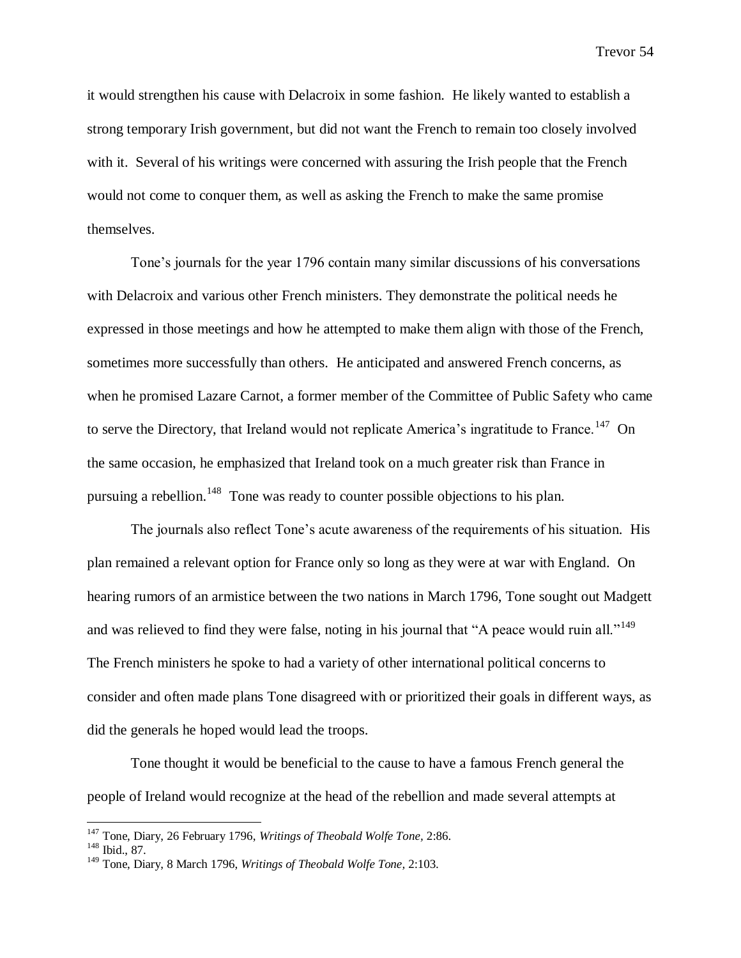it would strengthen his cause with Delacroix in some fashion. He likely wanted to establish a strong temporary Irish government, but did not want the French to remain too closely involved with it. Several of his writings were concerned with assuring the Irish people that the French would not come to conquer them, as well as asking the French to make the same promise themselves.

Tone's journals for the year 1796 contain many similar discussions of his conversations with Delacroix and various other French ministers. They demonstrate the political needs he expressed in those meetings and how he attempted to make them align with those of the French, sometimes more successfully than others. He anticipated and answered French concerns, as when he promised Lazare Carnot, a former member of the Committee of Public Safety who came to serve the Directory, that Ireland would not replicate America's ingratitude to France.<sup>147</sup> On the same occasion, he emphasized that Ireland took on a much greater risk than France in pursuing a rebellion.<sup>148</sup> Tone was ready to counter possible objections to his plan.

The journals also reflect Tone's acute awareness of the requirements of his situation. His plan remained a relevant option for France only so long as they were at war with England. On hearing rumors of an armistice between the two nations in March 1796, Tone sought out Madgett and was relieved to find they were false, noting in his journal that "A peace would ruin all."<sup>149</sup> The French ministers he spoke to had a variety of other international political concerns to consider and often made plans Tone disagreed with or prioritized their goals in different ways, as did the generals he hoped would lead the troops.

Tone thought it would be beneficial to the cause to have a famous French general the people of Ireland would recognize at the head of the rebellion and made several attempts at

<sup>147</sup> Tone, Diary, 26 February 1796, *Writings of Theobald Wolfe Tone,* 2:86.

<sup>148</sup> Ibid., 87.

<sup>149</sup> Tone, Diary, 8 March 1796, *Writings of Theobald Wolfe Tone,* 2:103.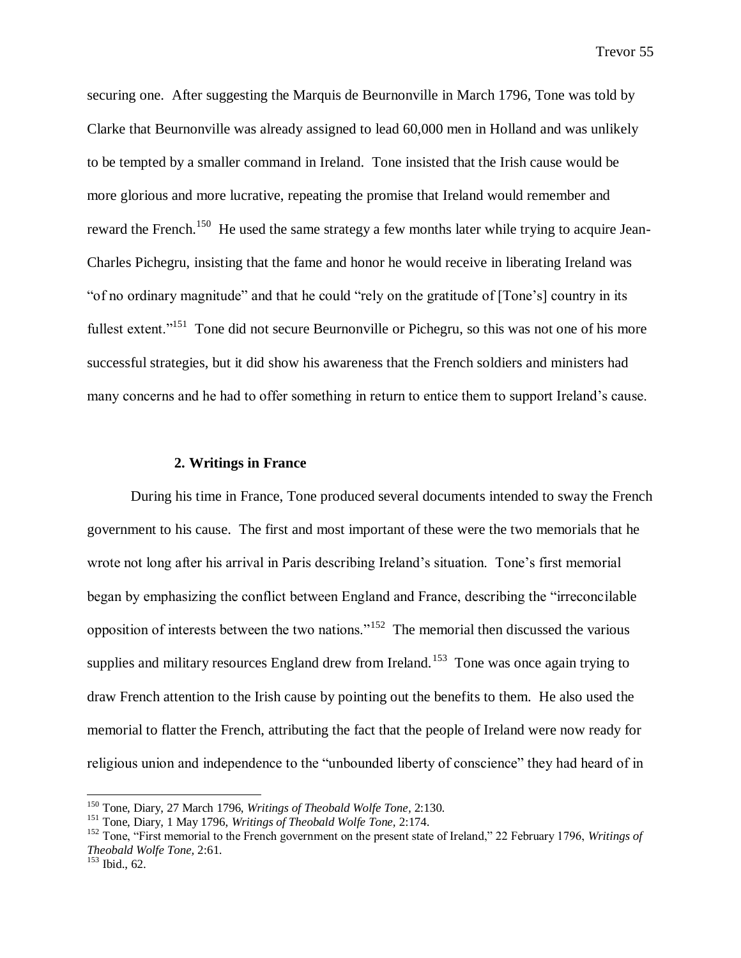securing one. After suggesting the Marquis de Beurnonville in March 1796, Tone was told by Clarke that Beurnonville was already assigned to lead 60,000 men in Holland and was unlikely to be tempted by a smaller command in Ireland. Tone insisted that the Irish cause would be more glorious and more lucrative, repeating the promise that Ireland would remember and reward the French.<sup>150</sup> He used the same strategy a few months later while trying to acquire Jean-Charles Pichegru, insisting that the fame and honor he would receive in liberating Ireland was "of no ordinary magnitude" and that he could "rely on the gratitude of [Tone's] country in its fullest extent."<sup>151</sup> Tone did not secure Beurnonville or Pichegru, so this was not one of his more successful strategies, but it did show his awareness that the French soldiers and ministers had many concerns and he had to offer something in return to entice them to support Ireland's cause.

#### **2. Writings in France**

During his time in France, Tone produced several documents intended to sway the French government to his cause. The first and most important of these were the two memorials that he wrote not long after his arrival in Paris describing Ireland's situation. Tone's first memorial began by emphasizing the conflict between England and France, describing the "irreconcilable opposition of interests between the two nations."<sup>152</sup> The memorial then discussed the various supplies and military resources England drew from Ireland.<sup>153</sup> Tone was once again trying to draw French attention to the Irish cause by pointing out the benefits to them. He also used the memorial to flatter the French, attributing the fact that the people of Ireland were now ready for religious union and independence to the "unbounded liberty of conscience" they had heard of in

<sup>150</sup> Tone, Diary, 27 March 1796, *Writings of Theobald Wolfe Tone,* 2:130.

<sup>151</sup> Tone, Diary, 1 May 1796, *Writings of Theobald Wolfe Tone,* 2:174.

<sup>152</sup> Tone, "First memorial to the French government on the present state of Ireland," 22 February 1796, *Writings of Theobald Wolfe Tone,* 2:61.

<sup>153</sup> Ibid., 62.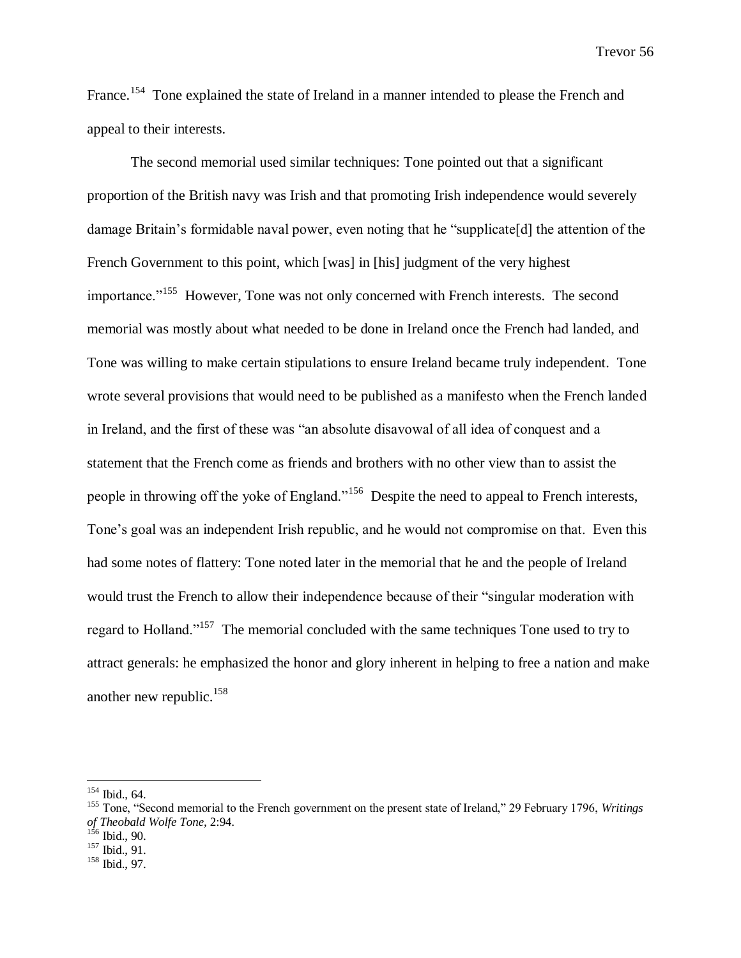France.<sup>154</sup> Tone explained the state of Ireland in a manner intended to please the French and appeal to their interests.

The second memorial used similar techniques: Tone pointed out that a significant proportion of the British navy was Irish and that promoting Irish independence would severely damage Britain's formidable naval power, even noting that he "supplicate[d] the attention of the French Government to this point, which [was] in [his] judgment of the very highest importance."<sup>155</sup> However, Tone was not only concerned with French interests. The second memorial was mostly about what needed to be done in Ireland once the French had landed, and Tone was willing to make certain stipulations to ensure Ireland became truly independent. Tone wrote several provisions that would need to be published as a manifesto when the French landed in Ireland, and the first of these was "an absolute disavowal of all idea of conquest and a statement that the French come as friends and brothers with no other view than to assist the people in throwing off the yoke of England."<sup>156</sup> Despite the need to appeal to French interests, Tone's goal was an independent Irish republic, and he would not compromise on that. Even this had some notes of flattery: Tone noted later in the memorial that he and the people of Ireland would trust the French to allow their independence because of their "singular moderation with regard to Holland."<sup>157</sup> The memorial concluded with the same techniques Tone used to try to attract generals: he emphasized the honor and glory inherent in helping to free a nation and make another new republic. $158$ 

 $154$  Ibid., 64.

<sup>155</sup> Tone, "Second memorial to the French government on the present state of Ireland," 29 February 1796, *Writings of Theobald Wolfe Tone,* 2:94.

 $156$  Ibid., 90.

 $157$  Ibid., 91.

<sup>158</sup> Ibid., 97.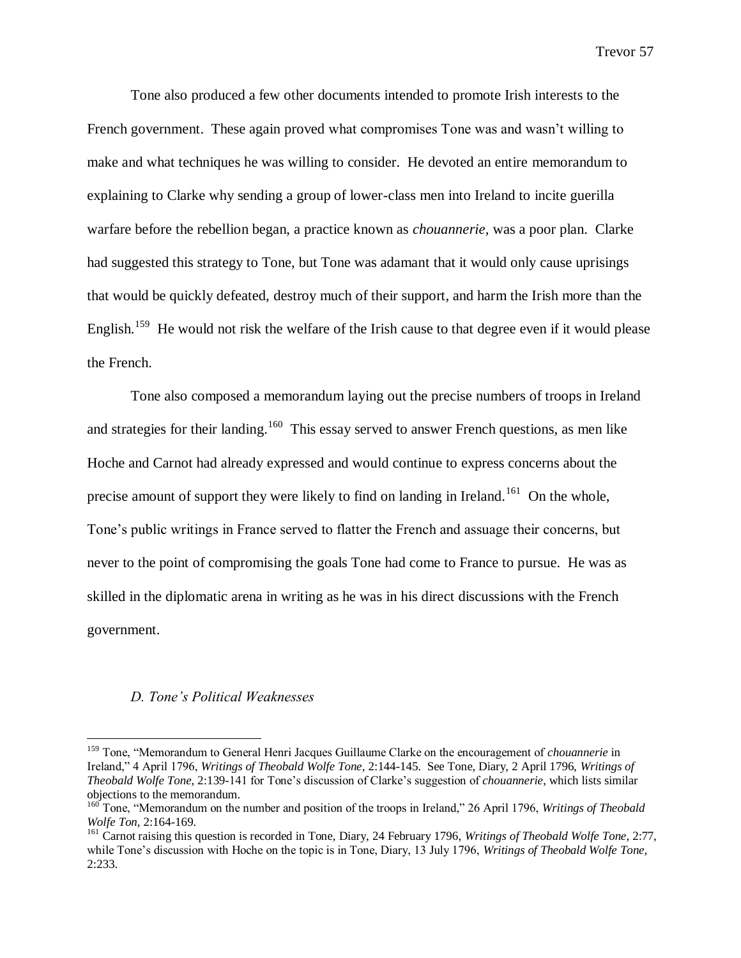Tone also produced a few other documents intended to promote Irish interests to the French government. These again proved what compromises Tone was and wasn't willing to make and what techniques he was willing to consider. He devoted an entire memorandum to explaining to Clarke why sending a group of lower-class men into Ireland to incite guerilla warfare before the rebellion began, a practice known as *chouannerie,* was a poor plan. Clarke had suggested this strategy to Tone, but Tone was adamant that it would only cause uprisings that would be quickly defeated, destroy much of their support, and harm the Irish more than the English.<sup>159</sup> He would not risk the welfare of the Irish cause to that degree even if it would please the French.

Tone also composed a memorandum laying out the precise numbers of troops in Ireland and strategies for their landing.<sup>160</sup> This essay served to answer French questions, as men like Hoche and Carnot had already expressed and would continue to express concerns about the precise amount of support they were likely to find on landing in Ireland.<sup>161</sup> On the whole, Tone's public writings in France served to flatter the French and assuage their concerns, but never to the point of compromising the goals Tone had come to France to pursue. He was as skilled in the diplomatic arena in writing as he was in his direct discussions with the French government.

#### *D. Tone's Political Weaknesses*

<sup>159</sup> Tone, "Memorandum to General Henri Jacques Guillaume Clarke on the encouragement of *chouannerie* in Ireland," 4 April 1796, *Writings of Theobald Wolfe Tone,* 2:144-145. See Tone, Diary, 2 April 1796, *Writings of Theobald Wolfe Tone,* 2:139-141 for Tone's discussion of Clarke's suggestion of *chouannerie*, which lists similar objections to the memorandum.

<sup>&</sup>lt;sup>160</sup> Tone, "Memorandum on the number and position of the troops in Ireland," 26 April 1796, *Writings of Theobald Wolfe Ton,* 2:164-169.

<sup>161</sup> Carnot raising this question is recorded in Tone, Diary, 24 February 1796, *Writings of Theobald Wolfe Tone,* 2:77, while Tone's discussion with Hoche on the topic is in Tone, Diary, 13 July 1796, *Writings of Theobald Wolfe Tone,*  2:233.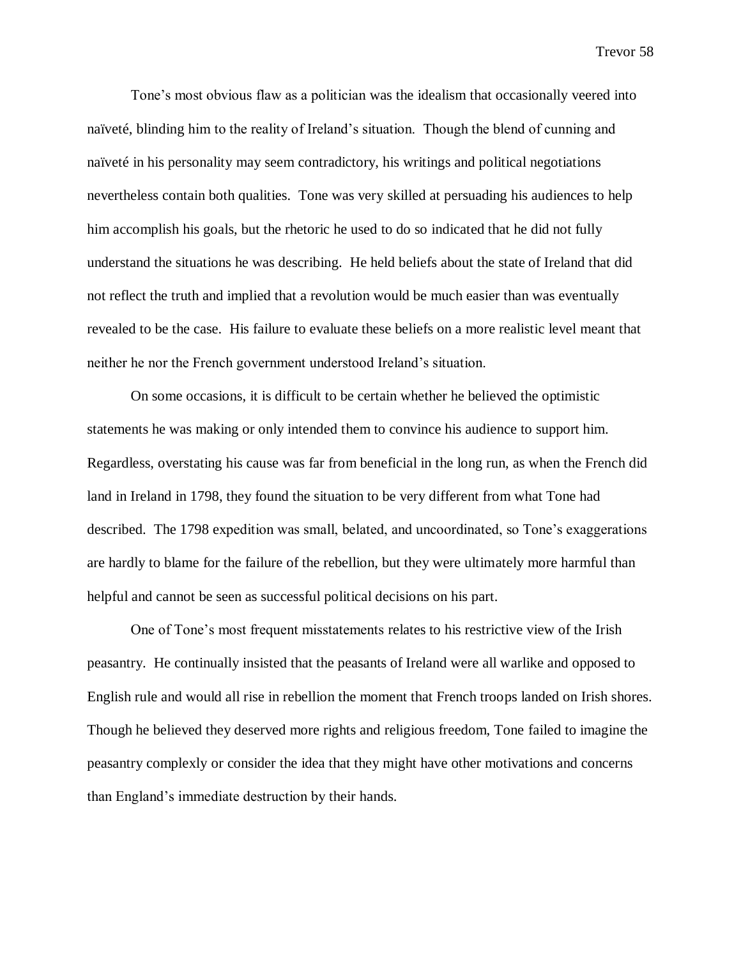Tone's most obvious flaw as a politician was the idealism that occasionally veered into naïveté, blinding him to the reality of Ireland's situation. Though the blend of cunning and naïveté in his personality may seem contradictory, his writings and political negotiations nevertheless contain both qualities. Tone was very skilled at persuading his audiences to help him accomplish his goals, but the rhetoric he used to do so indicated that he did not fully understand the situations he was describing. He held beliefs about the state of Ireland that did not reflect the truth and implied that a revolution would be much easier than was eventually revealed to be the case. His failure to evaluate these beliefs on a more realistic level meant that neither he nor the French government understood Ireland's situation.

On some occasions, it is difficult to be certain whether he believed the optimistic statements he was making or only intended them to convince his audience to support him. Regardless, overstating his cause was far from beneficial in the long run, as when the French did land in Ireland in 1798, they found the situation to be very different from what Tone had described. The 1798 expedition was small, belated, and uncoordinated, so Tone's exaggerations are hardly to blame for the failure of the rebellion, but they were ultimately more harmful than helpful and cannot be seen as successful political decisions on his part.

One of Tone's most frequent misstatements relates to his restrictive view of the Irish peasantry. He continually insisted that the peasants of Ireland were all warlike and opposed to English rule and would all rise in rebellion the moment that French troops landed on Irish shores. Though he believed they deserved more rights and religious freedom, Tone failed to imagine the peasantry complexly or consider the idea that they might have other motivations and concerns than England's immediate destruction by their hands.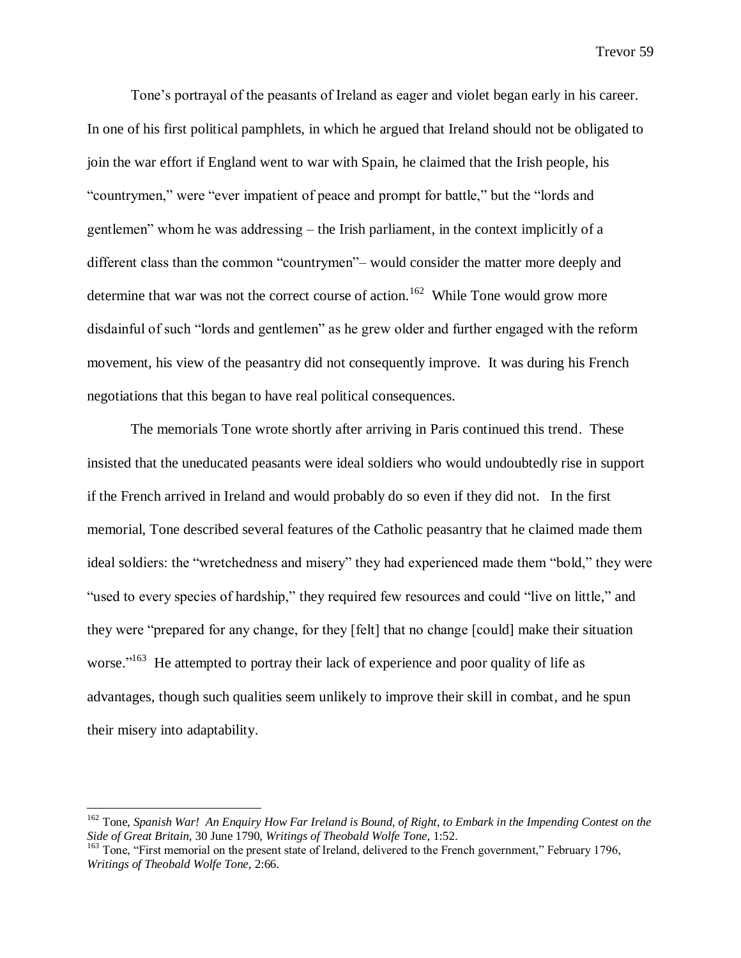Tone's portrayal of the peasants of Ireland as eager and violet began early in his career. In one of his first political pamphlets, in which he argued that Ireland should not be obligated to join the war effort if England went to war with Spain, he claimed that the Irish people, his "countrymen," were "ever impatient of peace and prompt for battle," but the "lords and gentlemen" whom he was addressing – the Irish parliament, in the context implicitly of a different class than the common "countrymen"– would consider the matter more deeply and determine that war was not the correct course of action.<sup>162</sup> While Tone would grow more disdainful of such "lords and gentlemen" as he grew older and further engaged with the reform movement, his view of the peasantry did not consequently improve. It was during his French negotiations that this began to have real political consequences.

The memorials Tone wrote shortly after arriving in Paris continued this trend. These insisted that the uneducated peasants were ideal soldiers who would undoubtedly rise in support if the French arrived in Ireland and would probably do so even if they did not. In the first memorial, Tone described several features of the Catholic peasantry that he claimed made them ideal soldiers: the "wretchedness and misery" they had experienced made them "bold," they were "used to every species of hardship," they required few resources and could "live on little," and they were "prepared for any change, for they [felt] that no change [could] make their situation worse."<sup>163</sup> He attempted to portray their lack of experience and poor quality of life as advantages, though such qualities seem unlikely to improve their skill in combat, and he spun their misery into adaptability.

<sup>162</sup> Tone, *Spanish War! An Enquiry How Far Ireland is Bound, of Right, to Embark in the Impending Contest on the Side of Great Britain,* 30 June 1790, *Writings of Theobald Wolfe Tone,* 1:52.

<sup>&</sup>lt;sup>163</sup> Tone. "First memorial on the present state of Ireland, delivered to the French government," February 1796, *Writings of Theobald Wolfe Tone,* 2:66.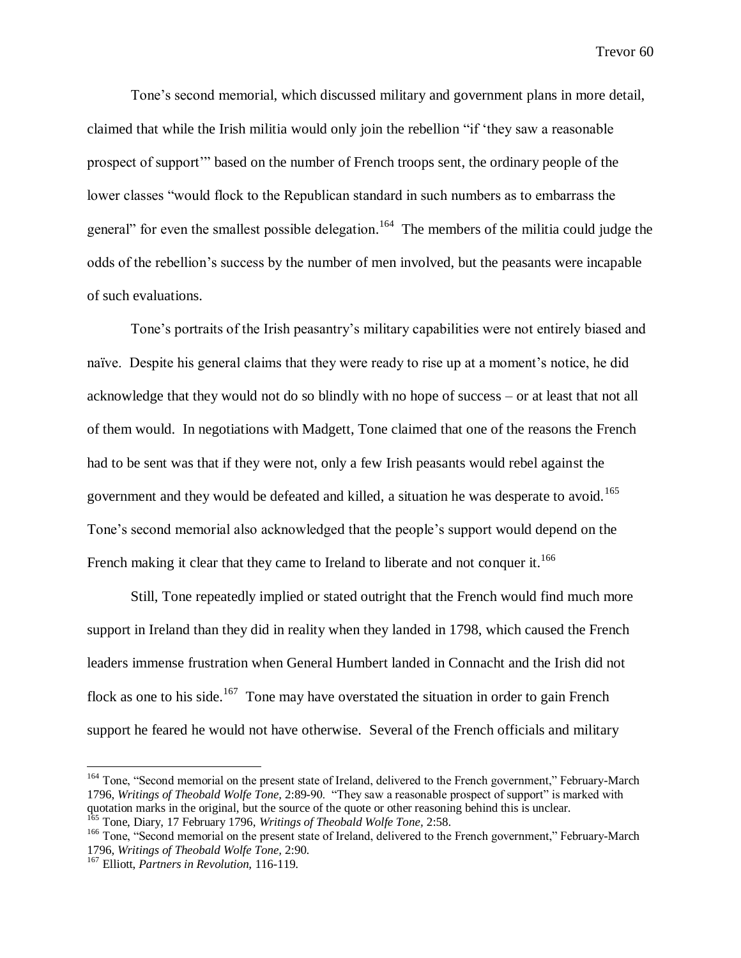Tone's second memorial, which discussed military and government plans in more detail, claimed that while the Irish militia would only join the rebellion "if 'they saw a reasonable prospect of support'" based on the number of French troops sent, the ordinary people of the lower classes "would flock to the Republican standard in such numbers as to embarrass the general" for even the smallest possible delegation.<sup>164</sup> The members of the militia could judge the odds of the rebellion's success by the number of men involved, but the peasants were incapable of such evaluations.

Tone's portraits of the Irish peasantry's military capabilities were not entirely biased and naïve. Despite his general claims that they were ready to rise up at a moment's notice, he did acknowledge that they would not do so blindly with no hope of success – or at least that not all of them would. In negotiations with Madgett, Tone claimed that one of the reasons the French had to be sent was that if they were not, only a few Irish peasants would rebel against the government and they would be defeated and killed, a situation he was desperate to avoid.<sup>165</sup> Tone's second memorial also acknowledged that the people's support would depend on the French making it clear that they came to Ireland to liberate and not conquer it.<sup>166</sup>

Still, Tone repeatedly implied or stated outright that the French would find much more support in Ireland than they did in reality when they landed in 1798, which caused the French leaders immense frustration when General Humbert landed in Connacht and the Irish did not flock as one to his side.<sup>167</sup> Tone may have overstated the situation in order to gain French support he feared he would not have otherwise. Several of the French officials and military

<sup>&</sup>lt;sup>164</sup> Tone, "Second memorial on the present state of Ireland, delivered to the French government," February-March 1796, *Writings of Theobald Wolfe Tone,* 2:89-90. "They saw a reasonable prospect of support" is marked with quotation marks in the original, but the source of the quote or other reasoning behind this is unclear.

<sup>165</sup> Tone, Diary, 17 February 1796, *Writings of Theobald Wolfe Tone,* 2:58.

<sup>&</sup>lt;sup>166</sup> Tone, "Second memorial on the present state of Ireland, delivered to the French government," February-March 1796, *Writings of Theobald Wolfe Tone,* 2:90.

<sup>167</sup> Elliott, *Partners in Revolution,* 116-119.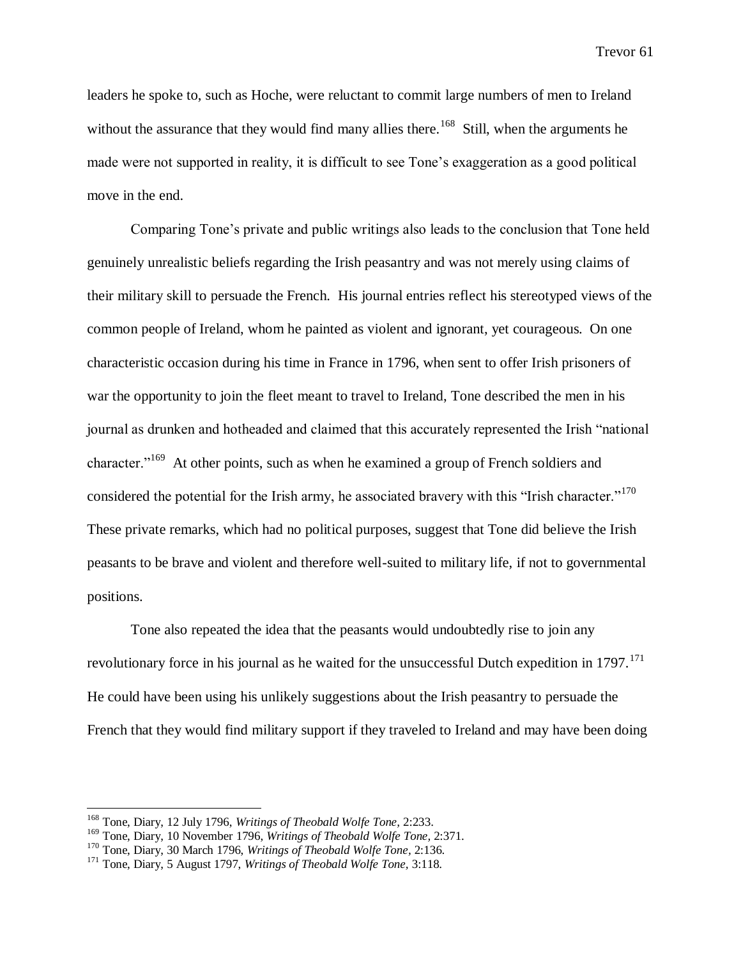leaders he spoke to, such as Hoche, were reluctant to commit large numbers of men to Ireland without the assurance that they would find many allies there.<sup>168</sup> Still, when the arguments he made were not supported in reality, it is difficult to see Tone's exaggeration as a good political move in the end.

Comparing Tone's private and public writings also leads to the conclusion that Tone held genuinely unrealistic beliefs regarding the Irish peasantry and was not merely using claims of their military skill to persuade the French. His journal entries reflect his stereotyped views of the common people of Ireland, whom he painted as violent and ignorant, yet courageous. On one characteristic occasion during his time in France in 1796, when sent to offer Irish prisoners of war the opportunity to join the fleet meant to travel to Ireland, Tone described the men in his journal as drunken and hotheaded and claimed that this accurately represented the Irish "national character."<sup>169</sup> At other points, such as when he examined a group of French soldiers and considered the potential for the Irish army, he associated bravery with this "Irish character."<sup>170</sup> These private remarks, which had no political purposes, suggest that Tone did believe the Irish peasants to be brave and violent and therefore well-suited to military life, if not to governmental positions.

Tone also repeated the idea that the peasants would undoubtedly rise to join any revolutionary force in his journal as he waited for the unsuccessful Dutch expedition in  $1797$ .<sup>171</sup> He could have been using his unlikely suggestions about the Irish peasantry to persuade the French that they would find military support if they traveled to Ireland and may have been doing

<sup>168</sup> Tone, Diary, 12 July 1796, *Writings of Theobald Wolfe Tone,* 2:233.

<sup>169</sup> Tone, Diary, 10 November 1796, *Writings of Theobald Wolfe Tone,* 2:371.

<sup>170</sup> Tone, Diary, 30 March 1796, *Writings of Theobald Wolfe Tone,* 2:136.

<sup>171</sup> Tone, Diary, 5 August 1797, *Writings of Theobald Wolfe Tone,* 3:118.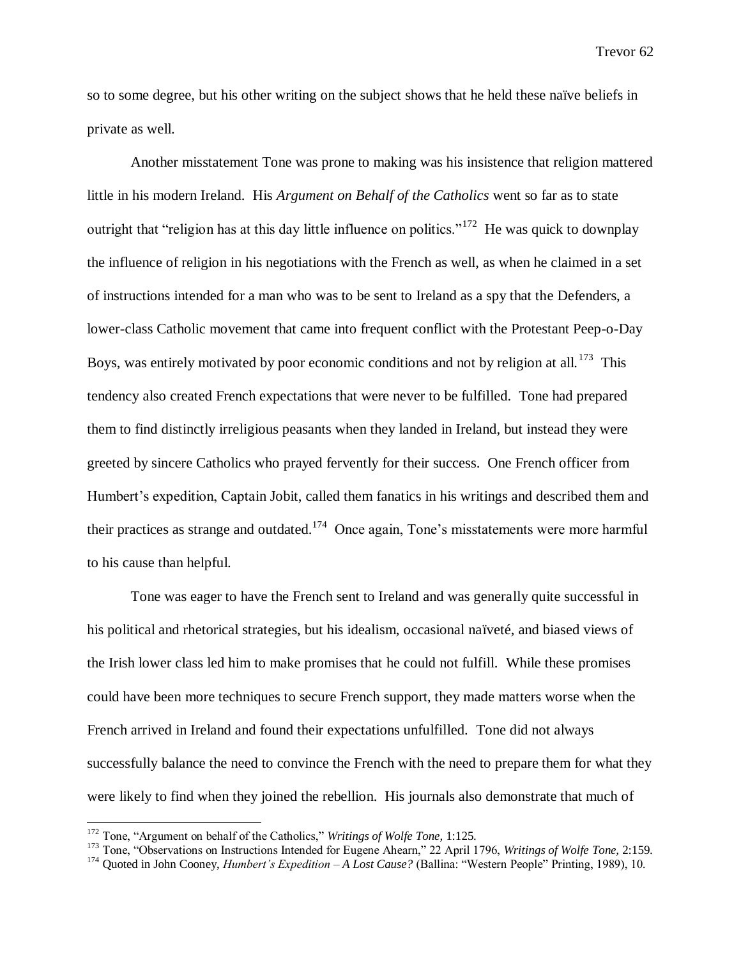so to some degree, but his other writing on the subject shows that he held these naïve beliefs in private as well.

Another misstatement Tone was prone to making was his insistence that religion mattered little in his modern Ireland. His *Argument on Behalf of the Catholics* went so far as to state outright that "religion has at this day little influence on politics."<sup>172</sup> He was quick to downplay the influence of religion in his negotiations with the French as well, as when he claimed in a set of instructions intended for a man who was to be sent to Ireland as a spy that the Defenders, a lower-class Catholic movement that came into frequent conflict with the Protestant Peep-o-Day Boys, was entirely motivated by poor economic conditions and not by religion at all.<sup>173</sup> This tendency also created French expectations that were never to be fulfilled. Tone had prepared them to find distinctly irreligious peasants when they landed in Ireland, but instead they were greeted by sincere Catholics who prayed fervently for their success. One French officer from Humbert's expedition, Captain Jobit, called them fanatics in his writings and described them and their practices as strange and outdated.<sup>174</sup> Once again, Tone's misstatements were more harmful to his cause than helpful.

Tone was eager to have the French sent to Ireland and was generally quite successful in his political and rhetorical strategies, but his idealism, occasional naïveté, and biased views of the Irish lower class led him to make promises that he could not fulfill. While these promises could have been more techniques to secure French support, they made matters worse when the French arrived in Ireland and found their expectations unfulfilled. Tone did not always successfully balance the need to convince the French with the need to prepare them for what they were likely to find when they joined the rebellion. His journals also demonstrate that much of

<sup>172</sup> Tone, "Argument on behalf of the Catholics," *Writings of Wolfe Tone,* 1:125.

<sup>173</sup> Tone, "Observations on Instructions Intended for Eugene Ahearn," 22 April 1796, *Writings of Wolfe Tone,* 2:159.

<sup>174</sup> Quoted in John Cooney, *Humbert's Expedition – A Lost Cause?* (Ballina: "Western People" Printing, 1989), 10.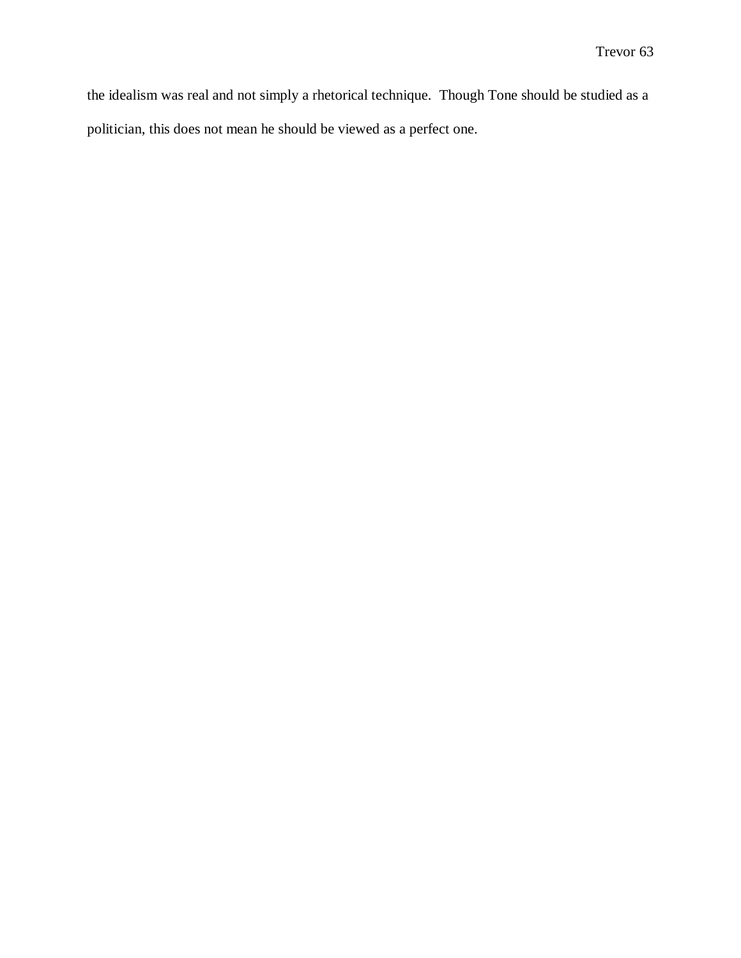the idealism was real and not simply a rhetorical technique. Though Tone should be studied as a politician, this does not mean he should be viewed as a perfect one.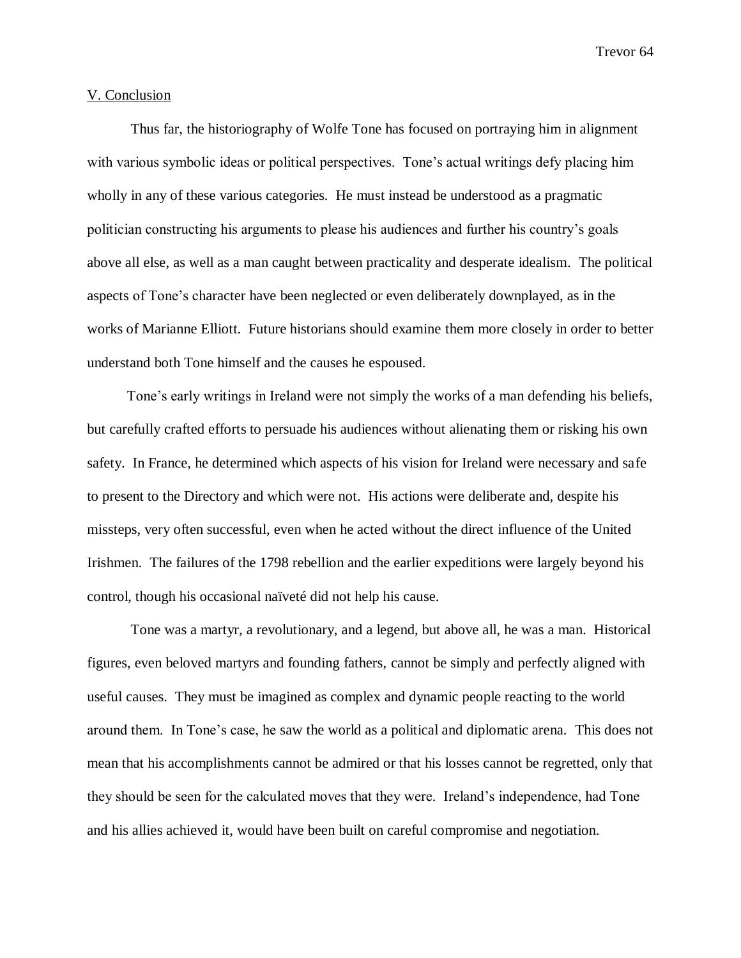#### V. Conclusion

Thus far, the historiography of Wolfe Tone has focused on portraying him in alignment with various symbolic ideas or political perspectives. Tone's actual writings defy placing him wholly in any of these various categories. He must instead be understood as a pragmatic politician constructing his arguments to please his audiences and further his country's goals above all else, as well as a man caught between practicality and desperate idealism. The political aspects of Tone's character have been neglected or even deliberately downplayed, as in the works of Marianne Elliott. Future historians should examine them more closely in order to better understand both Tone himself and the causes he espoused.

Tone's early writings in Ireland were not simply the works of a man defending his beliefs, but carefully crafted efforts to persuade his audiences without alienating them or risking his own safety. In France, he determined which aspects of his vision for Ireland were necessary and safe to present to the Directory and which were not. His actions were deliberate and, despite his missteps, very often successful, even when he acted without the direct influence of the United Irishmen. The failures of the 1798 rebellion and the earlier expeditions were largely beyond his control, though his occasional naïveté did not help his cause.

Tone was a martyr, a revolutionary, and a legend, but above all, he was a man. Historical figures, even beloved martyrs and founding fathers, cannot be simply and perfectly aligned with useful causes. They must be imagined as complex and dynamic people reacting to the world around them. In Tone's case, he saw the world as a political and diplomatic arena. This does not mean that his accomplishments cannot be admired or that his losses cannot be regretted, only that they should be seen for the calculated moves that they were. Ireland's independence, had Tone and his allies achieved it, would have been built on careful compromise and negotiation.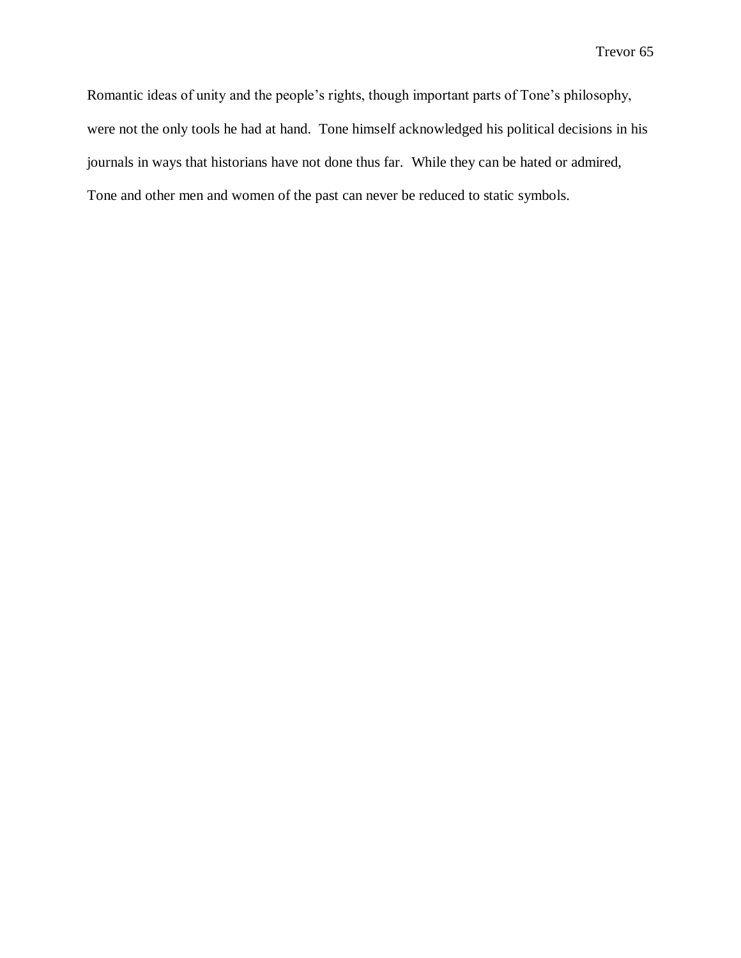Romantic ideas of unity and the people's rights, though important parts of Tone's philosophy, were not the only tools he had at hand. Tone himself acknowledged his political decisions in his journals in ways that historians have not done thus far. While they can be hated or admired, Tone and other men and women of the past can never be reduced to static symbols.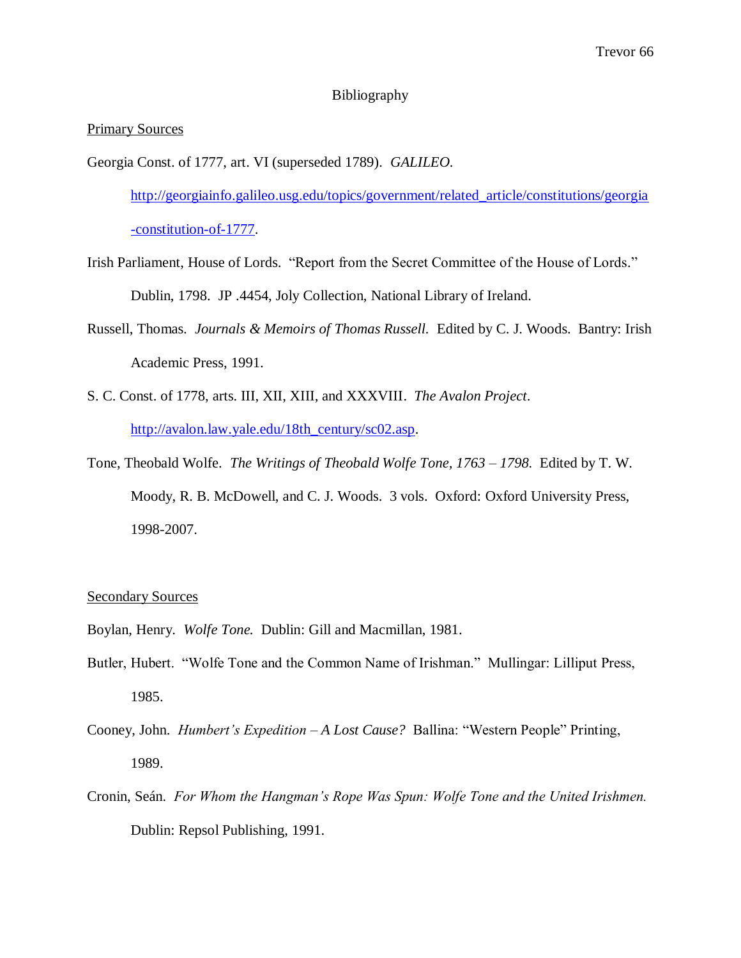# Bibliography

# Primary Sources

Georgia Const. of 1777, art. VI (superseded 1789). *GALILEO.* 

[http://georgiainfo.galileo.usg.edu/topics/government/related\\_article/constitutions/georgia](http://georgiainfo.galileo.usg.edu/topics/government/related_article/constitutions/georgia%09-constitution-of-1777) [-constitution-of-1777.](http://georgiainfo.galileo.usg.edu/topics/government/related_article/constitutions/georgia%09-constitution-of-1777)

- Irish Parliament, House of Lords. "Report from the Secret Committee of the House of Lords." Dublin, 1798. JP .4454, Joly Collection, National Library of Ireland.
- Russell, Thomas. *Journals & Memoirs of Thomas Russell.* Edited by C. J. Woods. Bantry: Irish Academic Press, 1991.
- S. C. Const. of 1778, arts. III, XII, XIII, and XXXVIII. *The Avalon Project*. [http://avalon.law.yale.edu/18th\\_century/sc02.asp.](http://avalon.law.yale.edu/18th_century/sc02.asp)
- Tone, Theobald Wolfe. *The Writings of Theobald Wolfe Tone, 1763 – 1798.* Edited by T. W. Moody, R. B. McDowell, and C. J. Woods. 3 vols. Oxford: Oxford University Press, 1998-2007.

# Secondary Sources

- Boylan, Henry. *Wolfe Tone.* Dublin: Gill and Macmillan, 1981.
- Butler, Hubert. "Wolfe Tone and the Common Name of Irishman." Mullingar: Lilliput Press, 1985.
- Cooney, John. *Humbert's Expedition – A Lost Cause?* Ballina: "Western People" Printing, 1989.
- Cronin, Seán. *For Whom the Hangman's Rope Was Spun: Wolfe Tone and the United Irishmen.*  Dublin: Repsol Publishing, 1991.